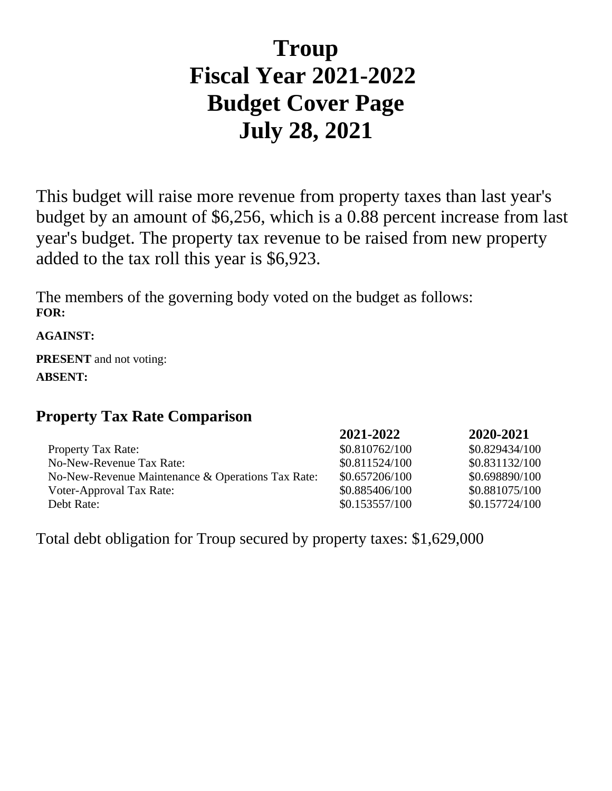# **Troup Fiscal Year 2021-2022 Budget Cover Page July 28, 2021**

This budget will raise more revenue from property taxes than last year's budget by an amount of \$6,256, which is a 0.88 percent increase from last year's budget. The property tax revenue to be raised from new property added to the tax roll this year is \$6,923.

The members of the governing body voted on the budget as follows: **FOR:**

**AGAINST:**

**PRESENT** and not voting: **ABSENT:**

## **Property Tax Rate Comparison**

|                                                   | 2021-2022      | 2020-2021      |
|---------------------------------------------------|----------------|----------------|
| Property Tax Rate:                                | \$0.810762/100 | \$0.829434/100 |
| No-New-Revenue Tax Rate:                          | \$0.811524/100 | \$0.831132/100 |
| No-New-Revenue Maintenance & Operations Tax Rate: | \$0.657206/100 | \$0.698890/100 |
| Voter-Approval Tax Rate:                          | \$0.885406/100 | \$0.881075/100 |
| Debt Rate:                                        | \$0.153557/100 | \$0.157724/100 |

Total debt obligation for Troup secured by property taxes: \$1,629,000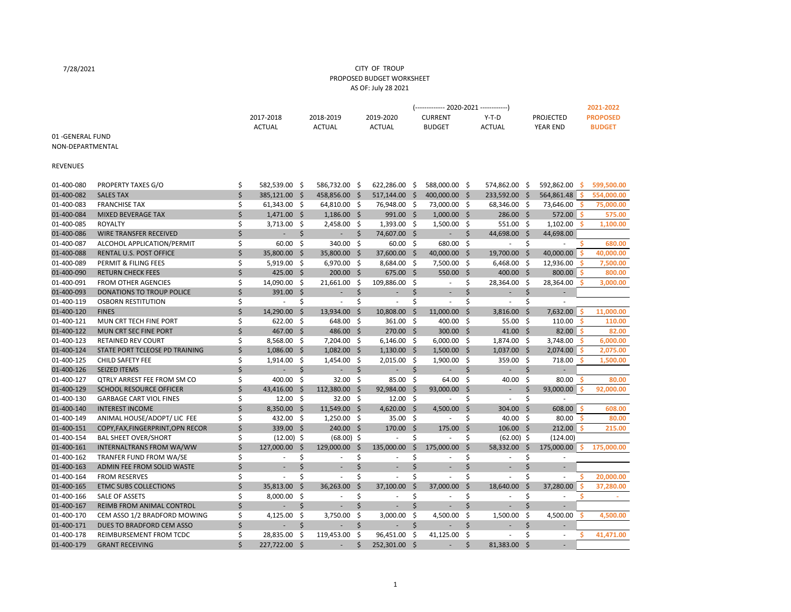#### CITY OF TROUP PROPOSED BUDGET WORKSHEET AS OF: July 28 2021

7/28/2021

|                  |                                   |                                |      |                          |                     |                          |      | (------------- 2020-2021 ------------) |                    |                          |         |                          |     | 2021-2022       |
|------------------|-----------------------------------|--------------------------------|------|--------------------------|---------------------|--------------------------|------|----------------------------------------|--------------------|--------------------------|---------|--------------------------|-----|-----------------|
|                  |                                   | 2017-2018                      |      | 2018-2019                |                     | 2019-2020                |      | <b>CURRENT</b>                         |                    | $Y-T-D$                  |         | <b>PROJECTED</b>         |     | <b>PROPOSED</b> |
|                  |                                   | <b>ACTUAL</b>                  |      | <b>ACTUAL</b>            |                     | <b>ACTUAL</b>            |      | <b>BUDGET</b>                          |                    | <b>ACTUAL</b>            |         | <b>YEAR END</b>          |     | <b>BUDGET</b>   |
| 01-GENERAL FUND  |                                   |                                |      |                          |                     |                          |      |                                        |                    |                          |         |                          |     |                 |
| NON-DEPARTMENTAL |                                   |                                |      |                          |                     |                          |      |                                        |                    |                          |         |                          |     |                 |
|                  |                                   |                                |      |                          |                     |                          |      |                                        |                    |                          |         |                          |     |                 |
| <b>REVENUES</b>  |                                   |                                |      |                          |                     |                          |      |                                        |                    |                          |         |                          |     |                 |
|                  |                                   |                                |      |                          |                     |                          |      |                                        |                    |                          |         |                          |     |                 |
| 01-400-080       | PROPERTY TAXES G/O                | \$<br>582,539.00 \$            |      | 586,732.00 \$            |                     | 622,286.00 \$            |      | 588,000.00 \$                          |                    | 574,862.00               | - \$    | 592,862.00               | - S | 599,500.00      |
| 01-400-082       | <b>SALES TAX</b>                  | \$<br>385,121.00 \$            |      | 458,856.00               | - \$                | 517,144.00               | -\$  | 400,000.00 \$                          |                    | 233,592.00               | Ŝ.      | 564,861.48               | -Ś  | 554,000.00      |
| 01-400-083       | <b>FRANCHISE TAX</b>              | \$<br>61,343.00 \$             |      | 64,810.00 \$             |                     | 76,948.00 \$             |      | 73,000.00 \$                           |                    | 68,346.00                | - \$    | 73,646.00                | s   | 75,000.00       |
| 01-400-084       | <b>MIXED BEVERAGE TAX</b>         | \$<br>$1,471.00$ \$            |      | $1,186.00$ \$            |                     | 991.00 \$                |      | $1,000.00$ \$                          |                    | 286.00 \$                |         | 572.00 \$                |     | 575.00          |
| 01-400-085       | <b>ROYALTY</b>                    | \$<br>$3,713.00$ \$            |      | 2,458.00 \$              |                     | $1,393.00$ \$            |      | $1,500.00$ \$                          |                    | 551.00 \$                |         | 1,102.00                 | s   | 1,100.00        |
| 01-400-086       | <b>WIRE TRANSFER RECEIVED</b>     | \$<br>$\overline{\phantom{a}}$ | \$   | ÷,                       | \$                  | 74,607.00 \$             |      | ٠                                      | \$                 | 44,698.00                | -\$     | 44,698.00                |     |                 |
| 01-400-087       | ALCOHOL APPLICATION/PERMIT        | \$<br>60.00                    | -\$  | 340.00                   | $\ddot{\mathsf{s}}$ | 60.00                    | - \$ | 680.00                                 | - \$               | $\sim$                   | \$      |                          |     | 680.00          |
| 01-400-088       | RENTAL U.S. POST OFFICE           | \$<br>35,800.00 \$             |      | 35,800.00 \$             |                     | 37,600.00 \$             |      | 40,000.00 \$                           |                    | 19,700.00                | -\$     | 40,000.00                | S   | 40,000.00       |
| 01-400-089       | PERMIT & FILING FEES              | \$<br>5,919.00 \$              |      | 6,970.00 \$              |                     | 8,684.00                 | - \$ | 7,500.00 \$                            |                    | 6,468.00                 | - \$    | 12,936.00                |     | 7,500.00        |
| 01-400-090       | <b>RETURN CHECK FEES</b>          | \$<br>425.00 \$                |      | 200.00 \$                |                     | 675.00 \$                |      | 550.00 \$                              |                    | 400.00 \$                |         | 800.00                   | -Ś  | 800.00          |
| 01-400-091       | <b>FROM OTHER AGENCIES</b>        | \$<br>14,090.00                | - \$ | 21,661.00                | -\$                 | 109,886.00               | -\$  | $\overline{\phantom{a}}$               | \$                 | 28,364.00                | -\$     | 28,364.00                |     | 3,000.00        |
| 01-400-093       | <b>DONATIONS TO TROUP POLICE</b>  | \$<br>391.00                   | - \$ | ä,                       | \$                  |                          | \$   | ۰                                      | \$                 | $\overline{\phantom{a}}$ | \$      |                          |     |                 |
| 01-400-119       | <b>OSBORN RESTITUTION</b>         | \$<br>$\overline{\phantom{a}}$ | \$   | $\overline{\phantom{a}}$ | \$                  | $\overline{\phantom{a}}$ | \$   | $\overline{\phantom{a}}$               | \$                 | $\overline{\phantom{a}}$ | \$      |                          |     |                 |
| 01-400-120       | <b>FINES</b>                      | \$<br>14,290.00                | -\$  | 13,934.00 \$             |                     | 10,808.00                | -\$  | 11,000.00                              | - \$               | 3,816.00                 | \$      | 7,632.00                 | -Ś  | 11,000.00       |
| 01-400-121       | MUN CRT TECH FINE PORT            | \$<br>622.00                   | -\$  | 648.00 \$                |                     | 361.00                   | -\$  | 400.00                                 | - \$               | 55.00                    | -\$     | 110.00                   |     | 110.00          |
| 01-400-122       | MUN CRT SEC FINE PORT             | \$<br>467.00 \$                |      | 486.00 \$                |                     | 270.00 \$                |      | 300.00 \$                              |                    | 41.00                    | - \$    | 82.00                    | ۱Ś  | 82.00           |
| 01-400-123       | <b>RETAINED REV COURT</b>         | \$<br>8,568.00                 | - \$ | 7,204.00 \$              |                     | $6,146.00$ \$            |      | $6,000.00$ \$                          |                    | 1,874.00                 | - \$    | 3,748.00                 | .S  | 6,000.00        |
| 01-400-124       | STATE PORT TCLEOSE PD TRAINING    | \$<br>1,086.00                 | - \$ | 1,082.00 \$              |                     | 1,130.00                 | - \$ | $1,500.00$ \$                          |                    | 1,037.00                 | - \$    | 2,074.00                 | ۱Ś  | 2,075.00        |
| 01-400-125       | CHILD SAFETY FEE                  | \$<br>$1,914.00$ \$            |      | 1,454.00 \$              |                     | $2,015.00$ \$            |      | $1,900.00$ \$                          |                    | 359.00                   | - \$    | 718.00                   | s   | 1,500.00        |
| 01-400-126       | <b>SEIZED ITEMS</b>               | \$<br>$\overline{\phantom{a}}$ | \$   | ÷,                       | $\zeta$             |                          | \$   | ÷,                                     | \$                 | $\overline{\phantom{a}}$ | \$      |                          |     |                 |
| 01-400-127       | QTRLY ARREST FEE FROM SM CO       | \$<br>400.00                   | - \$ | $32.00$ \$               |                     | 85.00                    | - \$ | $64.00$ \$                             |                    | 40.00                    | -\$     | 80.00                    | s   | 80.00           |
| 01-400-129       | <b>SCHOOL RESOURCE OFFICER</b>    | \$<br>43,416.00                | -\$  | 112,380.00 \$            |                     | 92,984.00                | - \$ | 93,000.00 \$                           |                    | ٠                        | \$      | $93,000.00$ \$           |     | 92,000.00       |
| 01-400-130       | <b>GARBAGE CART VIOL FINES</b>    | \$<br>12.00                    | -\$  | $32.00$ \$               |                     | 12.00                    | - \$ | $\sim$                                 | \$                 | $\sim$                   | \$      |                          |     |                 |
| 01-400-140       | <b>INTEREST INCOME</b>            | \$<br>8,350.00 \$              |      | 11,549.00 \$             |                     | 4,620.00 \$              |      | 4,500.00                               | $\mathsf{\dot{S}}$ | 304.00                   | 5       | 608.00                   | Ś   | 608.00          |
|                  |                                   | \$                             |      | 1,250.00 \$              |                     | 35.00 \$                 |      | ×.                                     | \$                 |                          |         |                          | .S  |                 |
| 01-400-149       | ANIMAL HOUSE/ADOPT/ LIC FEE       | 432.00 \$                      |      |                          |                     |                          |      |                                        |                    | $40.00$ \$               |         | 80.00                    |     | 80.00           |
| 01-400-151       | COPY, FAX, FINGERPRINT, OPN RECOR | \$<br>339.00 \$                |      | 240.00 \$                |                     | 170.00                   | - \$ | 175.00                                 | - \$               | 106.00 \$                |         | 212.00%                  |     | 215.00          |
| 01-400-154       | <b>BAL SHEET OVER/SHORT</b>       | \$<br>$(12.00)$ \$             |      | $(68.00)$ \$             |                     | $\overline{\phantom{a}}$ | \$   | ä,                                     | \$                 | $(62.00)$ \$             |         | (124.00)                 |     |                 |
| 01-400-161       | INTERNALTRANS FROM WA/WW          | \$<br>127,000.00               | -\$  | 129,000.00               | \$                  | 135,000.00               | \$   | 175,000.00                             | $\mathsf{S}$       | 58,332.00                | \$      | 175,000.00               |     | 175,000.00      |
| 01-400-162       | TRANFER FUND FROM WA/SE           | \$<br>$\overline{\phantom{a}}$ | \$   | $\overline{\phantom{a}}$ | \$                  | $\sim$                   | \$   | $\overline{\phantom{a}}$               | \$                 | $\overline{\phantom{a}}$ | \$      | $\overline{\phantom{a}}$ |     |                 |
| 01-400-163       | ADMIN FEE FROM SOLID WASTE        | \$                             | \$   |                          | \$                  |                          | \$   |                                        | \$                 |                          | Ś.      |                          |     |                 |
| 01-400-164       | <b>FROM RESERVES</b>              | \$<br>$\sim$                   | Ś.   | $\omega$                 | \$                  | $\sim$                   | Ś.   | $\sim$                                 | \$                 | $\sim$                   | Ś.      | $\overline{\phantom{a}}$ |     | 20,000.00       |
| 01-400-165       | <b>ETMC SUBS COLLECTIONS</b>      | \$<br>35,813.00                | -\$  | 36,263.00                | $\mathsf{\dot{S}}$  | 37,100.00                | \$   | 37,000.00                              | $\zeta$            | 18,640.00                | $\zeta$ | 37,280.00                |     | 37,280.00       |
| 01-400-166       | SALE OF ASSETS                    | \$<br>8,000.00                 | -\$  | $\sim$                   | \$                  | ٠                        | \$   | ×.                                     | \$                 | $\sim$                   | \$      | $\overline{a}$           | Ś   | $\sim$          |
| 01-400-167       | REIMB FROM ANIMAL CONTROL         | \$                             | \$   | $\overline{\phantom{a}}$ | \$                  |                          | \$   | ÷,                                     | \$                 | $\sim$                   | \$      | $\overline{\phantom{a}}$ |     |                 |
| 01-400-170       | CEM ASSO 1/2 BRADFORD MOWING      | \$<br>4,125.00                 | -\$  | 3,750.00                 | -\$                 | 3,000.00                 | -\$  | 4,500.00                               | -\$                | 1,500.00                 | -\$     | 4,500.00                 | S   | 4,500.00        |
| 01-400-171       | DUES TO BRADFORD CEM ASSO         | \$                             | \$   |                          | \$                  |                          | \$   |                                        | \$                 |                          | \$      |                          |     |                 |
| 01-400-178       | REIMBURSEMENT FROM TCDC           | \$<br>28,835.00                | -\$  | 119,453.00               | \$                  | 96,451.00                | \$   | 41,125.00                              | \$                 | ٠                        | \$      | $\sim$                   | s   | 41,471.00       |
| 01-400-179       | <b>GRANT RECEIVING</b>            | \$<br>227,722.00               | Ŝ.   |                          | \$                  | 252,301.00               | - \$ |                                        | \$                 | 81,383.00                | \$      |                          |     |                 |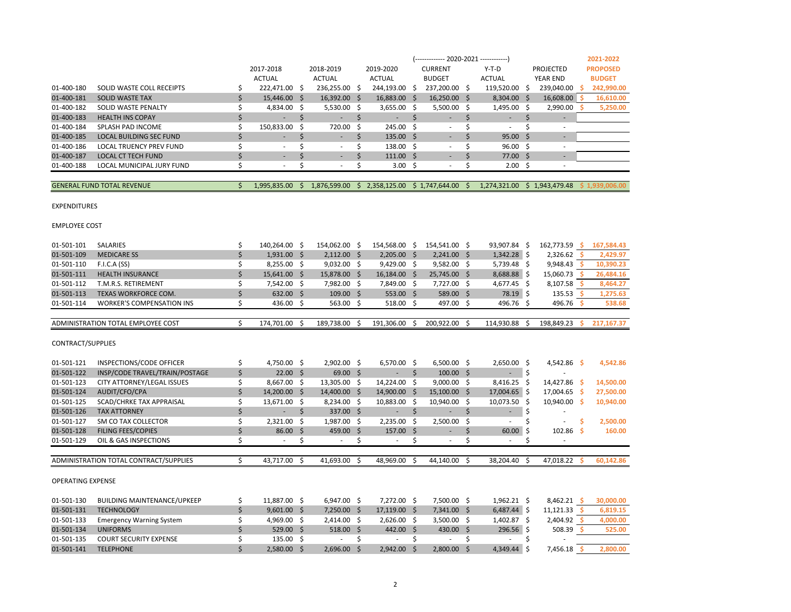| 01-501-121               | INSPECTIONS/CODE OFFICER               |   | 4,750.00      | Ŝ. | $2,902.00$ \$ | 6,570.00 \$      | $6,500.00$ \$ | 2,650.00      | -Ŝ  | 4,542.86      | -S | 4,542.86  |
|--------------------------|----------------------------------------|---|---------------|----|---------------|------------------|---------------|---------------|-----|---------------|----|-----------|
| 01-501-122               | INSP/CODE TRAVEL/TRAIN/POSTAGE         |   | $22.00$ \$    |    | $69.00$ \$    |                  | $100.00$ \$   |               |     |               |    |           |
| 01-501-123               | CITY ATTORNEY/LEGAL ISSUES             |   | 8,667.00      | -S | 13,305.00 \$  | 14,224.00 \$     | $9,000.00$ \$ | 8,416.25      | S   | 14,427.86     | -S | 14,500.00 |
| 01-501-124               | AUDIT/CFO/CPA                          |   | 14,200.00 \$  |    | 14,400.00 \$  | 14,900.00 \$     | 15,100.00 \$  | 17,004.65 \$  |     | 17,004.65     | -S | 27,500.00 |
| 01-501-125               | SCAD/CHRKE TAX APPRAISAL               |   | 13,671.00     | -S | 8,234.00 \$   | 10,883.00 \$     | 10,940.00 \$  | 10,073.50     | S   | 10,940.00     | -S | 10,940.00 |
| 01-501-126               | <b>TAX ATTORNEY</b>                    |   |               |    | 337.00 \$     |                  |               | ÷             |     |               |    |           |
| 01-501-127               | SM CO TAX COLLECTOR                    |   | 2,321.00      | -S | $1,987.00$ \$ | $2,235.00$ \$    | $2,500.00$ \$ |               |     |               |    | 2,500.00  |
| 01-501-128               | <b>FILING FEES/COPIES</b>              |   | 86.00         |    | 459.00 \$     | $157.00 \quad $$ | ۰             | 60.00         |     | $102.86$ \$   |    | 160.00    |
| 01-501-129               | OIL & GAS INSPECTIONS                  |   |               |    |               |                  |               |               |     |               |    |           |
|                          |                                        |   |               |    |               |                  |               |               |     |               |    |           |
|                          | ADMINISTRATION TOTAL CONTRACT/SUPPLIES |   | 43,717.00     | Ŝ. | 41,693.00 \$  | 48,969.00 \$     | 44,140.00 \$  | 38,204.40     | - Ś | 47,018.22     | -S | 60,142.86 |
| <b>OPERATING EXPENSE</b> |                                        |   |               |    |               |                  |               |               |     |               |    |           |
| 01-501-130               | <b>BUILDING MAINTENANCE/UPKEEP</b>     |   | 11,887.00 \$  |    | $6,947.00$ \$ | 7,272.00 \$      | 7,500.00 \$   | $1,962.21$ \$ |     | $8,462.21$ \$ |    | 30,000.00 |
| 01-501-131               | <b>TECHNOLOGY</b>                      |   | $9,601.00$ \$ |    | $7,250.00$ \$ | $17,119.00$ \$   | $7,341.00$ \$ | $6,487.44$ \$ |     | 11,121.33     |    | 6,819.15  |
| 01-501-133               | <b>Emergency Warning System</b>        |   | 4,969.00      | -S | $2,414.00$ \$ | $2,626.00$ \$    | $3,500.00$ \$ | 1,402.87      | -S  | $2,404.92$ \$ |    | 4,000.00  |
| 01-501-134               | <b>UNIFORMS</b>                        |   | $529.00$ \$   |    | $518.00$ \$   | 442.00 \$        | 430.00 \$     | $296.56$ \$   |     | $508.39$ \$   |    | 525.00    |
| 01-501-135               | <b>COURT SECURITY EXPENSE</b>          |   | 135.00        | Ŝ  |               |                  |               |               |     |               |    |           |
| 01-501-141               | <b>TELEPHONE</b>                       | Ś | 2,580.00 \$   |    | $2,696.00$ \$ | $2,942.00$ \$    | 2,800.00 \$   | 4,349.44      |     | 7,456.18      |    | 2,800.00  |

#### CONTRACT/SUPPLIES

| 01-501-101 | <b>SALARIES</b>                    | 140.264.00 \$ | 154.062.00 \$ | 154.568.00  |    | 154.541.00 \$ | 93.907.84     | 162,773.59 | 167.584.43 |
|------------|------------------------------------|---------------|---------------|-------------|----|---------------|---------------|------------|------------|
| 01-501-109 | <b>MEDICARE SS</b>                 | $1,931.00$ \$ | $2,112.00$ \$ | 2,205.00    |    | $2.241.00$ \$ | $1,342.28$ \$ | 2,326.62   | 2,429.97   |
| 01-501-110 | F.I.C.A (SS)                       | $8,255.00$ \$ | $9,032.00$ \$ | 9,429.00    |    | $9,582.00$ \$ | 5,739.48 \$   | 9.948.43   | 10,390.23  |
| 01-501-111 | <b>HEALTH INSURANCE</b>            | 15,641.00 \$  | 15,878.00 \$  | 16,184.00   | -S | 25,745.00 \$  | 8,688.88 \$   | 15,060.73  | 26,484.16  |
| 01-501-112 | T.M.R.S. RETIREMENT                | 7.542.00 \$   | 7,982.00 \$   | 7,849.00    |    | 7.727.00 \$   | 4,677.45 \$   | 8.107.58   | 8,464.27   |
| 01-501-113 | TEXAS WORKFORCE COM.               | 632.00 \$     | $109.00$ \$   | $553.00$ \$ |    | 589.00 \$     | 78.19 \$      | 135.53     | 1,275.63   |
| 01-501-114 | <b>WORKER'S COMPENSATION INS</b>   | 436.00 \$     | 563.00 \$     | 518.00      |    | 497.00 \$     | 496.76 \$     | 496.76     | 538.68     |
|            |                                    |               |               |             |    |               |               |            |            |
|            | ADMINISTRATION TOTAL EMPLOYEE COST | 174.701.00    | 189.738.00    | 191.306.00  |    | 200.922.00    | 114.930.88    | 198.849.23 | 217.167.37 |

#### EMPLOYEE COST

#### EXPENDITURES

|            |                                   |                          |                          | (------------- 2020-2021 ------------) |                   |  |                    |  |                              |  |              |  | 2021-2022       |
|------------|-----------------------------------|--------------------------|--------------------------|----------------------------------------|-------------------|--|--------------------|--|------------------------------|--|--------------|--|-----------------|
|            |                                   | 2017-2018                | 2018-2019                |                                        | 2019-2020         |  | <b>CURRENT</b>     |  | $Y-T-D$                      |  | PROJECTED    |  | <b>PROPOSED</b> |
|            |                                   | <b>ACTUAL</b>            | <b>ACTUAL</b>            |                                        | ACTUAL            |  | <b>BUDGET</b>      |  | ACTUAL                       |  | YEAR END     |  | <b>BUDGET</b>   |
| 01-400-180 | SOLID WASTE COLL RECEIPTS         | 222,471.00 \$            | 236,255.00 \$            |                                        | 244,193.00 \$     |  | 237,200.00 \$      |  | 119,520.00 \$                |  | 239,040.00   |  | 242,990.00      |
| 01-400-181 | <b>SOLID WASTE TAX</b>            | 15,446.00 \$             | $16,392.00$ \$           |                                        | 16,883.00 \$      |  | $16,250.00$ \$     |  | $8,304.00$ \$                |  | 16,608.00 \$ |  | 16,610.00       |
| 01-400-182 | SOLID WASTE PENALTY               | 4,834.00 \$              | $5,530.00$ \$            |                                        | $3,655.00$ \$     |  | $5,500.00$ \$      |  | 1,495.00 \$                  |  | 2,990.00     |  | 5,250.00        |
| 01-400-183 | <b>HEALTH INS COPAY</b>           |                          |                          |                                        |                   |  |                    |  |                              |  |              |  |                 |
| 01-400-184 | SPLASH PAD INCOME                 | 150,833.00 \$            | 720.00 \$                |                                        | 245.00 \$         |  | $\sim$             |  | $\sim$                       |  |              |  |                 |
| 01-400-185 | <b>LOCAL BUILDING SEC FUND</b>    | ٠                        | $\overline{\phantom{a}}$ |                                        | $135.00 \quad$ \$ |  | ٠                  |  | $95.00$ \$                   |  | ۰            |  |                 |
| 01-400-186 | LOCAL TRUENCY PREV FUND           | $\overline{\phantom{a}}$ | $\overline{\phantom{a}}$ |                                        | 138.00 \$         |  | ۰                  |  | $96.00 \quad $$              |  |              |  |                 |
| 01-400-187 | <b>LOCAL CT TECH FUND</b>         | ٠                        | $\overline{\phantom{a}}$ |                                        | $111.00 \pm$      |  | ٠                  |  | $77.00 \pm$                  |  |              |  |                 |
| 01-400-188 | LOCAL MUNICIPAL JURY FUND         | ٠                        | $\overline{\phantom{a}}$ |                                        | 3.00 <sup>5</sup> |  |                    |  | 2.00%                        |  |              |  |                 |
|            |                                   |                          |                          |                                        |                   |  |                    |  |                              |  |              |  |                 |
|            | <b>GENERAL FUND TOTAL REVENUE</b> | 1,995,835.00 \$          | 1.876.599.00             |                                        | \$2,358,125.00    |  | $$1,747,644.00$ \$ |  | 1.274.321.00 \$ 1.943.479.48 |  |              |  | \$1,939,006,00  |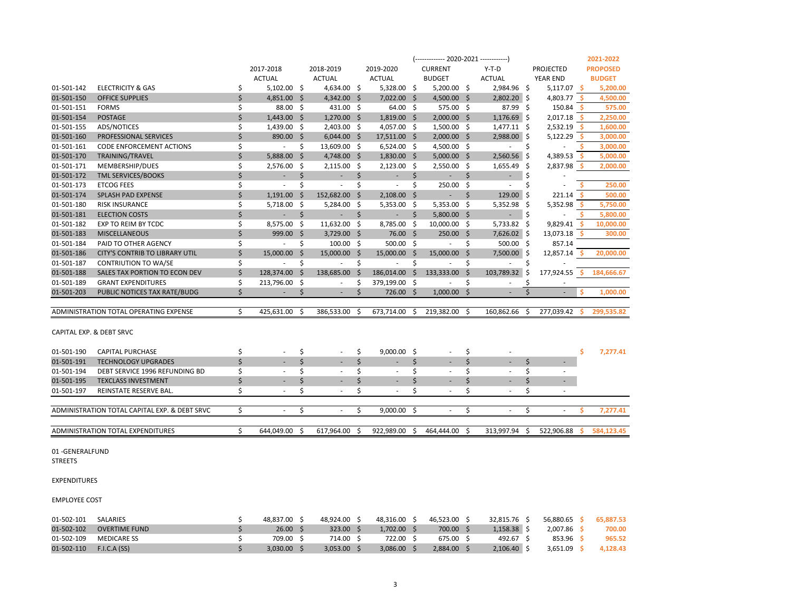|                     |                                               |    |                          |    |                          |    |                          |     | (------------- 2020-2021 ------------) |          |               |      |                          |      | 2021-2022       |
|---------------------|-----------------------------------------------|----|--------------------------|----|--------------------------|----|--------------------------|-----|----------------------------------------|----------|---------------|------|--------------------------|------|-----------------|
|                     |                                               |    | 2017-2018                |    | 2018-2019                |    | 2019-2020                |     | <b>CURRENT</b>                         |          | $Y-T-D$       |      | <b>PROJECTED</b>         |      | <b>PROPOSED</b> |
|                     |                                               |    | <b>ACTUAL</b>            |    | <b>ACTUAL</b>            |    | <b>ACTUAL</b>            |     | <b>BUDGET</b>                          |          | <b>ACTUAL</b> |      | YEAR END                 |      | <b>BUDGET</b>   |
| 01-501-142          | ELECTRICITY & GAS                             | \$ | $5,102.00$ \$            |    | 4,634.00 \$              |    | $5,328.00$ \$            |     | $5,200.00$ \$                          |          | 2,984.96 \$   |      | $5,117.07$ \$            |      | 5,200.00        |
| 01-501-150          | <b>OFFICE SUPPLIES</b>                        | \$ | 4,851.00 \$              |    | $4,342.00$ \$            |    | 7,022.00 \$              |     | $4,500.00$ \$                          |          | $2,802.20$ \$ |      | 4,803.77 \$              |      | 4,500.00        |
| 01-501-151          | <b>FORMS</b>                                  | \$ | 88.00 \$                 |    | 431.00 \$                |    | $64.00 \quad $$          |     | $575.00 \pm 5$                         |          | 87.99 \$      |      | 150.84                   | - S  | 575.00          |
| 01-501-154          | <b>POSTAGE</b>                                | \$ | $1,443.00$ \$            |    | $1,270.00$ \$            |    | $1,819.00$ \$            |     | $2,000.00$ \$                          |          | $1,176.69$ \$ |      | 2,017.18                 | - \$ | 2,250.00        |
| 01-501-155          | ADS/NOTICES                                   | \$ | $1,439.00$ \$            |    | 2,403.00 \$              |    | 4,057.00 \$              |     | 1,500.00 \$                            |          | $1,477.11$ \$ |      | $2,532.19$ \$            |      | 1,600.00        |
| 01-501-160          | PROFESSIONAL SERVICES                         | \$ | 890.00 \$                |    | $6,044.00$ \$            |    | 17,511.00 \$             |     | $2,000.00$ \$                          |          | 2,988.00 \$   |      | 5,122.29                 | - S  | 3,000.00        |
| 01-501-161          | <b>CODE ENFORCEMENT ACTIONS</b>               | \$ | $\sim$                   | S. | 13,609.00 \$             |    | $6,524.00$ \$            |     | 4,500.00 \$                            |          | $\sim$        | \$   |                          |      | 3,000.00        |
| 01-501-170          | TRAINING/TRAVEL                               | \$ | 5,888.00 \$              |    | 4,748.00 \$              |    | $1,830.00$ \$            |     | $5,000.00$ \$                          |          | $2,560.56$ \$ |      | 4,389.53                 | - \$ | 5,000.00        |
| 01-501-171          | MEMBERSHIP/DUES                               | \$ | 2,576.00 \$              |    | $2,115.00$ \$            |    | $2,123.00$ \$            |     | $2,550.00$ \$                          |          | 1,655.49      | -\$  | $2,837.98$ \$            |      | 2,000.00        |
| 01-501-172          | <b>TML SERVICES/BOOKS</b>                     | \$ | $\overline{\phantom{a}}$ | \$ | ä,                       | \$ | $\overline{\phantom{a}}$ | \$  | $\sim$                                 | \$       | $\sim$        | \$   |                          |      |                 |
| 01-501-173          | <b>ETCOG FEES</b>                             | \$ | $\overline{\phantom{a}}$ | \$ | $\blacksquare$           | \$ | $\sim$                   | \$  | 250.00                                 | -\$      | $\sim$        | \$   | $\overline{a}$           |      | 250.00          |
| 01-501-174          | SPLASH PAD EXPENSE                            | \$ | $1,191.00$ \$            |    | 152,682.00 \$            |    | $2,108.00$ \$            |     | $\blacksquare$                         | \$       | 129.00        |      | $221.14$ \$              |      | 500.00          |
| 01-501-180          | <b>RISK INSURANCE</b>                         | \$ | 5,718.00 \$              |    | $5,284.00$ \$            |    | $5,353.00$ \$            |     | $5,353.00$ \$                          |          | 5,352.98      | - \$ | 5,352.98                 | -S   | 5,750.00        |
| 01-501-181          | <b>ELECTION COSTS</b>                         | \$ | $\sim$                   | \$ | ÷.                       | \$ | $\sim$                   | \$  | $5,800.00$ \$                          |          | $\sim$        | \$   | $\sim$                   |      | 5,800.00        |
| 01-501-182          | EXP TO REIM BY TCDC                           | \$ | 8,575.00 \$              |    | $11,632.00$ \$           |    | 8,785.00 \$              |     | 10,000.00 \$                           |          | $5,733.82$ \$ |      | 9,829.41                 | - \$ | 10,000.00       |
| 01-501-183          | <b>MISCELLANEOUS</b>                          | \$ | 999.00 \$                |    | 3,729.00 \$              |    | 76.00 \$                 |     | 250.00 \$                              |          | $7,626.02$ \$ |      | 13,073.18                |      | 300.00          |
| 01-501-184          | PAID TO OTHER AGENCY                          | \$ | $\overline{\phantom{a}}$ | \$ | $100.00 \quad $$         |    | $500.00$ \$              |     | $\sim$                                 | \$       | $500.00$ \$   |      | 857.14                   |      |                 |
| 01-501-186          | <b>CITY'S CONTRIB TO LIBRARY UTIL</b>         | \$ | 15,000.00 \$             |    | 15,000.00 \$             |    | 15,000.00 \$             |     | 15,000.00 \$                           |          | 7,500.00 \$   |      | $12,857.14$ \$           |      | 20,000.00       |
| 01-501-187          | CONTRIUTION TO WA/SE                          | \$ | $\overline{\phantom{a}}$ | \$ | $\overline{\phantom{a}}$ | \$ | $\sim$                   | \$  | $\overline{\phantom{a}}$               | \$       | $\sim$        | \$   |                          |      |                 |
| 01-501-188          | SALES TAX PORTION TO ECON DEV                 | \$ | 128,374.00 \$            |    | 138,685.00 \$            |    | 186,014.00 \$            |     | 133,333.00                             | <b>S</b> | 103,789.32    | \$   | 177,924.55               | -Ś   | 184,666.67      |
| 01-501-189          | <b>GRANT EXPENDITURES</b>                     | \$ | 213,796.00 \$            |    | $\sim$                   | \$ | 379,199.00 \$            |     | $\overline{\phantom{a}}$               | \$       | $\sim$        | Ś    |                          |      |                 |
| 01-501-203          | PUBLIC NOTICES TAX RATE/BUDG                  | \$ | $\sim 100$               | \$ | $\overline{\phantom{a}}$ | \$ | 726.00 \$                |     | $1,000.00$ \$                          |          | $\sim$        | \$   | $\overline{\phantom{a}}$ | Š.   | 1,000.00        |
|                     |                                               |    |                          |    |                          |    |                          |     |                                        |          |               |      |                          |      |                 |
|                     | ADMINISTRATION TOTAL OPERATING EXPENSE        | Ś. | 425,631.00               | -S | 386,533.00               | S  | 673,714.00               | -S  | 219,382.00                             | - S      | 160,862.66    | S    | 277,039.42               | -S   | 299,535.82      |
|                     | CAPITAL EXP. & DEBT SRVC                      |    |                          |    |                          |    |                          |     |                                        |          |               |      |                          |      |                 |
|                     |                                               |    |                          |    |                          |    |                          |     |                                        |          |               |      |                          |      |                 |
| 01-501-190          | <b>CAPITAL PURCHASE</b>                       | \$ | $\overline{\phantom{a}}$ | \$ | $\overline{\phantom{a}}$ | \$ | $9,000.00$ \$            |     | $\overline{\phantom{a}}$               | \$       |               |      |                          | \$   | 7,277.41        |
| 01-501-191          | <b>TECHNOLOGY UPGRADES</b>                    | Ś. | $\overline{\phantom{a}}$ | \$ | $\blacksquare$           | \$ | ٠                        | \$  | $\sim$                                 | \$       | ٠             | Ś.   | $\overline{\phantom{a}}$ |      |                 |
| 01-501-194          | DEBT SERVICE 1996 REFUNDING BD                | \$ |                          | \$ | $\sim$                   | \$ | $\sim$                   | \$  | $\sim$                                 | \$       | $\sim$        | \$   |                          |      |                 |
| 01-501-195          | <b>TEXCLASS INVESTMENT</b>                    | \$ |                          | \$ |                          | \$ |                          | \$  |                                        | \$       |               | \$   |                          |      |                 |
| 01-501-197          | REINSTATE RESERVE BAL.                        | \$ | $\sim$                   | \$ | ٠                        | \$ | $\sim$                   | \$  | ÷.                                     | \$       | ×.            | \$   | $\sim$                   |      |                 |
|                     |                                               |    |                          |    |                          |    |                          |     |                                        |          |               |      |                          |      |                 |
|                     | ADMINISTRATION TOTAL CAPITAL EXP. & DEBT SRVC | \$ | $\sim$                   | \$ | $\sim$                   | \$ | 9,000.00                 | -\$ | $\overline{\phantom{a}}$               | \$       | $\sim$        | \$   | ٠                        | Ś    | 7,277.41        |
|                     | <b>ADMINISTRATION TOTAL EXPENDITURES</b>      | \$ | 644,049.00               | -Ś | 617,964.00               | Ŝ. | 922,989.00               | -\$ | 464,444.00                             | - \$     | 313,997.94    | \$   | 522,906.88               | s.   | 584,123.45      |
|                     |                                               |    |                          |    |                          |    |                          |     |                                        |          |               |      |                          |      |                 |
| 01-GENERALFUND      |                                               |    |                          |    |                          |    |                          |     |                                        |          |               |      |                          |      |                 |
| <b>STREETS</b>      |                                               |    |                          |    |                          |    |                          |     |                                        |          |               |      |                          |      |                 |
| <b>EXPENDITURES</b> |                                               |    |                          |    |                          |    |                          |     |                                        |          |               |      |                          |      |                 |

EMPLOYEE COST

| 01-502-101 | <b>SALARIES</b>      | 48.837.00 | 48.924.00 | 48.316.00 | 46.523.00 | 32.815.76     | 56.880.65 | 65,887.53 |
|------------|----------------------|-----------|-----------|-----------|-----------|---------------|-----------|-----------|
| 01-502-102 | <b>OVERTIME FUND</b> | 26.00     | 323.00    | 1.702.00  | 700.00    | 1.158.38      | 2.007.86  | 700.00    |
| 01-502-109 | <b>MEDICARE SS</b>   | 709.00    | 714.00    | 722.00    | 675.00    | 492.67        | 853.96    | 965.52    |
| 01-502-110 | F.I.C.A(SS)          | 3,030.00  | 3.053.00  | 3.086.00  | 2.884.00  | $2.106.40$ \, | 3.651.09  | 4,128.43  |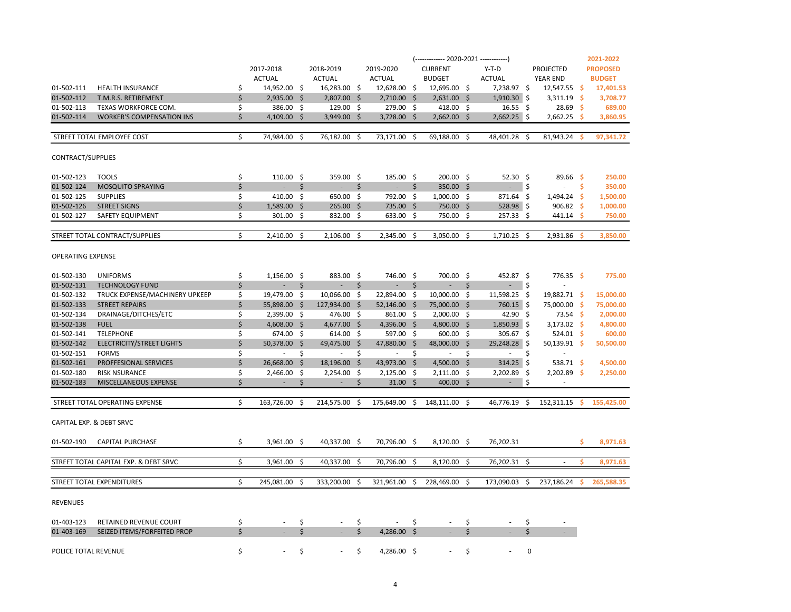|                      |                                       |    |                          |     |                          |    |                     |      | $(-$ ------------- 2020-2021 -------------) |     |                     |          |                    |     | 2021-2022       |
|----------------------|---------------------------------------|----|--------------------------|-----|--------------------------|----|---------------------|------|---------------------------------------------|-----|---------------------|----------|--------------------|-----|-----------------|
|                      |                                       |    | 2017-2018                |     | 2018-2019                |    | 2019-2020           |      | <b>CURRENT</b>                              |     | $Y-T-D$             |          | PROJECTED          |     | <b>PROPOSED</b> |
|                      |                                       |    | <b>ACTUAL</b>            |     | <b>ACTUAL</b>            |    | <b>ACTUAL</b>       |      | <b>BUDGET</b>                               |     | <b>ACTUAL</b>       |          | YEAR END           |     | <b>BUDGET</b>   |
| 01-502-111           | <b>HEALTH INSURANCE</b>               | \$ | 14,952.00 \$             |     | 16,283.00 \$             |    | 12,628.00 \$        |      | 12,695.00 \$                                |     | 7,238.97 \$         |          | $12,547.55$ \$     |     | 17,401.53       |
| 01-502-112           | T.M.R.S. RETIREMENT                   | \$ | $2,935.00$ \$            |     | 2,807.00 \$              |    | $2,710.00$ \$       |      | $2,631.00$ \$                               |     | $1,910.30$ \$       |          | $3,311.19$ \$      |     | 3,708.77        |
| 01-502-113           | TEXAS WORKFORCE COM.                  | \$ | 386.00 \$                |     | 129.00 \$                |    | 279.00 \$           |      | 418.00 \$                                   |     | $16.55$ \$          |          | 28.69 <sup>5</sup> |     | 689.00          |
| 01-502-114           | <b>WORKER'S COMPENSATION INS</b>      | \$ | 4,109.00 \$              |     | $3,949.00$ \$            |    | 3,728.00            | - \$ | $2,662.00$ \$                               |     | $2,662.25$ \$       |          | 2,662.25           | - S | 3,860.95        |
|                      |                                       |    |                          |     |                          |    |                     |      |                                             |     |                     |          |                    |     |                 |
|                      | STREET TOTAL EMPLOYEE COST            | \$ | 74,984.00                | -\$ | 76,182.00 \$             |    | 73,171.00           | \$   | 69,188.00 \$                                |     | 48,401.28 \$        |          | 81,943.24          | -S  | 97,341.72       |
| CONTRACT/SUPPLIES    |                                       |    |                          |     |                          |    |                     |      |                                             |     |                     |          |                    |     |                 |
| 01-502-123           | <b>TOOLS</b>                          | \$ | $110.00$ \$              |     | 359.00 \$                |    | 185.00 \$           |      | 200.00 \$                                   |     | $52.30 \quad $$     |          | $89.66$ \$         |     | 250.00          |
| 01-502-124           | <b>MOSQUITO SPRAYING</b>              | \$ | $\overline{\phantom{a}}$ | \$  | $\blacksquare$           | \$ | $\omega_{\rm{eff}}$ | \$   | 350.00 \$                                   |     | $\omega_{\rm{eff}}$ | \$       | $\sim$             | Ŝ.  | 350.00          |
| 01-502-125           | <b>SUPPLIES</b>                       | \$ | 410.00 \$                |     | 650.00 \$                |    | 792.00 \$           |      | $1,000.00$ \$                               |     | 871.64 \$           |          | $1,494.24$ \$      |     | 1,500.00        |
| 01-502-126           | <b>STREET SIGNS</b>                   | \$ | 1,589.00 \$              |     | $265.00$ \$              |    | 735.00 \$           |      | 750.00 \$                                   |     | $528.98$ \$         |          | 906.82 \$          |     | 1,000.00        |
| 01-502-127           | SAFETY EQUIPMENT                      | \$ | $301.00$ \$              |     | 832.00 \$                |    | 633.00 \$           |      | 750.00 \$                                   |     | $257.33$ \$         |          | $441.14$ \$        |     | 750.00          |
|                      |                                       |    |                          |     |                          |    |                     |      |                                             |     |                     |          |                    |     |                 |
|                      | STREET TOTAL CONTRACT/SUPPLIES        | Ś. | 2,410.00                 | - Ś | $2,106.00$ \$            |    | 2,345.00            | - Ś  | $3,050.00$ \$                               |     | $1,710.25$ \$       |          | $2,931.86$ \$      |     | 3,850.00        |
| OPERATING EXPENSE    |                                       |    |                          |     |                          |    |                     |      |                                             |     |                     |          |                    |     |                 |
| 01-502-130           | <b>UNIFORMS</b>                       | \$ | $1,156.00$ \$            |     | 883.00 \$                |    | 746.00 \$           |      | 700.00 \$                                   |     | 452.87 \$           |          | $776.35$ \$        |     | 775.00          |
| 01-502-131           | <b>TECHNOLOGY FUND</b>                | Ś  | $\overline{\phantom{a}}$ | \$  | $\omega_{\rm{max}}$      | \$ | $\omega_{\rm{max}}$ | \$   | $\omega_{\rm{max}}$                         | \$  | $\sim 100$          | \$       | $\blacksquare$     |     |                 |
| 01-502-132           | TRUCK EXPENSE/MACHINERY UPKEEP        | \$ | 19,479.00 \$             |     | 10,066.00 \$             |    | 22,894.00 \$        |      | 10,000.00 \$                                |     | 11,598.25 \$        |          | 19,882.71 \$       |     | 15,000.00       |
| 01-502-133           | <b>STREET REPAIRS</b>                 | \$ | 55,898.00 \$             |     | 127,934.00 \$            |    | 52,146.00 \$        |      | 75,000.00 \$                                |     | 760.15 \$           |          | 75,000.00 \$       |     | 75,000.00       |
| 01-502-134           | DRAINAGE/DITCHES/ETC                  | \$ | $2,399.00$ \$            |     | 476.00 \$                |    | 861.00 \$           |      | $2,000.00$ \$                               |     | 42.90 \$            |          | $73.54$ \$         |     | 2,000.00        |
| 01-502-138           | <b>FUEL</b>                           | \$ | 4,608.00 \$              |     | $4,677.00$ \$            |    | 4,396.00 \$         |      | 4,800.00 \$                                 |     | $1,850.93$ \$       |          | $3,173.02$ \$      |     | 4,800.00        |
| 01-502-141           | <b>TELEPHONE</b>                      | \$ | 674.00 \$                |     | $614.00$ \$              |    | 597.00 \$           |      | $600.00$ \$                                 |     | $305.67$ \$         |          | $524.01$ \$        |     | 600.00          |
| 01-502-142           | <b>ELECTRICITY/STREET LIGHTS</b>      | \$ | 50,378.00 \$             |     | 49,475.00 \$             |    | 47,880.00 \$        |      | 48,000.00 \$                                |     | 29,248.28 \$        |          | 50,139.91 \$       |     | 50,500.00       |
| 01-502-151           | <b>FORMS</b>                          | \$ | $\sim$                   | Ŝ   | $\sim$                   | \$ | $\sim$              | \$   | $\sim$                                      | \$  | $\sim$              | \$       |                    |     |                 |
| 01-502-161           | PROFFESIONAL SERVICES                 | \$ | 26,668.00 \$             |     | 18,196.00 \$             |    | 43,973.00 \$        |      | 4,500.00 \$                                 |     | $314.25$ \$         |          | 538.71 \$          |     | 4,500.00        |
| 01-502-180           | <b>RISK NSURANCE</b>                  | \$ | 2,466.00 \$              |     | $2,254.00$ \$            |    | $2,125.00$ \$       |      | $2,111.00$ \$                               |     | $2,202.89$ \$       |          | $2,202.89$ \$      |     | 2,250.00        |
| 01-502-183           | MISCELLANEOUS EXPENSE                 | \$ | $\sim$                   | \$  | $\overline{\phantom{a}}$ | \$ | $31.00 \quad $$     |      | $400.00$ \$                                 |     | $\sim$              | \$       | $\sim$             |     |                 |
|                      | STREET TOTAL OPERATING EXPENSE        | \$ | 163,726.00               | -Ŝ  | 214,575.00 \$            |    | 175,649.00          | \$   | 148,111.00 \$                               |     | 46,776.19           | \$       | 152,311.15         | -Ś  | 155.425.00      |
|                      | CAPITAL EXP. & DEBT SRVC              |    |                          |     |                          |    |                     |      |                                             |     |                     |          |                    |     |                 |
| 01-502-190           | <b>CAPITAL PURCHASE</b>               | \$ | $3,961.00$ \$            |     | 40,337.00 \$             |    | 70,796.00 \$        |      | $8,120.00$ \$                               |     | 76,202.31           |          |                    | Ŝ.  | 8,971.63        |
|                      | STREET TOTAL CAPITAL EXP. & DEBT SRVC | \$ | 3,961.00 \$              |     | 40,337.00 \$             |    | 70,796.00 \$        |      | $8,120.00$ \$                               |     | 76,202.31 \$        |          |                    | -Ś. | 8,971.63        |
|                      |                                       |    |                          |     |                          |    |                     |      |                                             |     |                     |          |                    |     |                 |
|                      | STREET TOTAL EXPENDITURES             | \$ | 245,081.00               | -\$ | 333,200.00               | -S | 321,961.00          | \$   | 228,469.00                                  | -\$ | 173,090.03          | -\$      | 237,186.24         |     | 265,588.35      |
| <b>REVENUES</b>      |                                       |    |                          |     |                          |    |                     |      |                                             |     |                     |          |                    |     |                 |
| 01-403-123           | RETAINED REVENUE COURT                | \$ |                          | \$  |                          | \$ |                     | \$   |                                             | \$  |                     | \$       |                    |     |                 |
| 01-403-169           | SEIZED ITEMS/FORFEITED PROP           | Ś. |                          | \$  |                          | Ś. | 4,286.00 \$         |      |                                             | \$  |                     | \$       |                    |     |                 |
| POLICE TOTAL REVENUE |                                       | \$ |                          | \$  |                          | \$ | 4,286.00 \$         |      |                                             | \$  |                     | $\Omega$ |                    |     |                 |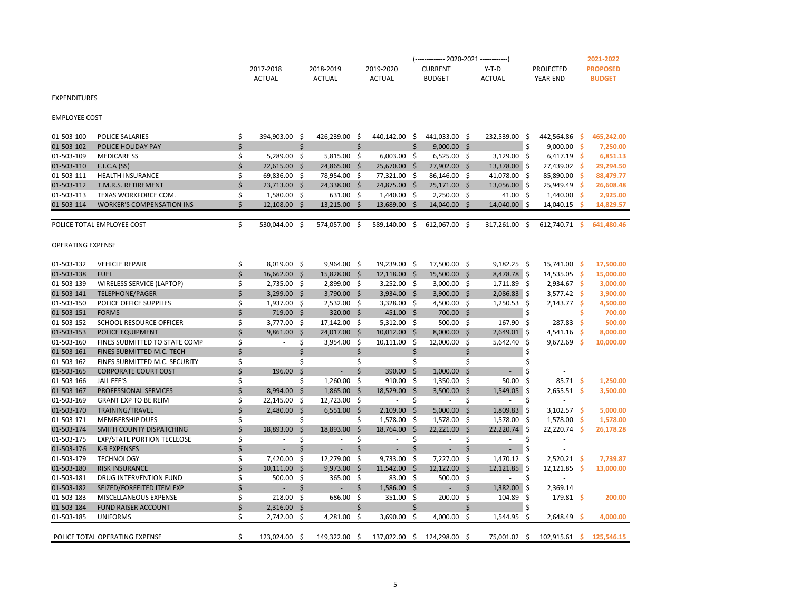|               |           |           | (------------- 2020-2021 ------------) |        |           | 2021-2022       |
|---------------|-----------|-----------|----------------------------------------|--------|-----------|-----------------|
| 2017-2018     | 2018-2019 | 2019-2020 | <b>CURRENT</b>                         | Y-T-D  | PROJECTED | <b>PROPOSED</b> |
| <b>ACTUAL</b> | ACTUAL    | ACTUAL    | <b>BUDGET</b>                          | ACTUAL | YEAR END  | <b>BUDGET</b>   |

| EXPENDITURES  |
|---------------|
| EMPLOYEE COST |

01-503-100 POLICE SALARIES \$ \$ 394,903.00 \$ 426,239.00 \$ 440,142.00 \$ 441,033.00 \$ 232,539.00 \$ 442,564.86 \$ 465,242.00 01-503-102 POLICE HOLIDAY PAY **\$** 5  $\sim$  \$ 9,000.00 \$ 5  $\sim$  \$ 9,000.00 \$ 7,250.00 01-503-109 MEDICARE SS \$ 5,289.00 \$ 5,815.00 \$ 6,003.00 \$ 6,525.00 \$ 3,129.00 \$ 6,417.19 **\$ 6,851.13** 01-503-110 F.I.C.A (SS) \$ 22,615.00 \$ 24,865.00 \$ 25,670.00 \$ 27,902.00 \$ 13,378.00 \$ 27,439.02 **\$ 29,294.50** 01-503-111 HEALTH INSURANCE \$ 69,836.00 \$ 78,954.00 \$ 77,321.00 \$ 86,146.00 \$ 41,078.00 \$ 85,890.00 **\$ 88,479.77** 01-503-112 T.M.R.S. RETIREMENT \$ 23,713.00 \$ 24,338.00 \$ 24,875.00 \$ 25,171.00 \$ 13,056.00 \$ 25,949.49 **\$ 26,608.48** 01-503-113 TEXAS WORKFORCE COM. \$ 1,580.00 \$ 631.00 \$ 1,440.00 \$ 2,250.00 \$ 41.00 \$ 1,440.00 **\$ 2,925.00** 01-503-114 WORKER'S COMPENSATION INS \$ 12,108.00 \$ 13,215.00 \$ 13,689.00 \$ 14,040.00 \$ 14,040.00 \$ 14,040.15 **\$ 14,829.57** POLICE TOTAL EMPLOYEE COST **\$** 530,044.00 \$ 574,057.00 \$ 589,140.00 \$ 612,067.00 \$ 317,261.00 \$ 612,740.71 \$ 641,480.46

OPERATING EXPENSE

| 01-503-132 | <b>VEHICLE REPAIR</b>             | Ś  | 8,019.00 \$   |     | $9,964.00$ \$ |              | 19,239.00 \$  |      | 17,500.00 \$  |              | $9,182.25$ \$ |              | 15,741.00 \$      |     | 17,500.00  |
|------------|-----------------------------------|----|---------------|-----|---------------|--------------|---------------|------|---------------|--------------|---------------|--------------|-------------------|-----|------------|
| 01-503-138 | <b>FUEL</b>                       | Ś  | 16,662.00 \$  |     | 15,828.00 \$  |              | 12,118.00     | S    | 15,500.00 \$  |              | 8,478.78 \$   |              | 14,535.05 \$      |     | 15,000.00  |
| 01-503-139 | WIRELESS SERVICE (LAPTOP)         |    | 2,735.00 \$   |     | 2,899.00 \$   |              | 3,252.00      | - \$ | $3,000.00$ \$ |              | 1,711.89      | - S          | $2,934.67$ \$     |     | 3,000.00   |
| 01-503-141 | <b>TELEPHONE/PAGER</b>            |    | 3,299.00      | -S  | 3,790.00      | Ŝ.           | 3,934.00      | S    | 3,900.00      | .S           | 2,086.83      | -S           | $3,577.42$ \$     |     | 3,900.00   |
| 01-503-150 | POLICE OFFICE SUPPLIES            |    | 1,937.00      | -S  | 2,532.00 \$   |              | 3,328.00      | -\$  | 4,500.00 \$   |              | 1,250.53      | -S           | 2,143.77          | -S  | 4,500.00   |
| 01-503-151 | <b>FORMS</b>                      |    | 719.00 \$     |     | 320.00 \$     |              | 451.00        | S    | 700.00        | Ŝ            |               |              |                   |     | 700.00     |
| 01-503-152 | <b>SCHOOL RESOURCE OFFICER</b>    |    | 3,777.00      | -Ŝ  | 17,142.00 \$  |              | $5,312.00$ \$ |      | 500.00 \$     |              | 167.90        | -S           | 287.83            | -S  | 500.00     |
| 01-503-153 | <b>POLICE EQUIPMENT</b>           | Ś  | 9,861.00      | -S  | 24,017.00     | <sub>S</sub> | 10,012.00     | S    | 8,000.00      | S            | $2,649.01$ \$ |              | 4,541.16          | - S | 8,000.00   |
| 01-503-160 | FINES SUBMITTED TO STATE COMP     |    |               | Ś   | 3,954.00 \$   |              | 10,111.00     | S    | 12,000.00     | -Ŝ           | 5,642.40      | -S           | 9,672.69          | -Ś  | 10,000.00  |
| 01-503-161 | FINES SUBMITTED M.C. TECH         |    |               |     |               | Ś            |               | Ś    |               |              |               |              |                   |     |            |
| 01-503-162 | FINES SUBMITTED M.C. SECURITY     |    |               |     |               |              |               |      |               |              |               |              |                   |     |            |
| 01-503-165 | <b>CORPORATE COURT COST</b>       |    | 196.00        | Ś   |               |              | 390.00        | Ŝ    | 1,000.00      |              |               |              |                   |     |            |
| 01-503-166 | JAIL FEE'S                        |    |               | Ś   | 1,260.00 \$   |              | 910.00        | -S   | 1,350.00 \$   |              | 50.00         | <sub>S</sub> | $85.71$ \$        |     | 1,250.00   |
| 01-503-167 | <b>PROFESSIONAL SERVICES</b>      | Ś  | 8,994.00      | Ŝ.  | 1,865.00      | <sub>S</sub> | 18,529.00     | S    | 3,500.00      |              | 1,549.05      | -S           | $2,655.51$ \$     |     | 3,500.00   |
| 01-503-169 | <b>GRANT EXP TO BE REIM</b>       | Ś  | 22,145.00     | -S  | 12,723.00 \$  |              |               | \$   |               |              |               |              |                   |     |            |
| 01-503-170 | <b>TRAINING/TRAVEL</b>            |    | 2,480.00      | -S  | 6,551.00      | Ŝ            | 2,109.00      | Ŝ    | 5,000.00      |              | 1,809.83      | S.           | $3,102.57$ \$     |     | 5,000.00   |
| 01-503-171 | <b>MEMBERSHIP DUES</b>            | \$ |               | Ś   |               | Ŝ            | 1,578.00      | -S   | 1,578.00 \$   |              | 1,578.00      | -S           | 1,578.00 \$       |     | 1,578.00   |
| 01-503-174 | SMITH COUNTY DISPATCHING          |    | 18,893.00     | Ŝ.  | 18,893.00     |              | 18,764.00     | S    | 22,221.00     |              | 22,220.74     |              | 22,220.74 \$      |     | 26,178.28  |
| 01-503-175 | <b>EXP/STATE PORTION TECLEOSE</b> |    |               | Ś   |               |              |               |      |               |              |               |              |                   |     |            |
| 01-503-176 | K-9 EXPENSES                      |    |               |     |               |              |               |      |               |              |               |              |                   |     |            |
| 01-503-179 | <b>TECHNOLOGY</b>                 |    | 7,420.00      | Ŝ   | 12,279.00     | -S           | 9.733.00      | Ŝ    | 7.227.00      | -Ŝ           | 1,470.12      | -S           | $2,520.21$ \$     |     | 7,739.87   |
| 01-503-180 | <b>RISK INSURANCE</b>             |    | 10,111.00     | - Ś | 9.973.00      | $\varsigma$  | 11,542.00     | Ŝ    | 12.122.00     | <sup>S</sup> | 12,121.85     | -S           | $12,121.85$ \$    |     | 13,000.00  |
| 01-503-181 | DRUG INTERVENTION FUND            |    | 500.00        | -S  | 365.00 \$     |              | 83.00         | -Ŝ   | 500.00        | Ŝ            |               |              |                   |     |            |
| 01-503-182 | SEIZED/FORFEITED ITEM EXP         |    |               | Ś   |               | Ŝ            | 1,586.00      | Ŝ    | ٠             | Ś            | 1,382.00      |              | 2,369.14          |     |            |
| 01-503-183 | <b>MISCELLANEOUS EXPENSE</b>      |    | 218.00        | Ŝ   | 686.00        | Ŝ            | 351.00        | Ŝ    | 200.00        | Ŝ            | 104.89        | -S           | $179.81 \quad$ \$ |     | 200.00     |
| 01-503-184 | <b>FUND RAISER ACCOUNT</b>        | Ś  | 2,316.00      | -Ŝ  |               |              |               | Ś    |               |              |               |              |                   |     |            |
| 01-503-185 | <b>UNIFORMS</b>                   | Ś  | 2,742.00 \$   |     | 4,281.00 \$   |              | 3,690.00      | -\$  | 4,000.00      | -Ŝ           | 1,544.95      | -S           | $2,648.49$ \$     |     | 4,000.00   |
|            |                                   |    |               |     |               |              |               |      |               |              |               |              |                   |     |            |
|            | POLICE TOTAL OPERATING EXPENSE    | Ś  | 123,024.00 \$ |     | 149,322.00 \$ |              | 137,022.00    | Ŝ.   | 124,298.00 \$ |              | 75,001.02 \$  |              | 102,915.61        | s   | 125,546.15 |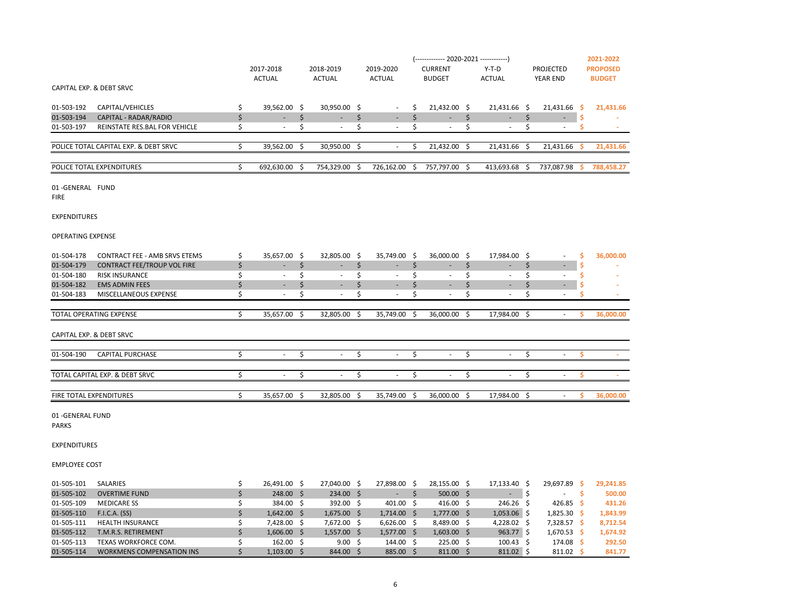|            |                                       |                          |    |                          |                          |                          |                          |    |                          | 2021-2022       |
|------------|---------------------------------------|--------------------------|----|--------------------------|--------------------------|--------------------------|--------------------------|----|--------------------------|-----------------|
|            |                                       | 2017-2018                |    | 2018-2019                | 2019-2020                | <b>CURRENT</b>           | $Y-T-D$                  |    | <b>PROJECTED</b>         | <b>PROPOSED</b> |
|            |                                       | <b>ACTUAL</b>            |    | <b>ACTUAL</b>            | <b>ACTUAL</b>            | <b>BUDGET</b>            | <b>ACTUAL</b>            |    | <b>YEAR END</b>          | <b>BUDGET</b>   |
|            | CAPITAL EXP. & DEBT SRVC              |                          |    |                          |                          |                          |                          |    |                          |                 |
| 01-503-192 | CAPITAL/VEHICLES                      | 39,562.00                | -S | 30,950.00 \$             |                          | 21,432.00 \$             | 21,431.66                | -S | 21,431.66                | 21,431.66       |
| 01-503-194 | CAPITAL - RADAR/RADIO                 | $\overline{\phantom{a}}$ |    | $\overline{\phantom{a}}$ | $\overline{\phantom{a}}$ | $\overline{\phantom{a}}$ | $\overline{\phantom{0}}$ |    |                          |                 |
| 01-503-197 | REINSTATE RES.BAL FOR VEHICLE         | $\overline{\phantom{a}}$ |    | $\overline{\phantom{a}}$ |                          | $\sim$                   |                          |    | $\overline{\phantom{a}}$ |                 |
|            | POLICE TOTAL CAPITAL EXP. & DEBT SRVC | 39.562.00 \$             |    | 30,950.00 \$             |                          | 21.432.00 S              | 21.431.66                | -S | 21.431.66                | 21.431.66       |
|            | POLICE TOTAL EXPENDITURES             | 692,630.00               |    | 754,329.00               | 726,162.00               | 757,797.00 \$            | 413.693.68               |    | 737,087.98               | 788,458.27      |

01 -GENERAL FUND

FIRE

| 3-192 | CAPITAL/VEHICLES                 | 39.562.00      | 30,950.00 \$ |            | 21.432.00                | 21,431.66  | 21.  |
|-------|----------------------------------|----------------|--------------|------------|--------------------------|------------|------|
| 3-194 | CAPITAL - RADAR/RADIO            |                |              |            |                          |            |      |
| 3-197 | REINSTATE RES.BAL FOR VEHICLE    | $\overline{a}$ |              |            | $\overline{\phantom{a}}$ |            |      |
|       |                                  |                |              |            |                          |            |      |
|       | E TOTAL CAPITAL EXP. & DEBT SRVC | 39.562.00      | 30.950.00 \$ |            | 21.432.00                | 21.431.66  | 21.  |
|       |                                  |                |              |            |                          |            |      |
|       | E TOTAL EXPENDITURES             | 692.630.00     | 754.329.00   | 726.162.00 | 757.797.00               | 413.693.68 | 737, |
|       |                                  |                |              |            |                          |            |      |

EXPENDITURES

OPERATING EXPENSE

| 01-504-178               | <b>CONTRACT FEE - AMB SRVS ETEMS</b> | 35,657.00 \$ | 32,805.00 \$             | 35,749.00 | - S | 36,000.00 \$             | 17,984.00 \$ | $\sim$ | 36,000.00 |
|--------------------------|--------------------------------------|--------------|--------------------------|-----------|-----|--------------------------|--------------|--------|-----------|
| 01-504-179               | CONTRACT FEE/TROUP VOL FIRE          | ٠            |                          |           |     |                          | ÷            | $\sim$ |           |
| 01-504-180               | <b>RISK INSURANCE</b>                | ٠            | $\overline{\phantom{a}}$ | $\sim$    |     | $\overline{\phantom{a}}$ | $\sim$       |        |           |
| 01-504-182               | <b>EMS ADMIN FEES</b>                |              |                          | $\sim$    |     | -                        | ۰            | ۰      |           |
| 01-504-183               | MISCELLANEOUS EXPENSE                |              |                          |           |     |                          |              |        |           |
|                          |                                      |              |                          |           |     |                          |              |        |           |
|                          | <b>TOTAL OPERATING EXPENSE</b>       | 35,657.00    | 32,805.00                | 35,749.00 |     | 36,000.00                | 17,984.00    |        | 36,000.00 |
|                          |                                      |              |                          |           |     |                          |              |        |           |
| CAPITAL EXP. & DEBT SRVC |                                      |              |                          |           |     |                          |              |        |           |
| 01-504-190               | <b>CAPITAL PURCHASE</b>              |              |                          |           |     |                          |              |        |           |
|                          |                                      |              |                          |           |     |                          |              |        |           |
|                          | TOTAL CAPITAL EXP. & DEBT SRVC       |              |                          |           |     |                          |              |        |           |
| FIRE TOTAL EXPENDITURES  |                                      | 35,657.00    | 32,805.00 \$             | 35,749.00 |     | 36,000.00                | 17,984.00    |        | 36,000.00 |

01 -GENERAL FUND

PARKS

EXPENDITURES

EMPLOYEE COST

| 01-505-101 | SALARIES                         | 26.491.00           | 27.040.00 \$      | 27.898.00 | 28.155.00 \$  | 17.133.40 S       | 29.697.89                | 29,241.85 |
|------------|----------------------------------|---------------------|-------------------|-----------|---------------|-------------------|--------------------------|-----------|
| 01-505-102 | <b>OVERTIME FUND</b>             | 248.00 \$           | 234.00 \$         |           | $500.00$ \$   | ٠                 | $\overline{\phantom{a}}$ | 500.00    |
| 01-505-109 | MEDICARE SS                      | 384.00 \$           | 392.00 \$         | 401.00 \$ | 416.00 \$     | 246.26 \$         | $426.85$ \$              | 431.26    |
| 01-505-110 | <b>F.I.C.A. (SS)</b>             | $1.642.00$ \$       | $1,675.00$ \$     | 1,714.00  | $1.777.00$ \$ | $1,053.06$ \$     | 1,825.30                 | 1,843.99  |
| 01-505-111 | <b>HEALTH INSURANCE</b>          | 7.428.00 \$         | 7.672.00 \$       | 6.626.00  | 8.489.00 \$   | 4,228.02          | 7,328.57                 | 8,712.54  |
| 01-505-112 | <b>T.M.R.S. RETIREMENT</b>       | $1,606.00$ \$       | 1,557.00 \$       | 1,577.00  | $1,603.00$ \$ | 963.77            | 1,670.53                 | 1,674.92  |
| 01-505-113 | TEXAS WORKFORCE COM.             | 162.00 <sub>5</sub> | 9.00 <sup>5</sup> | 144.00 S  | 225.00 \$     | $100.43 \quad$ \$ | 174.08 \$                | 292.50    |
| 01-505-114 | <b>WORKMENS COMPENSATION INS</b> | $1,103.00$ \$       | 844.00 \$         | 885.00    | $811.00$ \$   | $811.02$ \$       | 811.02                   | 841.77    |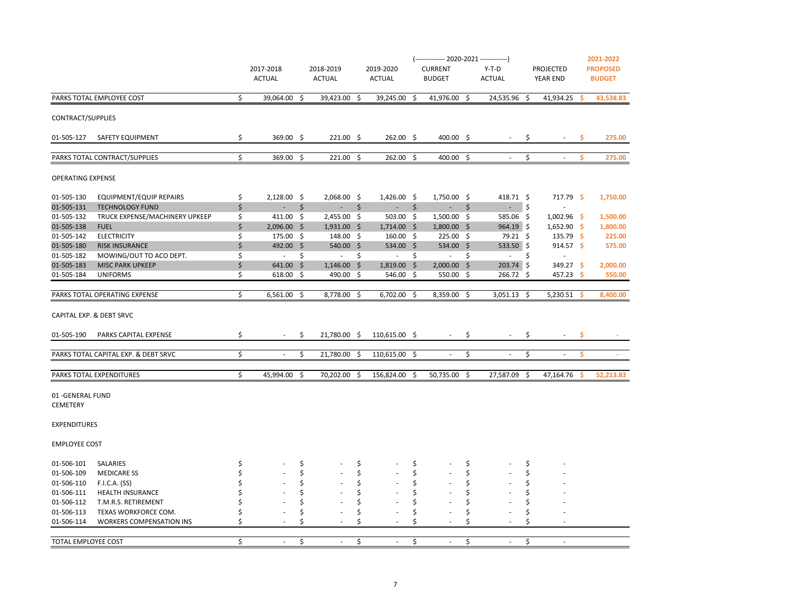|                                               |    | 2017-2018<br><b>ACTUAL</b> |    | 2018-2019<br><b>ACTUAL</b> |    | 2019-2020<br><b>ACTUAL</b> |      | (------------- 2020-2021 ------------)<br><b>CURRENT</b><br><b>BUDGET</b> |    | $Y-T-D$<br><b>ACTUAL</b> |    | PROJECTED<br><b>YEAR END</b> |    | 2021-2022<br><b>PROPOSED</b><br><b>BUDGET</b> |
|-----------------------------------------------|----|----------------------------|----|----------------------------|----|----------------------------|------|---------------------------------------------------------------------------|----|--------------------------|----|------------------------------|----|-----------------------------------------------|
| PARKS TOTAL EMPLOYEE COST                     | \$ | 39,064.00 \$               |    | 39,423.00 \$               |    | 39,245.00 \$               |      | 41,976.00 \$                                                              |    | 24,535.96 \$             |    | 41,934.25                    | Ŝ. | 43,538.83                                     |
| CONTRACT/SUPPLIES                             |    |                            |    |                            |    |                            |      |                                                                           |    |                          |    |                              |    |                                               |
| 01-505-127 SAFETY EQUIPMENT                   | \$ | $369.00$ \$                |    | $221.00$ \$                |    | 262.00 \$                  |      | 400.00 \$                                                                 |    | $\sim$                   | \$ | $\sim$                       | s. | 275.00                                        |
| PARKS TOTAL CONTRACT/SUPPLIES                 | \$ | 369.00 \$                  |    | $221.00$ \$                |    | 262.00 \$                  |      | 400.00 \$                                                                 |    | $\sim$                   | \$ | $\sim$                       | \$ | 275.00                                        |
| <b>OPERATING EXPENSE</b>                      |    |                            |    |                            |    |                            |      |                                                                           |    |                          |    |                              |    |                                               |
| 01-505-130<br>EQUIPMENT/EQUIP REPAIRS         | \$ | $2,128.00$ \$              |    | 2,068.00 \$                |    | $1,426.00$ \$              |      | $1,750.00$ \$                                                             |    | 418.71 \$                |    | 717.79 \$                    |    | 1,750.00                                      |
| 01-505-131<br><b>TECHNOLOGY FUND</b>          | \$ | $\sim$                     | Ŝ. | ÷.                         | Ŝ. | $\sim$                     | Ŝ.   | $\sim$                                                                    | Ŝ. | $-$ \$                   |    |                              |    |                                               |
| 01-505-132<br>TRUCK EXPENSE/MACHINERY UPKEEP  | \$ | $411.00$ \$                |    | $2,455.00$ \$              |    | $503.00$ \$                |      | $1,500.00$ \$                                                             |    | 585.06 \$                |    | $1,002.96$ \$                |    | 1,500.00                                      |
| 01-505-138<br><b>FUEL</b>                     | \$ | $2,096.00$ \$              |    | $1,931.00$ \$              |    | $1,714.00 \div$            |      | $1,800.00$ \$                                                             |    | $964.19$ \$              |    | $1,652.90$ \$                |    | 1,800.00                                      |
| 01-505-142<br><b>ELECTRICITY</b>              | \$ | 175.00 \$                  |    | 148.00%                    |    | $160.00 \div$              |      | $225.00$ \$                                                               |    | 79.21 \$                 |    | $135.79$ \$                  |    | 225.00                                        |
| 01-505-180<br><b>RISK INSURANCE</b>           | \$ | 492.00 \$                  |    | $540.00$ \$                |    | 534.00 \$                  |      | $534.00$ \$                                                               |    | 533.50 \$                |    | $914.57$ \$                  |    | 575.00                                        |
| 01-505-182<br>MOWING/OUT TO ACO DEPT.         | \$ | $\sigma_{\rm{max}}$        | \$ | $-5$                       |    | $\sim 100$                 | \$   | $\sim 100$                                                                | \$ | $\sim 10$                | \$ | $\blacksquare$               |    |                                               |
| 01-505-183<br><b>MISC PARK UPKEEP</b>         | \$ | $641.00 \div$              |    | $1,146.00$ \$              |    | $1,819.00$ \$              |      | $2,000.00$ \$                                                             |    | $203.74$ \$              |    | $349.27$ \$                  |    | 2,000.00                                      |
| 01-505-184<br><b>UNIFORMS</b>                 | \$ | 618.00 \$                  |    | 490.00 \$                  |    | $546.00$ \$                |      | $550.00$ \$                                                               |    | 266.72 \$                |    | $457.23$ \$                  |    | 550.00                                        |
| PARKS TOTAL OPERATING EXPENSE                 | \$ | 6,561.00 \$                |    | 8,778.00 \$                |    | 6,702.00                   | \$   | 8,359.00 \$                                                               |    | $3,051.13$ \$            |    | 5,230.51                     | -S | 8,400.00                                      |
| CAPITAL EXP. & DEBT SRVC                      |    |                            |    |                            |    |                            |      |                                                                           |    |                          |    |                              |    |                                               |
| 01-505-190<br>PARKS CAPITAL EXPENSE           | \$ | $\sim$                     | \$ | 21,780.00 \$               |    | 110,615.00 \$              |      | $\sim$                                                                    | \$ | $\sim 10$                | \$ | $\sim$                       | \$ | $\sim$                                        |
| PARKS TOTAL CAPITAL EXP. & DEBT SRVC          | \$ | $\sim$                     | \$ | 21,780.00 \$               |    | 110,615.00 \$              |      | $\sim$                                                                    | \$ | $\sim$                   | \$ | $\sim$                       | Ŝ. | <b>College</b>                                |
|                                               |    |                            |    |                            |    |                            |      |                                                                           |    |                          |    |                              |    |                                               |
| PARKS TOTAL EXPENDITURES                      | \$ | 45,994.00 \$               |    | 70,202.00 \$               |    | 156,824.00                 | - \$ | 50,735.00 \$                                                              |    | 27,587.09 \$             |    | 47,164.76                    | -Ś | 52,213.83                                     |
| 01-GENERAL FUND<br><b>CEMETERY</b>            |    |                            |    |                            |    |                            |      |                                                                           |    |                          |    |                              |    |                                               |
| <b>EXPENDITURES</b>                           |    |                            |    |                            |    |                            |      |                                                                           |    |                          |    |                              |    |                                               |
| <b>EMPLOYEE COST</b>                          |    |                            |    |                            |    |                            |      |                                                                           |    |                          |    |                              |    |                                               |
| 01-506-101<br>SALARIES                        |    |                            | \$ |                            | \$ |                            | \$   |                                                                           | \$ |                          | \$ |                              |    |                                               |
| 01-506-109<br><b>MEDICARE SS</b>              |    |                            | Ś  |                            | \$ |                            | Ś    |                                                                           | Ś  |                          | \$ |                              |    |                                               |
| 01-506-110<br>F.I.C.A. (SS)                   |    |                            | \$ |                            | \$ |                            | \$   |                                                                           | \$ |                          | Ś  |                              |    |                                               |
| 01-506-111<br><b>HEALTH INSURANCE</b>         |    |                            | Ś  |                            | S  |                            | Ŝ    |                                                                           | \$ |                          |    |                              |    |                                               |
| 01-506-112<br>T.M.R.S. RETIREMENT             |    |                            | Ś  |                            | Ś  |                            | Ś    |                                                                           | Ś  |                          | Ŝ  |                              |    |                                               |
| 01-506-113<br>TEXAS WORKFORCE COM.            |    |                            | \$ |                            | \$ |                            | Ŝ    |                                                                           | \$ |                          | \$ |                              |    |                                               |
| 01-506-114<br><b>WORKERS COMPENSATION INS</b> | Ś  |                            | Ś  |                            | Ś  |                            | Ŝ    |                                                                           | Ś  |                          | \$ |                              |    |                                               |
| TOTAL EMPLOYEE COST                           | \$ |                            | \$ |                            | \$ |                            | \$   |                                                                           | \$ |                          | \$ |                              |    |                                               |
|                                               |    |                            |    |                            |    |                            |      |                                                                           |    |                          |    |                              |    |                                               |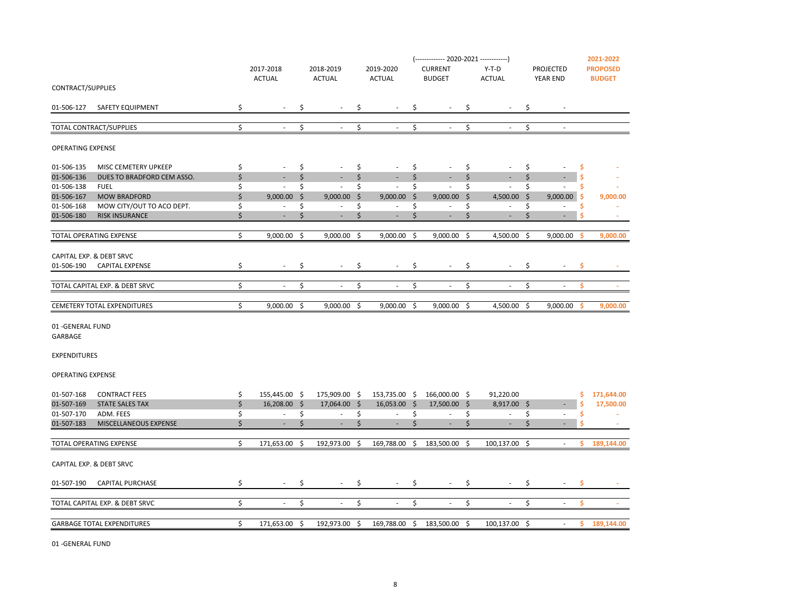|                          |                                    |                                |     |                             |                                   |                     | (------------- 2020-2021 ------------) |              |                          |               |                                 | 2021-2022       |
|--------------------------|------------------------------------|--------------------------------|-----|-----------------------------|-----------------------------------|---------------------|----------------------------------------|--------------|--------------------------|---------------|---------------------------------|-----------------|
|                          |                                    | 2017-2018                      |     | 2018-2019                   | 2019-2020                         |                     | <b>CURRENT</b>                         |              | $Y-T-D$                  |               | PROJECTED                       | <b>PROPOSED</b> |
|                          |                                    | <b>ACTUAL</b>                  |     | <b>ACTUAL</b>               | <b>ACTUAL</b>                     |                     | <b>BUDGET</b>                          |              | <b>ACTUAL</b>            |               | <b>YEAR END</b>                 | <b>BUDGET</b>   |
| CONTRACT/SUPPLIES        |                                    |                                |     |                             |                                   |                     |                                        |              |                          |               |                                 |                 |
| 01-506-127               | SAFETY EQUIPMENT                   | \$<br>$\overline{\phantom{a}}$ | \$  |                             | \$<br>$\overline{\phantom{a}}$    | \$                  | $\sim$                                 | \$           | $\sim$                   | \$            | $\overline{\phantom{a}}$        |                 |
|                          |                                    |                                |     |                             |                                   |                     |                                        |              |                          |               |                                 |                 |
|                          | TOTAL CONTRACT/SUPPLIES            | \$<br>$\sim$                   | \$  | $\mathcal{L}_{\mathcal{A}}$ | \$<br>$\mathcal{L}_{\mathcal{A}}$ | \$                  | $\sim$                                 | \$           | $\sim$                   | \$            | $\blacksquare$                  |                 |
| <b>OPERATING EXPENSE</b> |                                    |                                |     |                             |                                   |                     |                                        |              |                          |               |                                 |                 |
| 01-506-135               | MISC CEMETERY UPKEEP               | \$<br>$\overline{\phantom{a}}$ | \$  | $\overline{\phantom{a}}$    | \$<br>$\overline{\phantom{a}}$    | \$                  | $\overline{\phantom{a}}$               | \$           | $\sim$                   | \$            | \$                              |                 |
| 01-506-136               | DUES TO BRADFORD CEM ASSO.         | \$                             | \$  | ÷,                          | \$                                | \$                  | $\overline{\phantom{a}}$               | \$           | ÷,                       | \$            | \$                              |                 |
| 01-506-138               | <b>FUEL</b>                        | \$<br>$\sim$                   | \$  | $\sim$                      | \$<br>$\sim$                      | \$                  | $\sim$                                 | \$           | $\sim$                   | \$            | \$<br>$\sim$                    |                 |
| 01-506-167               | <b>MOW BRADFORD</b>                | \$<br>$9,000.00$ \$            |     | $9,000.00$ \$               | $9,000.00$ \$                     |                     | 9,000.00                               | $\mathsf{S}$ | 4,500.00 \$              |               | -\$<br>9,000.00                 | 9,000.00        |
| 01-506-168               | MOW CITY/OUT TO ACO DEPT.          | \$<br>$\overline{\phantom{a}}$ | \$  | $\overline{\phantom{a}}$    | \$<br>٠                           | \$                  | $\sim$                                 | \$           | ÷                        | \$            | \$<br>$\overline{\phantom{a}}$  |                 |
| 01-506-180               | <b>RISK INSURANCE</b>              | \$<br>$\sim$                   | \$  | $\overline{\phantom{a}}$    | \$<br>$\overline{\phantom{a}}$    | \$                  | $\sim$                                 | \$           | $\sim$                   | $\frac{1}{2}$ | Ś<br>$\sim$                     | a.              |
|                          |                                    |                                |     |                             |                                   |                     |                                        |              |                          |               |                                 |                 |
|                          | TOTAL OPERATING EXPENSE            | \$<br>$9,000.00$ \$            |     | $9,000.00$ \$               | 9,000.00                          | $\ddot{\mathsf{s}}$ | 9,000.00 \$                            |              | 4,500.00                 | $\zeta$       | 9,000.00<br>-Ś                  | 9,000.00        |
|                          | CAPITAL EXP. & DEBT SRVC           |                                |     |                             |                                   |                     |                                        |              |                          |               |                                 |                 |
| 01-506-190               | <b>CAPITAL EXPENSE</b>             | \$<br>$\sim$                   | \$  | $\overline{\phantom{a}}$    | \$<br>$\overline{\phantom{a}}$    | \$                  | $\sim$                                 | \$           | $\sim$                   | \$            | \$                              |                 |
|                          |                                    |                                |     |                             |                                   |                     |                                        |              |                          |               |                                 |                 |
|                          | TOTAL CAPITAL EXP. & DEBT SRVC     | \$<br>$\overline{\phantom{a}}$ | \$  | $\overline{\phantom{a}}$    | \$<br>$\overline{\phantom{a}}$    | \$                  | $\overline{\phantom{a}}$               | \$           | $\overline{\phantom{a}}$ | \$            | \$<br>$\overline{\phantom{a}}$  | $\sim$          |
|                          |                                    |                                |     |                             |                                   |                     |                                        |              |                          |               |                                 |                 |
|                          | <b>CEMETERY TOTAL EXPENDITURES</b> | \$<br>$9,000.00$ \$            |     | $9,000.00$ \$               | $9,000.00$ \$                     |                     | $9,000.00$ \$                          |              | 4,500.00 \$              |               | $9,000.00$ \$                   | 9,000.00        |
|                          |                                    |                                |     |                             |                                   |                     |                                        |              |                          |               |                                 |                 |
| 01-GENERAL FUND          |                                    |                                |     |                             |                                   |                     |                                        |              |                          |               |                                 |                 |
| GARBAGE                  |                                    |                                |     |                             |                                   |                     |                                        |              |                          |               |                                 |                 |
| <b>EXPENDITURES</b>      |                                    |                                |     |                             |                                   |                     |                                        |              |                          |               |                                 |                 |
|                          |                                    |                                |     |                             |                                   |                     |                                        |              |                          |               |                                 |                 |
| <b>OPERATING EXPENSE</b> |                                    |                                |     |                             |                                   |                     |                                        |              |                          |               |                                 |                 |
|                          |                                    |                                |     |                             |                                   |                     |                                        |              |                          |               |                                 |                 |
| 01-507-168               | <b>CONTRACT FEES</b>               | \$<br>155,445.00 \$            |     | 175,909.00 \$               | 153,735.00 \$                     |                     | 166,000.00 \$                          |              | 91,220.00                |               | \$                              | 171,644.00      |
| 01-507-169               | <b>STATE SALES TAX</b>             | \$<br>$16,208.00$ \$           |     | 17,064.00 \$                | 16,053.00 \$                      |                     | 17,500.00 \$                           |              | 8,917.00 \$              |               | \$                              | 17,500.00       |
| 01-507-170               | ADM. FEES                          | \$<br>$\sim$                   | \$  | $\sim$                      | \$<br>$\sim$                      | \$                  | $\sim$                                 | \$           | $\sim$                   | \$            | \$<br>$\overline{\phantom{a}}$  |                 |
| 01-507-183               | MISCELLANEOUS EXPENSE              | \$<br>$\sim$                   | \$  | $\overline{\phantom{a}}$    | \$<br>٠                           | \$                  | $\sim$                                 | \$           | $\sim$                   | \$            | Ś.                              |                 |
|                          | TOTAL OPERATING EXPENSE            | \$<br>171,653.00 \$            |     | 192,973.00 \$               | 169,788.00                        | \$                  | 183,500.00                             | \$           | 100,137.00 \$            |               | \$.<br>$\overline{\phantom{a}}$ | 189,144.00      |
|                          |                                    |                                |     |                             |                                   |                     |                                        |              |                          |               |                                 |                 |
|                          | CAPITAL EXP. & DEBT SRVC           |                                |     |                             |                                   |                     |                                        |              |                          |               |                                 |                 |
| 01-507-190               | <b>CAPITAL PURCHASE</b>            | \$                             | \$  |                             | \$                                | \$                  |                                        | \$           |                          | \$            | \$                              |                 |
|                          |                                    |                                |     |                             |                                   |                     |                                        |              |                          |               |                                 |                 |
|                          | TOTAL CAPITAL EXP. & DEBT SRVC     | \$<br>$\sim$                   | \$  | $\overline{\phantom{a}}$    | \$<br>$\sim$                      | \$                  | $\sim$                                 | \$           | $\sim$                   | \$            | \$<br>$\sim$                    | <b>Section</b>  |
|                          | <b>GARBAGE TOTAL EXPENDITURES</b>  | \$<br>171,653.00               | -\$ | 192,973.00 \$               | 169,788.00                        | \$                  | 183,500.00                             | \$           | 100,137.00               | \$            | \$.<br>$\blacksquare$           | 189,144.00      |
|                          |                                    |                                |     |                             |                                   |                     |                                        |              |                          |               |                                 |                 |

01 -GENERAL FUND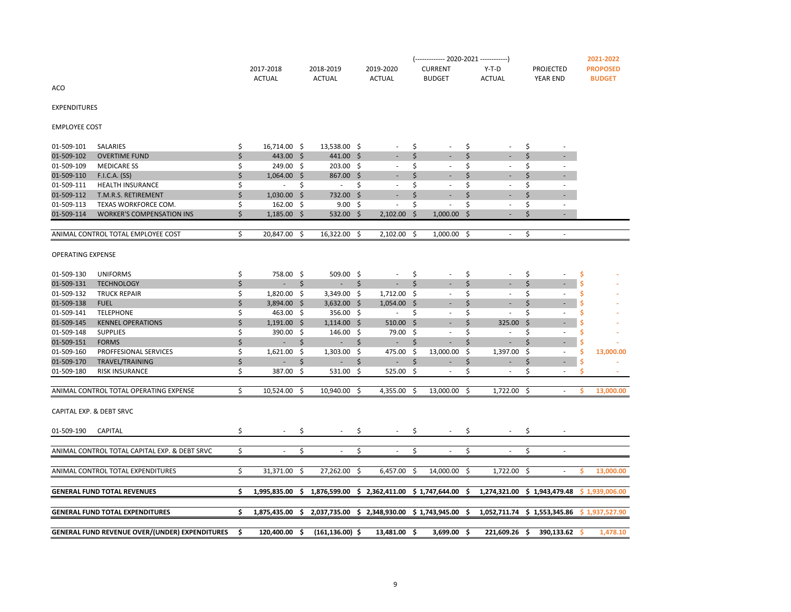| 01-509-111<br>\$<br>\$<br>\$<br>\$<br>\$<br><b>HEALTH INSURANCE</b><br>\$.<br>$\sim$<br>$\blacksquare$<br>$\sim$<br>$\overline{\phantom{a}}$<br>٠<br>01-509-112<br>\$<br>732.00 \$<br>\$<br>\$<br>\$<br>T.M.R.S. RETIREMENT<br>$1,030.00$ \$<br>$\sim$<br>٠<br>٠<br>01-509-113<br>\$<br>9.00%<br>\$<br>Ś<br>\$<br>TEXAS WORKFORCE COM.<br>$162.00 \quad $$<br>$\overline{\phantom{a}}$<br>$\overline{\phantom{a}}$<br>$\sim$<br>$\sim$<br>01-509-114<br>Ś<br>\$<br><b>WORKER'S COMPENSATION INS</b><br>$1,185.00$ \$<br>$532.00$ \$<br>2,102.00<br>\$<br>1,000.00<br>\$<br>$\sim$<br>\$<br>ANIMAL CONTROL TOTAL EMPLOYEE COST<br>Ś.<br>20,847.00 \$<br>16,322.00 \$<br>$2,102.00$ \$<br>$1,000.00$ \$<br>×.<br>×.<br><b>OPERATING EXPENSE</b><br>01-509-130<br><b>UNIFORMS</b><br>\$<br>758.00 \$<br>509.00 \$<br>\$<br>Ś<br>\$<br>\$<br>$\sim$<br>$\sim$<br>$\overline{\phantom{a}}$<br>01-509-131<br>\$<br>\$<br>Ś.<br>\$<br>Ś.<br>Ŝ.<br><b>TECHNOLOGY</b><br>÷.<br>$\sim 100$<br>$\sim 100$<br>$\sim$<br>$\sim$<br>٠<br>01-509-132<br>\$<br>\$<br>\$<br><b>TRUCK REPAIR</b><br>1,820.00 \$<br>3,349.00 \$<br>1,712.00 \$<br>Ś<br>$\overline{\phantom{a}}$<br>$\overline{\phantom{a}}$<br>01-509-138<br><b>FUEL</b><br>Ś<br>3,894.00 \$<br>$3,632.00$ \$<br>$1,054.00$ \$<br>Ś.<br>Ś.<br>$\sim$<br>÷<br>01-509-141<br>\$<br>\$<br><b>TELEPHONE</b><br>463.00 \$<br>356.00 \$<br>\$<br>Ś<br>Ś<br>$\sim$<br>$\overline{\phantom{a}}$<br>$\overline{\phantom{a}}$<br>01-509-145<br><b>KENNEL OPERATIONS</b><br>Ś<br>$1,191.00$ \$<br>$1,114.00$ \$<br>510.00<br>Ś<br>325.00<br>Ŝ.<br>\$<br>01-509-148<br><b>SUPPLIES</b><br>146.00 \$<br>Ś<br>Ś<br>$390.00$ \$<br>79.00 \$<br>$\overline{\phantom{a}}$<br>$\overline{\phantom{a}}$<br>01-509-151<br>\$<br><b>FORMS</b><br>\$<br>\$<br>Ś<br>Ś.<br>\$<br>$\overline{\phantom{a}}$<br>$\sim 10$<br>н.<br>٠<br>٠<br>01-509-160<br>\$<br>PROFFESIONAL SERVICES<br>$1,621.00$ \$<br>$1,303.00$ \$<br>475.00 \$<br>13,000.00<br>\$.<br>1,397.00<br>S.<br>\$<br>13,000.00<br>$\overline{\phantom{a}}$<br>01-509-170<br>\$<br>TRAVEL/TRAINING<br>\$<br>\$<br>\$<br>\$<br>\$<br>$\sim 100$<br>$\sim$<br>$\sim$<br>٠<br>٠<br>$\overline{\phantom{a}}$<br>Ś<br>531.00 \$<br>525.00 \$<br>\$<br>Ś.<br>01-509-180<br><b>RISK INSURANCE</b><br>387.00 \$<br>ä,<br>S<br>$\overline{\phantom{a}}$<br>ANIMAL CONTROL TOTAL OPERATING EXPENSE<br>\$<br>Ś.<br>10,524.00 \$<br>10,940.00 \$<br>4,355.00 \$<br>13,000.00 \$<br>1,722.00 \$<br>13,000.00<br>$\overline{\phantom{a}}$<br>CAPITAL EXP. & DEBT SRVC<br>01-509-190<br>CAPITAL<br>\$<br>\$<br>\$.<br>\$<br>\$<br>\$<br>\$<br>\$<br>\$<br>\$<br>\$<br>\$<br>ANIMAL CONTROL TOTAL CAPITAL EXP. & DEBT SRVC<br>$\overline{\phantom{a}}$<br>$\overline{\phantom{a}}$<br>$\overline{\phantom{a}}$<br>$\overline{\phantom{a}}$<br>$\overline{\phantom{a}}$<br>$\overline{\phantom{a}}$<br>\$<br>ANIMAL CONTROL TOTAL EXPENDITURES<br>31,371.00 \$<br>27,262.00 \$<br>$6,457.00$ \$<br>14,000.00 \$<br>1,722.00 \$<br>13,000.00<br>s<br><b>GENERAL FUND TOTAL REVENUES</b><br>\$<br>1,876,599.00 \$ 2,362,411.00 \$ 1,747,644.00 \$<br>1,274,321.00 \$ 1,943,479.48 \$ 1,939,006.00<br>1,995,835.00 \$<br><b>GENERAL FUND TOTAL EXPENDITURES</b><br>\$<br>2,037,735.00 \$ 2,348,930.00 \$ 1,743,945.00 \$<br>$1,875,435.00$ \$<br>1,052,711.74 \$ 1,553,345.86<br>\$1,937,527.90<br><b>GENERAL FUND REVENUE OVER/(UNDER) EXPENDITURES</b><br>Ŝ.<br>1,478.10<br>120,400.00 \$<br>$(161, 136.00)$ \$<br>13,481.00 \$<br>3,699.00 \$<br>221,609.26 \$<br>390,133.62<br>-S | 01-509-110 | F.I.C.A. (SS) | \$<br>$1,064.00$ \$ | 867.00 \$ |  | \$ | \$ | \$ |  |
|----------------------------------------------------------------------------------------------------------------------------------------------------------------------------------------------------------------------------------------------------------------------------------------------------------------------------------------------------------------------------------------------------------------------------------------------------------------------------------------------------------------------------------------------------------------------------------------------------------------------------------------------------------------------------------------------------------------------------------------------------------------------------------------------------------------------------------------------------------------------------------------------------------------------------------------------------------------------------------------------------------------------------------------------------------------------------------------------------------------------------------------------------------------------------------------------------------------------------------------------------------------------------------------------------------------------------------------------------------------------------------------------------------------------------------------------------------------------------------------------------------------------------------------------------------------------------------------------------------------------------------------------------------------------------------------------------------------------------------------------------------------------------------------------------------------------------------------------------------------------------------------------------------------------------------------------------------------------------------------------------------------------------------------------------------------------------------------------------------------------------------------------------------------------------------------------------------------------------------------------------------------------------------------------------------------------------------------------------------------------------------------------------------------------------------------------------------------------------------------------------------------------------------------------------------------------------------------------------------------------------------------------------------------------------------------------------------------------------------------------------------------------------------------------------------------------------------------------------------------------------------------------------------------------------------------------------------------------------------------------------------------------------------------------------------------------------------------------------------------------------------------------------------------------------------------------------------------------------------------------------------------------------------------------------------------------------------------------------------------------------------------------------------------------------------------------------------------------------------------------------------------------------------------------------|------------|---------------|---------------------|-----------|--|----|----|----|--|
|                                                                                                                                                                                                                                                                                                                                                                                                                                                                                                                                                                                                                                                                                                                                                                                                                                                                                                                                                                                                                                                                                                                                                                                                                                                                                                                                                                                                                                                                                                                                                                                                                                                                                                                                                                                                                                                                                                                                                                                                                                                                                                                                                                                                                                                                                                                                                                                                                                                                                                                                                                                                                                                                                                                                                                                                                                                                                                                                                                                                                                                                                                                                                                                                                                                                                                                                                                                                                                                                                                                                                    |            |               |                     |           |  |    |    |    |  |
|                                                                                                                                                                                                                                                                                                                                                                                                                                                                                                                                                                                                                                                                                                                                                                                                                                                                                                                                                                                                                                                                                                                                                                                                                                                                                                                                                                                                                                                                                                                                                                                                                                                                                                                                                                                                                                                                                                                                                                                                                                                                                                                                                                                                                                                                                                                                                                                                                                                                                                                                                                                                                                                                                                                                                                                                                                                                                                                                                                                                                                                                                                                                                                                                                                                                                                                                                                                                                                                                                                                                                    |            |               |                     |           |  |    |    |    |  |
|                                                                                                                                                                                                                                                                                                                                                                                                                                                                                                                                                                                                                                                                                                                                                                                                                                                                                                                                                                                                                                                                                                                                                                                                                                                                                                                                                                                                                                                                                                                                                                                                                                                                                                                                                                                                                                                                                                                                                                                                                                                                                                                                                                                                                                                                                                                                                                                                                                                                                                                                                                                                                                                                                                                                                                                                                                                                                                                                                                                                                                                                                                                                                                                                                                                                                                                                                                                                                                                                                                                                                    |            |               |                     |           |  |    |    |    |  |
|                                                                                                                                                                                                                                                                                                                                                                                                                                                                                                                                                                                                                                                                                                                                                                                                                                                                                                                                                                                                                                                                                                                                                                                                                                                                                                                                                                                                                                                                                                                                                                                                                                                                                                                                                                                                                                                                                                                                                                                                                                                                                                                                                                                                                                                                                                                                                                                                                                                                                                                                                                                                                                                                                                                                                                                                                                                                                                                                                                                                                                                                                                                                                                                                                                                                                                                                                                                                                                                                                                                                                    |            |               |                     |           |  |    |    |    |  |
|                                                                                                                                                                                                                                                                                                                                                                                                                                                                                                                                                                                                                                                                                                                                                                                                                                                                                                                                                                                                                                                                                                                                                                                                                                                                                                                                                                                                                                                                                                                                                                                                                                                                                                                                                                                                                                                                                                                                                                                                                                                                                                                                                                                                                                                                                                                                                                                                                                                                                                                                                                                                                                                                                                                                                                                                                                                                                                                                                                                                                                                                                                                                                                                                                                                                                                                                                                                                                                                                                                                                                    |            |               |                     |           |  |    |    |    |  |
|                                                                                                                                                                                                                                                                                                                                                                                                                                                                                                                                                                                                                                                                                                                                                                                                                                                                                                                                                                                                                                                                                                                                                                                                                                                                                                                                                                                                                                                                                                                                                                                                                                                                                                                                                                                                                                                                                                                                                                                                                                                                                                                                                                                                                                                                                                                                                                                                                                                                                                                                                                                                                                                                                                                                                                                                                                                                                                                                                                                                                                                                                                                                                                                                                                                                                                                                                                                                                                                                                                                                                    |            |               |                     |           |  |    |    |    |  |
|                                                                                                                                                                                                                                                                                                                                                                                                                                                                                                                                                                                                                                                                                                                                                                                                                                                                                                                                                                                                                                                                                                                                                                                                                                                                                                                                                                                                                                                                                                                                                                                                                                                                                                                                                                                                                                                                                                                                                                                                                                                                                                                                                                                                                                                                                                                                                                                                                                                                                                                                                                                                                                                                                                                                                                                                                                                                                                                                                                                                                                                                                                                                                                                                                                                                                                                                                                                                                                                                                                                                                    |            |               |                     |           |  |    |    |    |  |
|                                                                                                                                                                                                                                                                                                                                                                                                                                                                                                                                                                                                                                                                                                                                                                                                                                                                                                                                                                                                                                                                                                                                                                                                                                                                                                                                                                                                                                                                                                                                                                                                                                                                                                                                                                                                                                                                                                                                                                                                                                                                                                                                                                                                                                                                                                                                                                                                                                                                                                                                                                                                                                                                                                                                                                                                                                                                                                                                                                                                                                                                                                                                                                                                                                                                                                                                                                                                                                                                                                                                                    |            |               |                     |           |  |    |    |    |  |
|                                                                                                                                                                                                                                                                                                                                                                                                                                                                                                                                                                                                                                                                                                                                                                                                                                                                                                                                                                                                                                                                                                                                                                                                                                                                                                                                                                                                                                                                                                                                                                                                                                                                                                                                                                                                                                                                                                                                                                                                                                                                                                                                                                                                                                                                                                                                                                                                                                                                                                                                                                                                                                                                                                                                                                                                                                                                                                                                                                                                                                                                                                                                                                                                                                                                                                                                                                                                                                                                                                                                                    |            |               |                     |           |  |    |    |    |  |
|                                                                                                                                                                                                                                                                                                                                                                                                                                                                                                                                                                                                                                                                                                                                                                                                                                                                                                                                                                                                                                                                                                                                                                                                                                                                                                                                                                                                                                                                                                                                                                                                                                                                                                                                                                                                                                                                                                                                                                                                                                                                                                                                                                                                                                                                                                                                                                                                                                                                                                                                                                                                                                                                                                                                                                                                                                                                                                                                                                                                                                                                                                                                                                                                                                                                                                                                                                                                                                                                                                                                                    |            |               |                     |           |  |    |    |    |  |
|                                                                                                                                                                                                                                                                                                                                                                                                                                                                                                                                                                                                                                                                                                                                                                                                                                                                                                                                                                                                                                                                                                                                                                                                                                                                                                                                                                                                                                                                                                                                                                                                                                                                                                                                                                                                                                                                                                                                                                                                                                                                                                                                                                                                                                                                                                                                                                                                                                                                                                                                                                                                                                                                                                                                                                                                                                                                                                                                                                                                                                                                                                                                                                                                                                                                                                                                                                                                                                                                                                                                                    |            |               |                     |           |  |    |    |    |  |
|                                                                                                                                                                                                                                                                                                                                                                                                                                                                                                                                                                                                                                                                                                                                                                                                                                                                                                                                                                                                                                                                                                                                                                                                                                                                                                                                                                                                                                                                                                                                                                                                                                                                                                                                                                                                                                                                                                                                                                                                                                                                                                                                                                                                                                                                                                                                                                                                                                                                                                                                                                                                                                                                                                                                                                                                                                                                                                                                                                                                                                                                                                                                                                                                                                                                                                                                                                                                                                                                                                                                                    |            |               |                     |           |  |    |    |    |  |
|                                                                                                                                                                                                                                                                                                                                                                                                                                                                                                                                                                                                                                                                                                                                                                                                                                                                                                                                                                                                                                                                                                                                                                                                                                                                                                                                                                                                                                                                                                                                                                                                                                                                                                                                                                                                                                                                                                                                                                                                                                                                                                                                                                                                                                                                                                                                                                                                                                                                                                                                                                                                                                                                                                                                                                                                                                                                                                                                                                                                                                                                                                                                                                                                                                                                                                                                                                                                                                                                                                                                                    |            |               |                     |           |  |    |    |    |  |
|                                                                                                                                                                                                                                                                                                                                                                                                                                                                                                                                                                                                                                                                                                                                                                                                                                                                                                                                                                                                                                                                                                                                                                                                                                                                                                                                                                                                                                                                                                                                                                                                                                                                                                                                                                                                                                                                                                                                                                                                                                                                                                                                                                                                                                                                                                                                                                                                                                                                                                                                                                                                                                                                                                                                                                                                                                                                                                                                                                                                                                                                                                                                                                                                                                                                                                                                                                                                                                                                                                                                                    |            |               |                     |           |  |    |    |    |  |
|                                                                                                                                                                                                                                                                                                                                                                                                                                                                                                                                                                                                                                                                                                                                                                                                                                                                                                                                                                                                                                                                                                                                                                                                                                                                                                                                                                                                                                                                                                                                                                                                                                                                                                                                                                                                                                                                                                                                                                                                                                                                                                                                                                                                                                                                                                                                                                                                                                                                                                                                                                                                                                                                                                                                                                                                                                                                                                                                                                                                                                                                                                                                                                                                                                                                                                                                                                                                                                                                                                                                                    |            |               |                     |           |  |    |    |    |  |
|                                                                                                                                                                                                                                                                                                                                                                                                                                                                                                                                                                                                                                                                                                                                                                                                                                                                                                                                                                                                                                                                                                                                                                                                                                                                                                                                                                                                                                                                                                                                                                                                                                                                                                                                                                                                                                                                                                                                                                                                                                                                                                                                                                                                                                                                                                                                                                                                                                                                                                                                                                                                                                                                                                                                                                                                                                                                                                                                                                                                                                                                                                                                                                                                                                                                                                                                                                                                                                                                                                                                                    |            |               |                     |           |  |    |    |    |  |
|                                                                                                                                                                                                                                                                                                                                                                                                                                                                                                                                                                                                                                                                                                                                                                                                                                                                                                                                                                                                                                                                                                                                                                                                                                                                                                                                                                                                                                                                                                                                                                                                                                                                                                                                                                                                                                                                                                                                                                                                                                                                                                                                                                                                                                                                                                                                                                                                                                                                                                                                                                                                                                                                                                                                                                                                                                                                                                                                                                                                                                                                                                                                                                                                                                                                                                                                                                                                                                                                                                                                                    |            |               |                     |           |  |    |    |    |  |
|                                                                                                                                                                                                                                                                                                                                                                                                                                                                                                                                                                                                                                                                                                                                                                                                                                                                                                                                                                                                                                                                                                                                                                                                                                                                                                                                                                                                                                                                                                                                                                                                                                                                                                                                                                                                                                                                                                                                                                                                                                                                                                                                                                                                                                                                                                                                                                                                                                                                                                                                                                                                                                                                                                                                                                                                                                                                                                                                                                                                                                                                                                                                                                                                                                                                                                                                                                                                                                                                                                                                                    |            |               |                     |           |  |    |    |    |  |
|                                                                                                                                                                                                                                                                                                                                                                                                                                                                                                                                                                                                                                                                                                                                                                                                                                                                                                                                                                                                                                                                                                                                                                                                                                                                                                                                                                                                                                                                                                                                                                                                                                                                                                                                                                                                                                                                                                                                                                                                                                                                                                                                                                                                                                                                                                                                                                                                                                                                                                                                                                                                                                                                                                                                                                                                                                                                                                                                                                                                                                                                                                                                                                                                                                                                                                                                                                                                                                                                                                                                                    |            |               |                     |           |  |    |    |    |  |
|                                                                                                                                                                                                                                                                                                                                                                                                                                                                                                                                                                                                                                                                                                                                                                                                                                                                                                                                                                                                                                                                                                                                                                                                                                                                                                                                                                                                                                                                                                                                                                                                                                                                                                                                                                                                                                                                                                                                                                                                                                                                                                                                                                                                                                                                                                                                                                                                                                                                                                                                                                                                                                                                                                                                                                                                                                                                                                                                                                                                                                                                                                                                                                                                                                                                                                                                                                                                                                                                                                                                                    |            |               |                     |           |  |    |    |    |  |
|                                                                                                                                                                                                                                                                                                                                                                                                                                                                                                                                                                                                                                                                                                                                                                                                                                                                                                                                                                                                                                                                                                                                                                                                                                                                                                                                                                                                                                                                                                                                                                                                                                                                                                                                                                                                                                                                                                                                                                                                                                                                                                                                                                                                                                                                                                                                                                                                                                                                                                                                                                                                                                                                                                                                                                                                                                                                                                                                                                                                                                                                                                                                                                                                                                                                                                                                                                                                                                                                                                                                                    |            |               |                     |           |  |    |    |    |  |
|                                                                                                                                                                                                                                                                                                                                                                                                                                                                                                                                                                                                                                                                                                                                                                                                                                                                                                                                                                                                                                                                                                                                                                                                                                                                                                                                                                                                                                                                                                                                                                                                                                                                                                                                                                                                                                                                                                                                                                                                                                                                                                                                                                                                                                                                                                                                                                                                                                                                                                                                                                                                                                                                                                                                                                                                                                                                                                                                                                                                                                                                                                                                                                                                                                                                                                                                                                                                                                                                                                                                                    |            |               |                     |           |  |    |    |    |  |
|                                                                                                                                                                                                                                                                                                                                                                                                                                                                                                                                                                                                                                                                                                                                                                                                                                                                                                                                                                                                                                                                                                                                                                                                                                                                                                                                                                                                                                                                                                                                                                                                                                                                                                                                                                                                                                                                                                                                                                                                                                                                                                                                                                                                                                                                                                                                                                                                                                                                                                                                                                                                                                                                                                                                                                                                                                                                                                                                                                                                                                                                                                                                                                                                                                                                                                                                                                                                                                                                                                                                                    |            |               |                     |           |  |    |    |    |  |
|                                                                                                                                                                                                                                                                                                                                                                                                                                                                                                                                                                                                                                                                                                                                                                                                                                                                                                                                                                                                                                                                                                                                                                                                                                                                                                                                                                                                                                                                                                                                                                                                                                                                                                                                                                                                                                                                                                                                                                                                                                                                                                                                                                                                                                                                                                                                                                                                                                                                                                                                                                                                                                                                                                                                                                                                                                                                                                                                                                                                                                                                                                                                                                                                                                                                                                                                                                                                                                                                                                                                                    |            |               |                     |           |  |    |    |    |  |
|                                                                                                                                                                                                                                                                                                                                                                                                                                                                                                                                                                                                                                                                                                                                                                                                                                                                                                                                                                                                                                                                                                                                                                                                                                                                                                                                                                                                                                                                                                                                                                                                                                                                                                                                                                                                                                                                                                                                                                                                                                                                                                                                                                                                                                                                                                                                                                                                                                                                                                                                                                                                                                                                                                                                                                                                                                                                                                                                                                                                                                                                                                                                                                                                                                                                                                                                                                                                                                                                                                                                                    |            |               |                     |           |  |    |    |    |  |
|                                                                                                                                                                                                                                                                                                                                                                                                                                                                                                                                                                                                                                                                                                                                                                                                                                                                                                                                                                                                                                                                                                                                                                                                                                                                                                                                                                                                                                                                                                                                                                                                                                                                                                                                                                                                                                                                                                                                                                                                                                                                                                                                                                                                                                                                                                                                                                                                                                                                                                                                                                                                                                                                                                                                                                                                                                                                                                                                                                                                                                                                                                                                                                                                                                                                                                                                                                                                                                                                                                                                                    |            |               |                     |           |  |    |    |    |  |
|                                                                                                                                                                                                                                                                                                                                                                                                                                                                                                                                                                                                                                                                                                                                                                                                                                                                                                                                                                                                                                                                                                                                                                                                                                                                                                                                                                                                                                                                                                                                                                                                                                                                                                                                                                                                                                                                                                                                                                                                                                                                                                                                                                                                                                                                                                                                                                                                                                                                                                                                                                                                                                                                                                                                                                                                                                                                                                                                                                                                                                                                                                                                                                                                                                                                                                                                                                                                                                                                                                                                                    |            |               |                     |           |  |    |    |    |  |
|                                                                                                                                                                                                                                                                                                                                                                                                                                                                                                                                                                                                                                                                                                                                                                                                                                                                                                                                                                                                                                                                                                                                                                                                                                                                                                                                                                                                                                                                                                                                                                                                                                                                                                                                                                                                                                                                                                                                                                                                                                                                                                                                                                                                                                                                                                                                                                                                                                                                                                                                                                                                                                                                                                                                                                                                                                                                                                                                                                                                                                                                                                                                                                                                                                                                                                                                                                                                                                                                                                                                                    |            |               |                     |           |  |    |    |    |  |
|                                                                                                                                                                                                                                                                                                                                                                                                                                                                                                                                                                                                                                                                                                                                                                                                                                                                                                                                                                                                                                                                                                                                                                                                                                                                                                                                                                                                                                                                                                                                                                                                                                                                                                                                                                                                                                                                                                                                                                                                                                                                                                                                                                                                                                                                                                                                                                                                                                                                                                                                                                                                                                                                                                                                                                                                                                                                                                                                                                                                                                                                                                                                                                                                                                                                                                                                                                                                                                                                                                                                                    |            |               |                     |           |  |    |    |    |  |
|                                                                                                                                                                                                                                                                                                                                                                                                                                                                                                                                                                                                                                                                                                                                                                                                                                                                                                                                                                                                                                                                                                                                                                                                                                                                                                                                                                                                                                                                                                                                                                                                                                                                                                                                                                                                                                                                                                                                                                                                                                                                                                                                                                                                                                                                                                                                                                                                                                                                                                                                                                                                                                                                                                                                                                                                                                                                                                                                                                                                                                                                                                                                                                                                                                                                                                                                                                                                                                                                                                                                                    |            |               |                     |           |  |    |    |    |  |
|                                                                                                                                                                                                                                                                                                                                                                                                                                                                                                                                                                                                                                                                                                                                                                                                                                                                                                                                                                                                                                                                                                                                                                                                                                                                                                                                                                                                                                                                                                                                                                                                                                                                                                                                                                                                                                                                                                                                                                                                                                                                                                                                                                                                                                                                                                                                                                                                                                                                                                                                                                                                                                                                                                                                                                                                                                                                                                                                                                                                                                                                                                                                                                                                                                                                                                                                                                                                                                                                                                                                                    |            |               |                     |           |  |    |    |    |  |

01-509-101 SALARIES \$ 16,714.00 \$ 13,538.00 \$ - \$ - \$ - \$ -01-509-102 OVERTIME FUND \$443.00 \$441.00 \$ - \$ - \$ - \$ 01-509-109 MEDICARE SS \$ 249.00 \$ 203.00 \$ - \$ - \$ - \$ -

### EMPLOYEE COST

#### EXPENDITURES

ACO

|           |               |           | $(-$ ------------- 2020-2021 -------------) |               |           | 2021-2022       |
|-----------|---------------|-----------|---------------------------------------------|---------------|-----------|-----------------|
| 2017-2018 | 2018-2019     | 2019-2020 | <b>CURRENT</b>                              | Y-T-D         | PROJECTED | <b>PROPOSED</b> |
| ACTUAL    | <b>ACTUAL</b> | ACTUAL    | <b>BUDGET</b>                               | <b>ACTUAL</b> | YEAR END  | <b>BUDGET</b>   |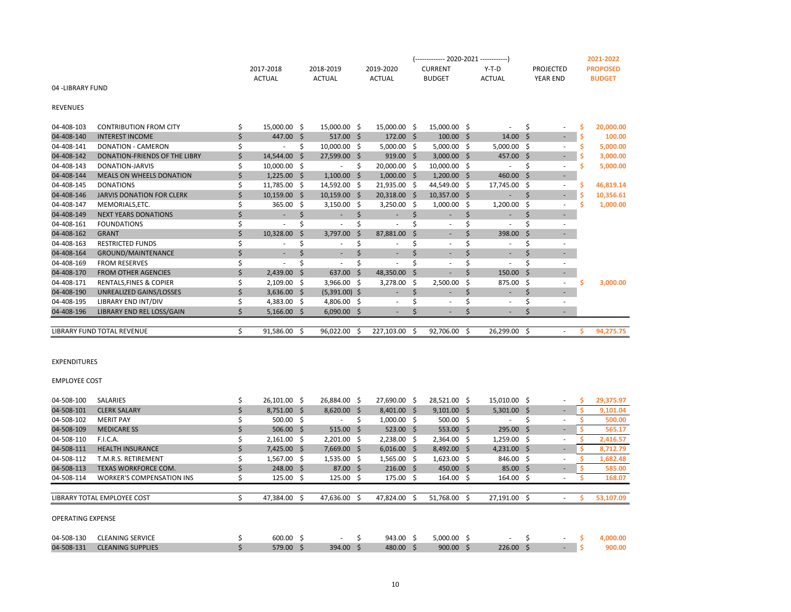|                  |           |           |           | $(-$ ------------ 2020-2021 -------------) |               |                 | 2021-2022       |
|------------------|-----------|-----------|-----------|--------------------------------------------|---------------|-----------------|-----------------|
|                  | 2017-2018 | 2018-2019 | 2019-2020 | <b>CURRENT</b>                             | Y-T-D         | PROJECTED       | <b>PROPOSED</b> |
|                  | ACTUAL    | ACTUAL    | ACTUAL    | <b>BUDGET</b>                              | <b>ACTUAL</b> | <b>YEAR END</b> | <b>BUDGE</b>    |
| 04 -LIBRARY FUND |           |           |           |                                            |               |                 |                 |

REVENUES

04-408-103 CONTRIBUTION FROM CITY \$ 15,000.00 \$ 15,000.00 \$ 15,000.00 \$ 15,000.00 \$ - \$ - **\$ 20,000.00** 04-408-140 INTEREST INCOME \$ 447.00 \$ 517.00 \$ 172.00 \$ 100.00 \$ 14.00 \$ - **\$ 100.00** 04-408-141 DONATION - CAMERON **\$** \$ 5,000.00 \$ 5,000.00 \$ 5,000.00 \$ 5,000.00 \$ 5,000.00 \$ 5,000.00 04-408-142 DONATION-FRIENDS OF THE LIBRY \$ 14,544.00 \$ 27,599.00 \$ 919.00 \$ 3,000.00 \$ 457.00 \$ - **\$ 3,000.00** 04-408-143 DONATION-JARVIS \$ 10,000.00 \$ - \$ 20,000.00 \$ 10,000.00 \$ - \$ - **\$ 5,000.00** 04-408-144 MEALS ON WHEELS DONATION  $\zeta$  1,225.00  $\zeta$  1,100.00  $\zeta$  1,000.00  $\zeta$  1,200.00  $\zeta$  460.00  $\zeta$  -04-408-145 DONATIONS \$ 11,785.00 \$ 14,592.00 \$ 21,935.00 \$ 44,549.00 \$ 17,745.00 \$ - **\$ 46,819.14** 04-408-146 JARVIS DONATION FOR CLERK \$ 10,159.00 \$ 10,159.00 \$ 20,318.00 \$ 10,357.00 \$ - \$ 10,356.61 04-408-147 MEMORIALS,ETC. \$ 365.00 \$ 3,150.00 \$ 3,250.00 \$ 1,000.00 \$ 1,200.00 \$ - **\$ 1,000.00** 04-408-149 NEXT YEARS DONATIONS \$ - \$ - \$ - \$ - \$ - \$ 04-408-161 FOUNDATIONS \$ - \$ - \$ - \$ - \$ - \$ - 04-408-162 GRANT \$ 10,328.00 \$ 3,797.00 \$ 87,881.00 \$ - \$ 398.00 \$ - 04-408-163 RESTRICTED FUNDS \$ - \$ - \$ - \$ - \$ - \$ 04-408-164 GROUND/MAINTENANCE \$ - \$ - \$ - \$ - \$ - \$ 04-408-169 FROM RESERVES \$ - \$ - \$ - \$ - \$ - \$ - 04-408-170 FROM OTHER AGENCIES \$ 2,439.00 \$ 637.00 \$ 48,350.00 \$ - \$ 150.00 \$ -04-408-171 RENTALS,FINES & COPIER \$ 2,109.00 \$ 3,966.00 \$ 3,278.00 \$ 2,500.00 \$ 875.00 \$ - **\$ 3,000.00** 04-408-190 UNREALIZED GAINS/LOSSES \$ 3,636.00 \$ (5,391.00) \$ - \$ - \$ - \$ - \$ 04-408-195 LIBRARY END INT/DIV \$4,383.00 \$4,806.00 \$- \$- \$ - \$ 04-408-196 LIBRARY END REL LOSS/GAIN \$ 5,166.00 \$ 6,090.00 \$ - \$ - \$ - \$ - \$ LIBRARY FUND TOTAL REVENUE \$ 91,586.00 \$ 96,022.00 \$ 227,103.00 \$ 92,706.00 \$ 26,299.00 \$ - **\$ 94,275.75**

EXPENDITURES

| <b>EMPLOYEE COST</b> |  |
|----------------------|--|

| 04-508-100<br><b>SALARIES</b>                  | 26,101.00 \$       | 26,884.00 \$      | 27,690.00 \$        |    | 28,521.00 \$  | 15,010.00 \$             | ٠                        | 29,375.97 |
|------------------------------------------------|--------------------|-------------------|---------------------|----|---------------|--------------------------|--------------------------|-----------|
| 04-508-101<br><b>CLERK SALARY</b>              | $8,751.00$ \$      | $8,620.00$ \$     | $8,401.00$ \$       |    | $9,101.00$ \$ | $5,301.00$ \$            | $\overline{\phantom{0}}$ | 9,101.04  |
| 04-508-102<br><b>MERIT PAY</b>                 | $500.00$ \$        |                   | $1,000.00$ \$       |    | $500.00$ \$   |                          | ٠                        | 500.00    |
| 04-508-109<br><b>MEDICARE SS</b>               | $506.00$ \$        | $515.00$ \$       | $523.00$ \$         |    | $553.00$ \$   | $295.00$ \$              | ٠                        | 565.17    |
| 04-508-110<br>F.I.C.A.                         | $2,161.00 \quad $$ | $2,201.00$ \$     | $2,238.00$ \$       |    | $2,364.00$ \$ | $1,259.00$ \$            | ٠                        | 2,416.57  |
| 04-508-111<br><b>HEALTH INSURANCE</b>          | $7.425.00$ \$      | 7,669.00 \$       | $6,016.00$ \$       |    | 8,492.00 \$   | $4,231.00$ \$            | ٠                        | 8,712.79  |
| 04-508-112<br>T.M.R.S. RETIREMENT              | $1,567.00$ \$      | $1,535.00$ \$     | $1,565.00$ \$       |    | $1,623.00$ \$ | 846.00 \$                | $\sim$                   | 1,682.48  |
| 04-508-113<br>TEXAS WORKFORCE COM.             | 248.00 \$          | $87.00 \quad $$   | $216.00 \quad$ \$   |    | 450.00 \$     | $85.00 \quad $$          | ٠                        | 585.00    |
| 04-508-114<br><b>WORKER'S COMPENSATION INS</b> | $125.00 \quad $$   | $125.00 \quad$ \$ | $175.00 \quad $$    |    | 164.00 \$     | $164.00 \quad $$         | ٠                        | 168.07    |
|                                                |                    |                   |                     |    |               |                          |                          |           |
| LIBRARY TOTAL EMPLOYEE COST                    | 47,384.00          | 47,636.00         | 47,824.00           | -S | 51,768.00     | 27,191.00 \$             | ۰                        | 53,107.09 |
|                                                |                    |                   |                     |    |               |                          |                          |           |
| <b>OPERATING EXPENSE</b>                       |                    |                   |                     |    |               |                          |                          |           |
|                                                |                    |                   |                     |    |               |                          |                          |           |
| 04-508-130<br><b>CLEANING SERVICE</b>          | 600.00 \$          | $\sim$            | 943.00 <sup>5</sup> |    | $5.000.00$ \$ | $\overline{\phantom{a}}$ | $\sim$                   | 4.000.00  |

04-508-131 CLEANING SUPPLIES \$ 579.00 \$ 394.00 \$ 480.00 \$ 900.00 \$ 226.00 \$ - **\$ 900.00**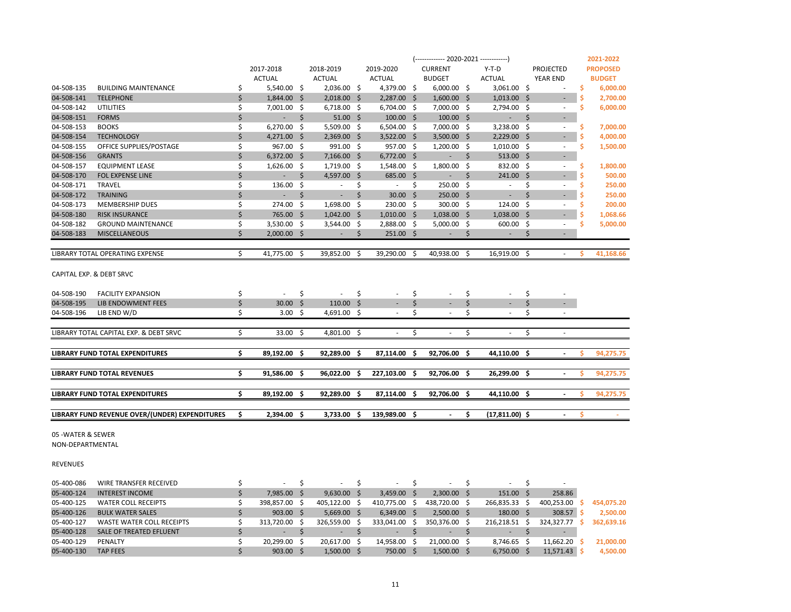|            |                                                |    |                       |    |                          |     |               |    | (------------- 2020-2021 -------------) |     |                          |    |                          |    | 2021-2022       |
|------------|------------------------------------------------|----|-----------------------|----|--------------------------|-----|---------------|----|-----------------------------------------|-----|--------------------------|----|--------------------------|----|-----------------|
|            |                                                |    | 2017-2018             |    | 2018-2019                |     | 2019-2020     |    | <b>CURRENT</b>                          |     | $Y-T-D$                  |    | PROJECTED                |    | <b>PROPOSED</b> |
|            |                                                |    | <b>ACTUAL</b>         |    | <b>ACTUAL</b>            |     | <b>ACTUAL</b> |    | <b>BUDGET</b>                           |     | <b>ACTUAL</b>            |    | YEAR END                 |    | <b>BUDGET</b>   |
| 04-508-135 | <b>BUILDING MAINTENANCE</b>                    | \$ | $5,540.00$ \$         |    | 2,036.00 \$              |     | 4,379.00 \$   |    | $6,000.00$ \$                           |     | 3,061.00 \$              |    | $\overline{\phantom{a}}$ | Ś  | 6,000.00        |
| 04-508-141 | <b>TELEPHONE</b>                               | \$ | 1,844.00 \$           |    | $2,018.00$ \$            |     | 2,287.00 \$   |    | $1,600.00$ \$                           |     | $1,013.00$ \$            |    | $\overline{\phantom{a}}$ |    | 2,700.00        |
| 04-508-142 | <b>UTILITIES</b>                               | \$ | 7,001.00 \$           |    | $6,718.00$ \$            |     | 6,704.00 \$   |    | 7,000.00 \$                             |     | 2,794.00 \$              |    | $\sim$                   | Ś  | 6,000.00        |
| 04-508-151 | <b>FORMS</b>                                   | \$ | $\omega_{\rm{max}}$   | \$ | $51.00 \pm 5$            |     | $100.00$ \$   |    | $100.00$ \$                             |     | $\omega_{\rm{max}}$      | \$ | $\blacksquare$           |    |                 |
| 04-508-153 | <b>BOOKS</b>                                   | \$ | $6,270.00$ \$         |    | 5,509.00                 | S.  | 6,504.00 \$   |    | 7,000.00 \$                             |     | 3,238.00 \$              |    | $\overline{\phantom{a}}$ | S  | 7,000.00        |
| 04-508-154 | <b>TECHNOLOGY</b>                              | \$ | $4,271.00$ \$         |    | $2,369.00$ \$            |     | $3,522.00$ \$ |    | 3,500.00 \$                             |     | $2,229.00$ \$            |    | $\sim$                   |    | 4,000.00        |
| 04-508-155 | OFFICE SUPPLIES/POSTAGE                        | \$ | 967.00 \$             |    | 991.00 \$                |     | 957.00 \$     |    | $1,200.00$ \$                           |     | $1,010.00$ \$            |    | $\overline{\phantom{a}}$ | S  | 1,500.00        |
| 04-508-156 | <b>GRANTS</b>                                  | \$ | $6,372.00$ \$         |    | $7,166.00$ \$            |     | $6,772.00$ \$ |    | $\sim 10$                               | Ŝ.  | $513.00$ \$              |    | $\overline{\phantom{a}}$ |    |                 |
| 04-508-157 | <b>EQUIPMENT LEASE</b>                         | \$ | $1,626.00$ \$         |    | $1,719.00 \quad $$       |     | 1,548.00 \$   |    | 1,800.00 \$                             |     | 832.00 \$                |    | $\overline{\phantom{a}}$ | \$ | 1,800.00        |
| 04-508-170 | FOL EXPENSE LINE                               | \$ | $\sim 100$            | Ŝ. | 4,597.00 \$              |     | 685.00 \$     |    | $\sim 100$                              | Ŝ.  | $241.00$ \$              |    | $\sim$                   |    | 500.00          |
| 04-508-171 | <b>TRAVEL</b>                                  | Ś  | 136.00 \$             |    | $\overline{\phantom{a}}$ | Ŝ.  | $\sim$        | Ŝ. | 250.00 \$                               |     | $\sim$                   | Ŝ. | $\sim$                   | \$ | 250.00          |
| 04-508-172 | <b>TRAINING</b>                                | Ś  | $\sim$                | Ŝ. | $\sim$                   | Ŝ.  | $30.00$ \$    |    | 250.00 \$                               |     | $\sim$                   | Ś. | ٠                        |    | 250.00          |
| 04-508-173 | MEMBERSHIP DUES                                | Ś  | 274.00 \$             |    | 1,698.00                 | -\$ | 230.00 \$     |    | 300.00 \$                               |     | 124.00 \$                |    | $\overline{\phantom{a}}$ | \$ | 200.00          |
| 04-508-180 | <b>RISK INSURANCE</b>                          | Ś  | 765.00 \$             |    | $1,042.00$ \$            |     | $1,010.00$ \$ |    | 1,038.00 \$                             |     | $1,038.00$ \$            |    | $\sim$                   |    | 1,068.66        |
| 04-508-182 | <b>GROUND MAINTENANCE</b>                      | \$ | 3,530.00 \$           |    | 3,544.00 \$              |     | 2,888.00 \$   |    | $5,000.00$ \$                           |     | 600.00 \$                |    | $\overline{\phantom{a}}$ | Ś  | 5,000.00        |
| 04-508-183 | <b>MISCELLANEOUS</b>                           | Ś  | $2,000.00$ \$         |    | $\sim$                   | S   | $251.00$ \$   |    | $\sim$                                  | S   | $\sim$                   | S  | ٠                        |    |                 |
|            |                                                |    |                       |    |                          |     |               |    |                                         |     |                          |    |                          |    |                 |
|            | LIBRARY TOTAL OPERATING EXPENSE                | Ś. | 41,775.00 \$          |    | 39,852.00                | -S  | 39,290.00 \$  |    | 40,938.00 \$                            |     | 16,919.00 \$             |    | $\overline{\phantom{a}}$ | ς  | 41,168.66       |
|            | CAPITAL EXP. & DEBT SRVC                       |    |                       |    |                          |     |               |    |                                         |     |                          |    |                          |    |                 |
| 04-508-190 | <b>FACILITY EXPANSION</b>                      | \$ | $\sim$                | \$ | $\sim$                   | \$  |               | \$ |                                         | \$  | ٠                        | \$ | $\overline{\phantom{a}}$ |    |                 |
| 04-508-195 | LIB ENDOWMENT FEES                             | \$ | $30.00$ \$            |    | $110.00$ \$              |     | $\sim$        | \$ | $\sim$                                  | \$  | ٠                        | \$ | $\sim$                   |    |                 |
| 04-508-196 | LIB END W/D                                    | \$ | 3.00%                 |    | 4,691.00 \$              |     | $\sim$        | \$ | $\sim$                                  | Ś   | $\sim$                   | Ś  | $\sim$                   |    |                 |
|            |                                                |    |                       |    |                          |     |               |    |                                         |     |                          |    |                          |    |                 |
|            | LIBRARY TOTAL CAPITAL EXP. & DEBT SRVC         | \$ | 33.00 \$              |    | 4,801.00 \$              |     | $\sim$        | \$ | $\overline{\phantom{a}}$                | \$  | $\overline{\phantom{a}}$ | Ś. | $\sim$                   |    |                 |
|            | <b>LIBRARY FUND TOTAL EXPENDITURES</b>         | \$ | 89,192.00 \$          |    | 92,289.00 \$             |     | 87,114.00     | -Ś | 92.706.00 \$                            |     | 44,110.00 \$             |    | $\blacksquare$           | Ś  | 94,275.75       |
|            |                                                |    |                       |    |                          |     |               |    |                                         |     |                          |    |                          |    |                 |
|            | <b>LIBRARY FUND TOTAL REVENUES</b>             | \$ | 91,586.00 \$          |    | 96,022.00                | Ŝ.  | 227,103.00 \$ |    | 92,706.00 \$                            |     | 26,299.00 \$             |    | $\blacksquare$           | ς  | 94,275.75       |
|            | <b>LIBRARY FUND TOTAL EXPENDITURES</b>         | \$ | 89.192.00 \$          |    | 92,289.00                | -S  | 87.114.00 \$  |    | 92.706.00                               | - Ś | 44.110.00 \$             |    |                          | ¢  | 94,275.75       |
|            | LIBRARY FUND REVENUE OVER/(UNDER) EXPENDITURES | Ŝ. | 2.394.00 <sub>5</sub> |    | $3.733.00 \quad S$       |     | 139.989.00 \$ |    |                                         | Ś.  | $(17.811.00)$ \$         |    |                          | Ś  |                 |
|            |                                                |    |                       |    |                          |     |               |    |                                         |     |                          |    |                          |    |                 |

05 -WATER & SEWER

NON-DEPARTMENTAL

REVENUES

| 05-400-086 | WIRE TRANSFER RECEIVED    | $\overline{\phantom{a}}$ | $\overline{\phantom{a}}$ | $\overline{\phantom{a}}$ |    | ۰             | $\sim$     |            |            |
|------------|---------------------------|--------------------------|--------------------------|--------------------------|----|---------------|------------|------------|------------|
| 05-400-124 | <b>INTEREST INCOME</b>    | 7.985.00 \$              | 9.630.00                 | $3.459.00$ \$            |    | $2,300.00$ \$ | 151.00 \$  | 258.86     |            |
| 05-400-125 | WATER COLL RECEIPTS       | 398.857.00               | 405,122.00               | 410,775.00               | -S | 438,720.00    | 266,835.33 | 400,253.00 | 454,075.20 |
| 05-400-126 | <b>BULK WATER SALES</b>   | $903.00$ \$              | 5,669.00                 | $6.349.00$ \$            |    | $2,500.00$ \$ | 180.00     | 308.57     | 2,500.00   |
| 05-400-127 | WASTE WATER COLL RECEIPTS | 313,720.00 \$            | 326.559.00               | 333.041.00               |    | 350.376.00    | 216.218.51 | 324.327.77 | 362.639.16 |
| 05-400-128 | SALE OF TREATED EFLUENT   | $\,$ $\,$                |                          |                          |    |               |            |            |            |
| 05-400-129 | PENALTY                   | 20.299.00                | 20.617.00                | 14.958.00                |    | 21.000.00     | 8,746.65   | 11.662.20  | 21,000.00  |
| 05-400-130 | <b>TAP FEES</b>           | $903.00$ \$              | 1,500.00                 | 750.00 \$                |    | $1,500.00$ \$ | 6,750.00   | 11,571.43  | 4,500.00   |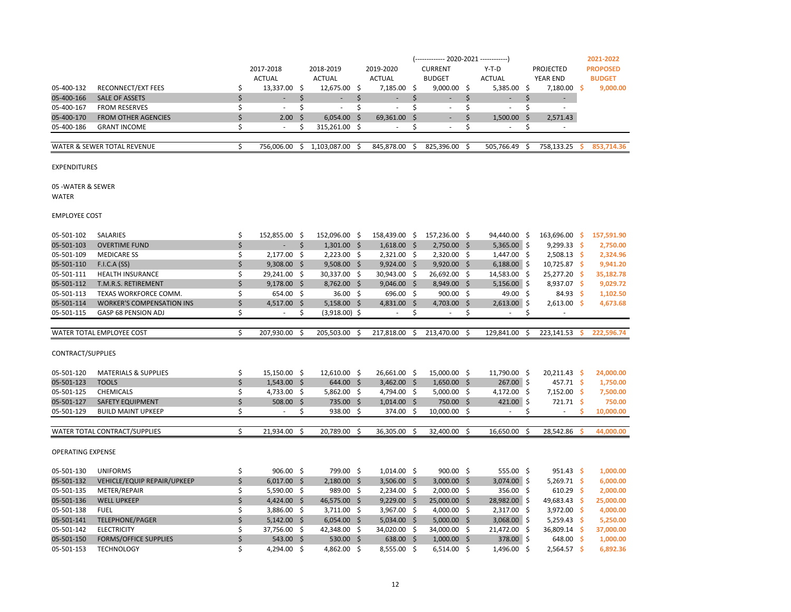|                          |                                  | 2017-2018                         |      | 2018-2019       |     | 2019-2020     | <b>CURRENT</b>   |    | $Y-T-D$       |      | <b>PROJECTED</b>   |      | <b>PROPOSED</b> |
|--------------------------|----------------------------------|-----------------------------------|------|-----------------|-----|---------------|------------------|----|---------------|------|--------------------|------|-----------------|
|                          |                                  | <b>ACTUAL</b>                     |      | <b>ACTUAL</b>   |     | <b>ACTUAL</b> | <b>BUDGET</b>    |    | <b>ACTUAL</b> |      | YEAR END           |      | <b>BUDGET</b>   |
| 05-400-132               | RECONNECT/EXT FEES               | \$<br>13,337.00 \$                |      | 12,675.00 \$    |     | 7,185.00 \$   | $9,000.00$ \$    |    | 5,385.00      | \$   | 7,180.00           | -Ś   | 9,000.00        |
| 05-400-166               | <b>SALE OF ASSETS</b>            | \$<br>ä,                          | \$   | ÷.              | \$  | L.            | \$<br>٠          | \$ | ÷.            | \$   |                    |      |                 |
| 05-400-167               | <b>FROM RESERVES</b>             | \$<br>÷.                          | \$   | ÷.              | \$  | ×.            | \$<br>$\sim$     | \$ | $\sim$        | \$   | ÷                  |      |                 |
| 05-400-170               | <b>FROM OTHER AGENCIES</b>       | \$<br>2.00                        | \$   | 6,054.00        | \$  | 69,361.00     | \$               | \$ | 1,500.00      | \$   | 2,571.43           |      |                 |
| 05-400-186               | <b>GRANT INCOME</b>              | \$<br>$\mathbf{r}$                | Ś    | 315,261.00      | -\$ |               | \$               | \$ | ×.            | \$   |                    |      |                 |
|                          |                                  |                                   |      |                 |     |               |                  |    |               |      |                    |      |                 |
|                          | WATER & SEWER TOTAL REVENUE      | \$<br>756,006.00                  | \$   | 1,103,087.00    | \$  | 845,878.00    | \$<br>825,396.00 | \$ | 505,766.49    | \$   | 758,133.25         | -S   | 853,714.36      |
|                          |                                  |                                   |      |                 |     |               |                  |    |               |      |                    |      |                 |
| <b>EXPENDITURES</b>      |                                  |                                   |      |                 |     |               |                  |    |               |      |                    |      |                 |
|                          |                                  |                                   |      |                 |     |               |                  |    |               |      |                    |      |                 |
| 05 - WATER & SEWER       |                                  |                                   |      |                 |     |               |                  |    |               |      |                    |      |                 |
| WATER                    |                                  |                                   |      |                 |     |               |                  |    |               |      |                    |      |                 |
|                          |                                  |                                   |      |                 |     |               |                  |    |               |      |                    |      |                 |
| <b>EMPLOYEE COST</b>     |                                  |                                   |      |                 |     |               |                  |    |               |      |                    |      |                 |
|                          |                                  |                                   |      |                 |     |               |                  |    |               |      |                    |      |                 |
| 05-501-102               | <b>SALARIES</b>                  | \$<br>152,855.00 \$               |      | 152,096.00 \$   |     | 158,439.00 \$ | 157,236.00 \$    |    | 94.440.00     | - \$ | 163,696.00         | -\$  | 157,591.90      |
| 05-501-103               | <b>OVERTIME FUND</b>             | \$<br>ä,                          | \$   | $1,301.00$ \$   |     | $1,618.00$ \$ | 2,750.00 \$      |    | $5,365.00$ \$ |      | 9,299.33           | -\$  | 2,750.00        |
| 05-501-109               | <b>MEDICARE SS</b>               | \$<br>2,177.00 \$                 |      | $2,223.00$ \$   |     | $2,321.00$ \$ | 2,320.00 \$      |    | 1,447.00      | -\$  | $2,508.13$ \$      |      | 2,324.96        |
| 05-501-110               | <b>F.I.C.A (SS)</b>              | \$<br>$9,308.00$ \$               |      | $9,508.00$ \$   |     | $9,924.00$ \$ | $9,920.00$ \$    |    | $6,188.00$ \$ |      | $10,725.87$ \$     |      | 9,941.20        |
| 05-501-111               | <b>HEALTH INSURANCE</b>          | \$<br>29,241.00 \$                |      | 30,337.00 \$    |     | 30,943.00 \$  | 26,692.00 \$     |    | 14,583.00     | \$.  | 25,277.20 \$       |      | 35,182.78       |
| 05-501-112               | T.M.R.S. RETIREMENT              | \$<br>9,178.00 \$                 |      | 8,762.00 \$     |     | $9,046.00$ \$ | 8,949.00 \$      |    | $5,156.00$ \$ |      | 8,937.07 \$        |      | 9,029.72        |
| 05-501-113               | TEXAS WORKFORCE COMM.            | \$<br>654.00 \$                   |      | $36.00 \quad $$ |     | 696.00 \$     | $900.00$ \$      |    | 49.00         | \$   | 84.93 <sub>5</sub> |      | 1,102.50        |
| 05-501-114               | <b>WORKER'S COMPENSATION INS</b> | \$<br>$4,517.00$ \$               |      | $5,158.00$ \$   |     | $4,831.00$ \$ | 4,703.00 \$      |    | $2,613.00$ \$ |      | $2,613.00$ \$      |      | 4,673.68        |
| 05-501-115               | GASP 68 PENSION ADJ              | \$<br>$\sim$                      | \$   | $(3,918.00)$ \$ |     | $\sim$        | \$               | \$ | ×.            | \$   |                    |      |                 |
|                          |                                  |                                   |      |                 |     |               |                  |    |               |      |                    |      |                 |
|                          | WATER TOTAL EMPLOYEE COST        | \$<br>207,930.00                  | Ŝ.   | 205,503.00      | Ŝ.  | 217,818.00    | \$<br>213,470.00 | Ŝ. | 129,841.00    | Ŝ.   | 223,141.53         | s    | 222,596.74      |
|                          |                                  |                                   |      |                 |     |               |                  |    |               |      |                    |      |                 |
| CONTRACT/SUPPLIES        |                                  |                                   |      |                 |     |               |                  |    |               |      |                    |      |                 |
|                          |                                  |                                   |      |                 |     |               |                  |    |               |      |                    |      |                 |
| 05-501-120               | <b>MATERIALS &amp; SUPPLIES</b>  | \$<br>15,150.00 \$                |      | 12,610.00 \$    |     | 26,661.00 \$  | 15,000.00 \$     |    | 11,790.00 \$  |      | $20,211.43$ \$     |      | 24,000.00       |
| 05-501-123               | <b>TOOLS</b>                     | \$<br>$1,543.00$ \$               |      | 644.00 \$       |     | $3,462.00$ \$ | $1,650.00$ \$    |    | $267.00$ \$   |      | $457.71$ \$        |      | 1,750.00        |
| 05-501-125               | <b>CHEMICALS</b>                 | \$<br>4,733.00 \$                 |      | $5,862.00$ \$   |     | 4,794.00 \$   | $5,000.00$ \$    |    | 4,172.00      | -\$  | $7,152.00$ \$      |      | 7,500.00        |
| 05-501-127               | SAFETY EQUIPMENT                 | \$<br>508.00                      | - \$ | 735.00 \$       |     | $1,014.00$ \$ | 750.00 \$        |    | 421.00        | \$   | 721.71             | -\$  | 750.00          |
| 05-501-129               | <b>BUILD MAINT UPKEEP</b>        | \$<br>$\mathcal{L}_{\mathcal{A}}$ | \$   | $938.00$ \$     |     | 374.00 \$     | $10,000.00$ \$   |    | ÷             | \$   | ×.                 | \$   | 10,000.00       |
|                          |                                  |                                   |      |                 |     |               |                  |    |               |      |                    |      |                 |
|                          | WATER TOTAL CONTRACT/SUPPLIES    | \$<br>21,934.00                   | Ś    | 20,789.00       | Ŝ.  | 36,305.00     | 32,400.00        | Ŝ. | 16,650.00     | Ŝ.   | 28,542.86          | S    | 44,000.00       |
|                          |                                  |                                   |      |                 |     |               |                  |    |               |      |                    |      |                 |
| <b>OPERATING EXPENSE</b> |                                  |                                   |      |                 |     |               |                  |    |               |      |                    |      |                 |
|                          |                                  |                                   |      |                 |     |               |                  |    |               |      |                    |      |                 |
| 05-501-130               | <b>UNIFORMS</b>                  | \$<br>906.00%                     |      | 799.00 \$       |     | $1,014.00$ \$ | 900.00 \$        |    | 555.00 \$     |      | $951.43$ \$        |      | 1,000.00        |
| 05-501-132               | VEHICLE/EQUIP REPAIR/UPKEEP      | \$<br>$6,017.00$ \$               |      | $2,180.00$ \$   |     | $3,506.00$ \$ | $3,000.00$ \$    |    | $3,074.00$ \$ |      | $5,269.71$ \$      |      | 6,000.00        |
| 05-501-135               | METER/REPAIR                     | \$<br>5,590.00 \$                 |      | 989.00 \$       |     | $2,234.00$ \$ | $2,000.00$ \$    |    | 356.00        | -\$  | 610.29             | - S  | 2,000.00        |
| 05-501-136               | <b>WELL UPKEEP</b>               | \$<br>4,424.00 \$                 |      | 46,575.00 \$    |     | $9,229.00$ \$ | 25,000.00 \$     |    | 28,982.00 \$  |      | 49,683.43          | - \$ | 25,000.00       |
| 05-501-138               | <b>FUEL</b>                      | \$<br>3,886.00 \$                 |      | $3,711.00$ \$   |     | $3,967.00$ \$ | 4,000.00 \$      |    | 2,317.00      | -\$  | $3,972.00$ \$      |      | 4,000.00        |
| 05-501-141               | <b>TELEPHONE/PAGER</b>           | \$<br>$5,142.00$ \$               |      | $6,054.00$ \$   |     | $5,034.00$ \$ | $5,000.00$ \$    |    | 3,068.00      | -\$  | 5,259.43           | -\$  | 5,250.00        |
| 05-501-142               | <b>ELECTRICITY</b>               | \$<br>37,756.00 \$                |      | 42,348.00 \$    |     | 34,020.00 \$  | 34,000.00 \$     |    | 21,472.00     | -\$  | 36,809.14 \$       |      | 37,000.00       |
|                          |                                  |                                   |      |                 |     |               |                  |    |               |      |                    |      |                 |
| 05-501-150               | <b>FORMS/OFFICE SUPPLIES</b>     | \$<br>543.00 \$                   |      | 530.00 \$       |     | 638.00 \$     | $1,000.00$ \$    |    | 378.00        | -\$  | 648.00             | -\$  | 1,000.00        |

(------------- 2020-2021 ------------) **2021-2022**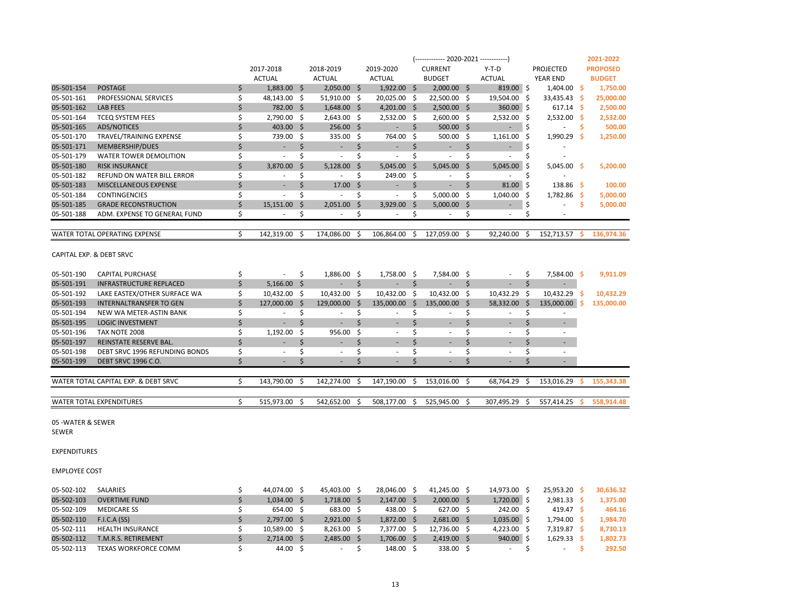|                                    |                                      |    |                          |      |                          |      |                          |    | (------------- 2020-2021 ------------) |                                |     |                          |      | 2021-2022       |
|------------------------------------|--------------------------------------|----|--------------------------|------|--------------------------|------|--------------------------|----|----------------------------------------|--------------------------------|-----|--------------------------|------|-----------------|
|                                    |                                      |    | 2017-2018                |      | 2018-2019                |      | 2019-2020                |    | <b>CURRENT</b>                         | $Y-T-D$                        |     | PROJECTED                |      | <b>PROPOSED</b> |
|                                    |                                      |    | <b>ACTUAL</b>            |      | <b>ACTUAL</b>            |      | <b>ACTUAL</b>            |    | <b>BUDGET</b>                          | <b>ACTUAL</b>                  |     | YEAR END                 |      | <b>BUDGET</b>   |
| 05-501-154                         | <b>POSTAGE</b>                       | \$ | 1,883.00 \$              |      | $2,050.00$ \$            |      | $1,922.00$ \$            |    | $2,000.00$ \$                          | $819.00$ \$                    |     | $1,404.00$ \$            |      | 1,750.00        |
| 05-501-161                         | PROFESSIONAL SERVICES                | \$ | 48,143.00 \$             |      | 51,910.00 \$             |      | 20,025.00 \$             |    | 22,500.00 \$                           | 19,504.00 \$                   |     | 33,435.43                | - \$ | 25,000.00       |
| 05-501-162                         | <b>LAB FEES</b>                      | \$ | 782.00 \$                |      | $1,648.00$ \$            |      | 4,201.00 \$              |    | $2,500.00$ \$                          | 360.00 \$                      |     | 617.14                   | - S  | 2,500.00        |
| 05-501-164                         | <b>TCEQ SYSTEM FEES</b>              | \$ | 2,790.00 \$              |      | $2,643.00$ \$            |      | $2,532.00$ \$            |    | $2,600.00$ \$                          | 2,532.00                       | -\$ | 2,532.00                 | - \$ | 2,532.00        |
| 05-501-165                         | <b>ADS/NOTICES</b>                   | \$ | 403.00 \$                |      | 256.00 \$                |      | $\overline{\phantom{a}}$ | \$ | $500.00$ \$                            | $\sim$                         | \$  | $\sim$                   | \$   | 500.00          |
| 05-501-170                         | TRAVEL/TRAINING EXPENSE              | \$ | 739.00 \$                |      | $335.00$ \$              |      | 764.00 \$                |    | $500.00$ \$                            | 1,161.00                       | -\$ | $1,990.29$ \$            |      | 1,250.00        |
| 05-501-171                         | MEMBERSHIP/DUES                      | \$ | $\sim$                   | \$   | $\sim$                   | \$   | $\sim$                   | \$ | $\sim$                                 | \$<br>$\sim$                   | \$  |                          |      |                 |
| 05-501-179                         | WATER TOWER DEMOLITION               | \$ | $\sim$                   | \$   | $\sim$                   | \$   | $\sim$                   | \$ | $\sim$                                 | \$<br>$\sim$                   | \$  |                          |      |                 |
| 05-501-180                         | <b>RISK INSURANCE</b>                | \$ | 3,870.00 \$              |      | $5,128.00$ \$            |      | $5,045.00$ \$            |    | $5,045.00$ \$                          | $5,045.00$ \$                  |     | $5,045.00$ \$            |      | 5,200.00        |
| 05-501-182                         | REFUND ON WATER BILL ERROR           | \$ | $\sim$                   | \$   | $\overline{\phantom{a}}$ | \$   | 249.00 \$                |    | $\sim$                                 | \$<br>$\sim$                   | \$  | $\overline{\phantom{a}}$ |      |                 |
| 05-501-183                         | MISCELLANEOUS EXPENSE                | \$ |                          | \$   | $17.00 \pm 5$            |      | $\sim$                   | \$ | $\sim$                                 | \$<br>$81.00$ \$               |     | 138.86 \$                |      | 100.00          |
| 05-501-184                         | CONTINGENCIES                        | \$ | $\overline{\phantom{a}}$ | \$   | $\overline{\phantom{a}}$ | \$   | $\sim$                   | \$ | $5,000.00$ \$                          | $1,040.00$ \$                  |     | $1,782.86$ \$            |      | 5,000.00        |
| 05-501-185                         | <b>GRADE RECONSTRUCTION</b>          | \$ | 15,151.00 \$             |      | $2,051.00$ \$            |      | $3,929.00$ \$            |    | $5,000.00$ \$                          | $\sim$                         | \$  | $\sim$                   | \$   | 5,000.00        |
| 05-501-188                         | ADM. EXPENSE TO GENERAL FUND         | \$ | ×.                       | \$   | $\omega$                 | \$   | $\overline{\phantom{a}}$ | \$ | $\sim$                                 | \$<br>$\sim$                   | \$  |                          |      |                 |
|                                    |                                      |    |                          |      |                          |      |                          |    |                                        |                                |     |                          |      |                 |
|                                    | WATER TOTAL OPERATING EXPENSE        | \$ | 142,319.00               | - Ś  | 174,086.00               | -\$  | 106,864.00               | \$ | 127,059.00 \$                          | 92,240.00                      | \$  | 152,713.57               | -S.  | 136,974.36      |
|                                    | CAPITAL EXP. & DEBT SRVC             |    |                          |      |                          |      |                          |    |                                        |                                |     |                          |      |                 |
| 05-501-190                         | <b>CAPITAL PURCHASE</b>              | \$ | $\sim 100$               | \$   | 1,886.00 \$              |      | 1,758.00 \$              |    | 7,584.00 \$                            | $\sim$                         | \$  | 7,584.00 \$              |      | 9,911.09        |
| 05-501-191                         | <b>INFRASTRUCTURE REPLACED</b>       | \$ | $5,166.00$ \$            |      | $\blacksquare$           | \$   | ÷.                       | \$ | $\overline{\phantom{a}}$               | \$<br>÷.                       | \$  |                          |      |                 |
| 05-501-192                         | LAKE EASTEX/OTHER SURFACE WA         | \$ | $10,432.00$ \$           |      | $10,432.00$ \$           |      | 10,432.00 \$             |    | $10,432.00$ \$                         | $10,432.29$ \$                 |     | 10,432.29                | - S  | 10,432.29       |
| 05-501-193                         | <b>INTERNALTRANSFER TO GEN</b>       | \$ | 127,000.00 \$            |      | 129,000.00 \$            |      |                          |    | 135,000.00 \$ 135,000.00 \$            | 58,332.00 \$                   |     | $135,000.00$ \$          |      | 135,000.00      |
| 05-501-194                         | NEW WA METER-ASTIN BANK              | \$ | $\overline{\phantom{a}}$ | \$   | $\overline{\phantom{a}}$ | \$   | $\overline{\phantom{a}}$ | \$ | $\overline{\phantom{a}}$               | \$<br>$\overline{\phantom{a}}$ | \$  | $\overline{\phantom{a}}$ |      |                 |
| 05-501-195                         | <b>LOGIC INVESTMENT</b>              | \$ | $\overline{\phantom{a}}$ | Ś    | ٠                        | \$   | ٠                        | \$ | ٠                                      | \$<br>٠                        | \$  | $\overline{\phantom{a}}$ |      |                 |
| 05-501-196                         | TAX NOTE 2008                        | \$ | 1,192.00                 | - \$ | 956.00                   | - \$ | $\sim$                   | \$ | $\sim$                                 | \$<br>$\sim$                   | \$  | $\sim$                   |      |                 |
| 05-501-197                         | REINSTATE RESERVE BAL.               | \$ | $\overline{\phantom{a}}$ | \$   | $\sim$                   | \$   | $\sim$                   | \$ | ٠                                      | \$                             | \$  | $\sim$                   |      |                 |
| 05-501-198                         | DEBT SRVC 1996 REFUNDING BONDS       | \$ | $\overline{\phantom{a}}$ | \$   | $\overline{\phantom{a}}$ | \$   | $\overline{\phantom{a}}$ | \$ | $\overline{\phantom{a}}$               | \$<br>$\overline{\phantom{a}}$ | \$  | $\overline{\phantom{a}}$ |      |                 |
| 05-501-199                         | <b>DEBT SRVC 1996 C.O.</b>           | \$ | $\sim$                   | \$   | $\blacksquare$           | \$   | ٠                        | \$ | $\sim$                                 | \$<br>÷                        | \$  | $\overline{\phantom{a}}$ |      |                 |
|                                    |                                      |    |                          |      |                          |      |                          |    |                                        |                                |     |                          |      |                 |
|                                    | WATER TOTAL CAPITAL EXP. & DEBT SRVC | \$ | 143,790.00 \$            |      | 142,274.00               | - Ś  | 147,190.00               | Ŝ. | 153,016.00 \$                          | 68,764.29                      | Ŝ.  | 153,016.29               | s    | 155,343.38      |
|                                    |                                      |    |                          |      |                          |      |                          |    |                                        |                                |     |                          |      |                 |
|                                    | <b>WATER TOTAL EXPENDITURES</b>      | Ś  | 515,973.00 \$            |      | 542,652.00 \$            |      | 508.177.00               | S. | 525,945.00 \$                          | 307,495.29                     | S.  | 557,414.25               | S.   | 558,914.48      |
| 05 - WATER & SEWER<br><b>SEWER</b> |                                      |    |                          |      |                          |      |                          |    |                                        |                                |     |                          |      |                 |
| <b>EXPENDITURES</b>                |                                      |    |                          |      |                          |      |                          |    |                                        |                                |     |                          |      |                 |
| <b>EMPLOYEE COST</b>               |                                      |    |                          |      |                          |      |                          |    |                                        |                                |     |                          |      |                 |
| 05-502-102                         | SALARIES                             | \$ | 44,074.00 \$             |      | 45,403.00 \$             |      |                          |    | 28,046.00 \$ 41,245.00 \$              | 14,973.00 \$                   |     | 25,953.20 \$             |      | 30,636.32       |

| 05-502-102 | SALARIES                | 44,074.00    | 45.403.00                | 28.046.00 | 41.245.00 | 14.973.00                | 25.953.20 | 30.636.32 |
|------------|-------------------------|--------------|--------------------------|-----------|-----------|--------------------------|-----------|-----------|
| 05-502-103 | <b>OVERTIME FUND</b>    | 1,034.00 \$  | 1,718.00                 | 2,147.00  | 2,000.00  | 1,720.00                 | 2,981.33  | 1,375.00  |
| 05-502-109 | MEDICARE SS             | 654.00 \$    | 683.00                   | 438.00    | 627.00    | 242.00                   | 419.47    | 464.16    |
| 05-502-110 | F.I.C.A (SS)            | 2,797.00 \$  | 2,921.00                 | 1,872.00  | 2,681.00  | 1,035.00                 | 1,794.00  | 1,984.70  |
| 05-502-111 | <b>HEALTH INSURANCE</b> | 10.589.00 \$ | 8.263.00                 | 7.377.00  | 12.736.00 | 4.223.00                 | 7.319.87  | 8,730.13  |
| 05-502-112 | T.M.R.S. RETIREMENT     | 2,714.00 \$  | 2,485.00                 | 1,706.00  | 2,419.00  | 940.00                   | 1,629.33  | L,802.73  |
| 05-502-113 | TEXAS WORKFORCE COMM    | 44.00 \$     | $\overline{\phantom{a}}$ | 148.00    | 338.00    | $\overline{\phantom{a}}$ |           | 292.50    |
|            |                         |              |                          |           |           |                          |           |           |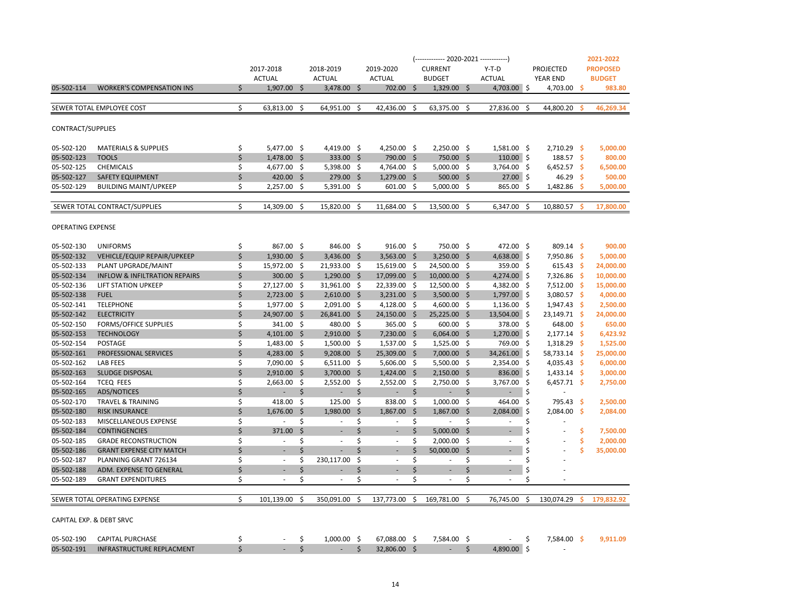|                          |                                          |    |                          |      |                             |      |                          |               | (------------- 2020-2021 ------------) |              |                          |      |                  |      | 2021-2022       |
|--------------------------|------------------------------------------|----|--------------------------|------|-----------------------------|------|--------------------------|---------------|----------------------------------------|--------------|--------------------------|------|------------------|------|-----------------|
|                          |                                          |    | 2017-2018                |      | 2018-2019                   |      | 2019-2020                |               | <b>CURRENT</b>                         |              | $Y-T-D$                  |      | <b>PROJECTED</b> |      | <b>PROPOSED</b> |
|                          |                                          |    | <b>ACTUAL</b>            |      | <b>ACTUAL</b>               |      | <b>ACTUAL</b>            |               | <b>BUDGET</b>                          |              | <b>ACTUAL</b>            |      | <b>YEAR END</b>  |      | <b>BUDGET</b>   |
| 05-502-114               | <b>WORKER'S COMPENSATION INS</b>         | \$ | $1,907.00$ \$            |      | $3,478.00$ \$               |      | 702.00                   | Ŝ.            | $1,329.00$ \$                          |              | 4,703.00 \$              |      | 4,703.00         | -Ś   | 983.80          |
|                          |                                          |    |                          |      |                             |      |                          |               |                                        |              |                          |      |                  |      |                 |
|                          | SEWER TOTAL EMPLOYEE COST                | \$ | 63,813.00                | -\$  | 64,951.00                   | \$   | 42,436.00                | \$            | 63,375.00                              | -\$          | 27,836.00                | \$   | 44,800.20        |      | 46,269.34       |
|                          |                                          |    |                          |      |                             |      |                          |               |                                        |              |                          |      |                  |      |                 |
| CONTRACT/SUPPLIES        |                                          |    |                          |      |                             |      |                          |               |                                        |              |                          |      |                  |      |                 |
| 05-502-120               | <b>MATERIALS &amp; SUPPLIES</b>          | \$ | 5,477.00 \$              |      | 4,419.00 \$                 |      | 4,250.00 \$              |               | 2,250.00 \$                            |              | 1,581.00 \$              |      | 2,710.29         | - \$ | 5,000.00        |
| 05-502-123               | <b>TOOLS</b>                             | \$ | 1,478.00 \$              |      | 333.00 \$                   |      | 790.00 \$                |               | 750.00 \$                              |              | $110.00$ \$              |      | 188.57           | - \$ | 800.00          |
| 05-502-125               | <b>CHEMICALS</b>                         | \$ | 4,677.00 \$              |      | $5,398.00$ \$               |      | 4,764.00 \$              |               | $5,000.00$ \$                          |              | 3,764.00 \$              |      | $6,452.57$ \$    |      | 6,500.00        |
| 05-502-127               | <b>SAFETY EQUIPMENT</b>                  | \$ | $420.00$ \$              |      | 279.00 \$                   |      | 1,279.00 \$              |               | $500.00$ \$                            |              | $27.00$ \$               |      | 46.29            | -\$  | 500.00          |
| 05-502-129               | <b>BUILDING MAINT/UPKEEP</b>             | \$ | $2,257.00$ \$            |      | $5,391.00$ \$               |      | $601.00$ \$              |               | $5,000.00$ \$                          |              | 865.00                   | -\$  | 1,482.86         | -Ś   | 5,000.00        |
|                          |                                          |    |                          |      |                             |      |                          |               |                                        |              |                          |      |                  |      |                 |
|                          | SEWER TOTAL CONTRACT/SUPPLIES            | \$ | 14,309.00                | Ś.   | 15,820.00                   | Ś    | 11,684.00                | Ś             | 13,500.00                              | Ś            | 6,347.00                 | Ŝ.   | 10,880.57        | Ś    | 17,800.00       |
| OPERATING EXPENSE        |                                          |    |                          |      |                             |      |                          |               |                                        |              |                          |      |                  |      |                 |
|                          |                                          |    |                          |      |                             |      |                          |               |                                        |              |                          |      |                  |      |                 |
| 05-502-130               | <b>UNIFORMS</b>                          | \$ | 867.00 \$                |      | 846.00 \$                   |      | $916.00 \quad $$         |               | 750.00 \$                              |              | 472.00 \$                |      | $809.14$ \$      |      | 900.00          |
| 05-502-132               | VEHICLE/EQUIP REPAIR/UPKEEP              | \$ | $1,930.00$ \$            |      | $3,436.00$ \$               |      | 3,563.00 \$              |               | $3,250.00$ \$                          |              | 4,638.00 \$              |      | 7,950.86         | - \$ | 5,000.00        |
| 05-502-133               | PLANT UPGRADE/MAINT                      | \$ | 15,972.00 \$             |      | 21,933.00 \$                |      | 15,619.00 \$             |               | 24,500.00 \$                           |              | 359.00 \$                |      | 615.43           | - \$ | 24,000.00       |
| 05-502-134               | <b>INFLOW &amp; INFILTRATION REPAIRS</b> | \$ | 300.00 \$                |      | $1,290.00$ \$               |      | 17,099.00 \$             |               | $10,000.00$ \$                         |              | 4,274.00 \$              |      | 7,326.86         | - \$ | 10,000.00       |
| 05-502-136               | LIFT STATION UPKEEP                      | \$ | 27,127.00                | - \$ | 31,961.00                   | - \$ | 22,339.00                | -\$           | 12,500.00 \$                           |              | 4,382.00                 | - \$ | 7,512.00         | - \$ | 15,000.00       |
| 05-502-138               | <b>FUEL</b>                              | \$ | 2,723.00 \$              |      | $2,610.00$ \$               |      | $3,231.00$ \$            |               | 3,500.00 \$                            |              | 1,797.00 \$              |      | 3,080.57 \$      |      | 4,000.00        |
| 05-502-141               | <b>TELEPHONE</b>                         | \$ | 1,977.00                 | -\$  | 2,091.00 \$                 |      | 4,128.00                 | -\$           | 4,600.00 \$                            |              | 1,136.00                 | \$   | 1,947.43         | - \$ | 2,500.00        |
| 05-502-142               | <b>ELECTRICITY</b>                       | \$ | 24,907.00 \$             |      | 26,841.00 \$                |      | $24,150.00$ \$           |               | $25,225.00$ \$                         |              | 13,504.00 \$             |      | 23,149.71 \$     |      | 24,000.00       |
| 05-502-150               | <b>FORMS/OFFICE SUPPLIES</b>             | \$ | 341.00                   | -\$  | 480.00 \$                   |      | 365.00 \$                |               | 600.00 \$                              |              | 378.00                   | -\$  | 648.00           | - \$ | 650.00          |
| 05-502-153               | <b>TECHNOLOGY</b>                        | \$ | $4,101.00$ \$            |      | $2,910.00$ \$               |      | 7,230.00 \$              |               | $6,064.00$ \$                          |              | $1,270.00$ \$            |      | 2,177.14         | - \$ | 6,423.92        |
| 05-502-154               | <b>POSTAGE</b>                           | \$ | 1,483.00 \$              |      | 1,500.00 \$                 |      | 1,537.00                 | - \$          | 1,525.00 \$                            |              | 769.00                   | -\$  | 1,318.29         | -\$  | 1,525.00        |
| 05-502-161               | PROFESSIONAL SERVICES                    | \$ | 4,283.00 \$              |      | $9,208.00$ \$               |      | 25,309.00 \$             |               | 7,000.00 \$                            |              | 34,261.00 \$             |      | 58,733.14        | -\$  | 25,000.00       |
| 05-502-162               | <b>LAB FEES</b>                          | \$ | 7,090.00 \$              |      | $6,511.00$ \$               |      | $5,606.00$ \$            |               | $5,500.00$ \$                          |              | 2,354.00 \$              |      | 4,035.43         | - \$ | 6,000.00        |
| 05-502-163               | <b>SLUDGE DISPOSAL</b>                   | \$ | 2,910.00                 | - \$ | $3,700.00$ \$               |      | $1,424.00$ \$            |               | $2,150.00$ \$                          |              | 836.00 \$                |      | $1,433.14$ \$    |      | 3,000.00        |
| 05-502-164               | <b>TCEQ FEES</b>                         | \$ | 2,663.00                 | - \$ | 2,552.00 \$                 |      | $2,552.00$ \$            |               | 2,750.00 \$                            |              | 3,767.00                 | - \$ | $6,457.71$ \$    |      | 2,750.00        |
| 05-502-165               | <b>ADS/NOTICES</b>                       | \$ | ÷.                       | \$   | $\mathcal{L}_{\mathcal{A}}$ | \$   | ÷.                       | \$            | $\sim$                                 | \$           | $\omega$                 | \$.  |                  |      |                 |
| 05-502-170               | <b>TRAVEL &amp; TRAINING</b>             | \$ | 418.00                   | - \$ | $125.00 \quad $$            |      | 838.00                   | \$            | $1,000.00$ \$                          |              | 464.00                   | \$   | 795.43           | -\$  | 2,500.00        |
| 05-502-180               | <b>RISK INSURANCE</b>                    | \$ | 1,676.00                 | -\$  | 1,980.00                    | - \$ | 1,867.00                 | $\frac{1}{2}$ | 1,867.00 \$                            |              | 2,084.00                 | ا \$ | 2,084.00         | -\$  | 2,084.00        |
| 05-502-183               | MISCELLANEOUS EXPENSE                    | \$ | $\sim$                   | \$   | $\sim$                      | \$   | $\sim$                   | \$            | $\sim$                                 | \$           | ×.                       | \$   |                  |      |                 |
| 05-502-184               | <b>CONTINGENCIES</b>                     | \$ | 371.00                   | \$   | $\overline{\phantom{a}}$    | \$   | $\sim$                   | \$            | 5,000.00                               | - \$         | $\overline{\phantom{a}}$ | \$   |                  | \$   | 7,500.00        |
| 05-502-185               | <b>GRADE RECONSTRUCTION</b>              | \$ | $\overline{\phantom{a}}$ | \$   | $\overline{\phantom{a}}$    | \$   | $\sim$                   | \$            | 2,000.00                               | S,           | $\sim$                   | \$   |                  | \$   | 2,000.00        |
| 05-502-186               | <b>GRANT EXPENSE CITY MATCH</b>          | Ś  | $\overline{\phantom{a}}$ | \$   | ÷                           | \$   | $\overline{\phantom{a}}$ | \$            | 50,000.00                              | $\mathsf{S}$ | $\overline{\phantom{a}}$ | \$   |                  | Ś    | 35,000.00       |
| 05-502-187               | PLANNING GRANT 726134                    | \$ | $\overline{\phantom{a}}$ | \$   | 230,117.00                  | \$   | $\overline{\phantom{a}}$ | \$            | $\sim$                                 | \$           | $\sim$                   | \$   |                  |      |                 |
| 05-502-188               | ADM. EXPENSE TO GENERAL                  | \$ |                          | \$   |                             | \$   |                          | \$            | ٠                                      | \$           |                          | \$   |                  |      |                 |
| 05-502-189               | <b>GRANT EXPENDITURES</b>                | \$ |                          | \$   |                             | \$   | $\overline{\phantom{a}}$ | \$            |                                        | \$           | $\sim$                   | \$   |                  |      |                 |
|                          | SEWER TOTAL OPERATING EXPENSE            | \$ | 101,139.00               | \$   | 350,091.00                  | \$   | 137,773.00               | \$            | 169,781.00                             | \$           | 76,745.00                | -\$  | 130,074.29       | S    | 179,832.92      |
| CAPITAL EXP. & DEBT SRVC |                                          |    |                          |      |                             |      |                          |               |                                        |              |                          |      |                  |      |                 |
| 05-502-190               | <b>CAPITAL PURCHASE</b>                  | \$ |                          | \$   | $1,000.00$ \$               |      | 67,088.00 \$             |               | 7,584.00 \$                            |              |                          | \$   | 7,584.00 \$      |      | 9.911.09        |
| 05-502-191               | <b>INFRASTRUCTURE REPLACMENT</b>         | \$ |                          | \$   | $\overline{\phantom{a}}$    | \$   | 32,806.00 \$             |               | $\sim$                                 | \$           | 4,890.00 \$              |      |                  |      |                 |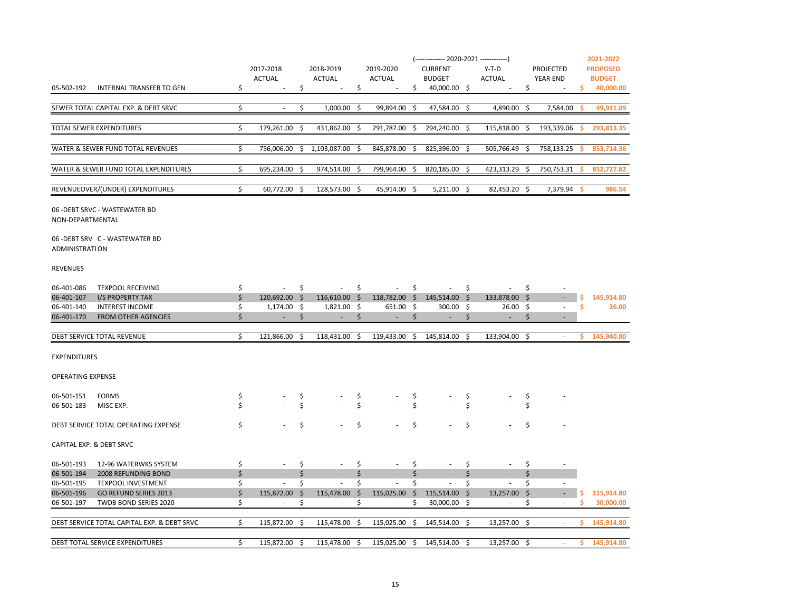| INTERNAL TRANSFER TO GEN<br>\$<br>Ś.<br>\$<br>Ś.<br>40,000.00 \$<br>Ś.<br>40,000.00<br>05-502-192<br>s<br>$\sim$<br>\$<br>Ś.<br>SEWER TOTAL CAPITAL EXP. & DEBT SRVC<br>1,000.00<br>\$<br>99,894.00<br>47,584.00 \$<br>4,890.00<br>Ŝ.<br>7,584.00<br>49,911.09<br>$\overline{\phantom{a}}$<br>Ŝ<br>-S<br><b>TOTAL SEWER EXPENDITURES</b><br>Ś.<br>179.261.00<br>431.862.00<br>291.787.00<br>294.240.00 \$<br>193.339.06<br>293.813.35<br>Ŝ.<br>-Ś<br>Ŝ.<br>115.818.00<br>Ŝ.<br>s.<br>\$<br>WATER & SEWER FUND TOTAL REVENUES<br>756,006.00<br>1,103,087.00<br>845,878.00<br>\$<br>825,396.00 \$<br>505,766.49<br>\$<br>758,133.25<br>853,714.36<br>\$<br>\$<br>Ŝ.<br>WATER & SEWER FUND TOTAL EXPENDITURES<br>\$<br>974,514.00<br>799,964.00<br>820,185.00<br>423,313.29<br>852,727.82<br>695,234.00<br>\$<br>\$<br>\$<br>750,753.31<br>\$.<br>-\$<br>s<br>\$<br>REVENUEOVER/(UNDER) EXPENDITURES<br>60,772.00<br>- Ś<br>128,573.00 \$<br>45,914.00<br>Ŝ.<br>$5,211.00$ \$<br>82,453.20 \$<br>7,379.94<br>986.54<br>-Ś<br>06 - DEBT SRVC - WASTEWATER BD<br>NON-DEPARTMENTAL<br>06 - DEBT SRV C - WASTEWATER BD<br>ADMINISTRATION<br><b>REVENUES</b><br>\$<br>\$<br>\$<br>\$<br>06-401-086<br><b>TEXPOOL RECEIVING</b><br>\$.<br>\$.<br>×.<br>÷.<br>\$<br>$116,610.00$ \$<br>118,782.00 \$ 145,514.00 \$<br>06-401-107<br>I/S PROPERTY TAX<br>120,692.00 \$<br>133,878.00<br>- \$<br>145,914.80<br>\$<br>\$<br>06-401-140<br><b>INTEREST INCOME</b><br>\$<br>$1,174.00$ \$<br>1,821.00<br>- \$<br>651.00 \$<br>$300.00$ \$<br>26.00<br>- \$<br>26.00<br>$\sim$<br><b>FROM OTHER AGENCIES</b><br>\$<br>06-401-170<br>\$<br>\$<br>\$<br>\$<br>\$<br>$\sim$<br>$\sim$<br>$\overline{\phantom{a}}$<br>$\sim$<br>$\sim$<br>$\overline{\phantom{a}}$<br>\$<br>119,433.00 \$<br>DEBT SERVICE TOTAL REVENUE<br>121,866.00<br>-\$<br>118,431.00<br>- \$<br>145,814.00 \$<br>133,904.00 \$<br>\$.<br>145,940.80<br>$\omega$<br><b>EXPENDITURES</b><br><b>OPERATING EXPENSE</b><br>\$<br>\$<br>\$<br>06-501-151<br><b>FORMS</b><br>\$<br>\$<br>\$<br>Ś<br>Ś<br>\$<br>Ś<br>\$<br>\$<br>06-501-183<br>MISC EXP.<br>\$<br>\$<br>\$<br>\$<br>\$<br>DEBT SERVICE TOTAL OPERATING EXPENSE<br>\$<br>CAPITAL EXP. & DEBT SRVC<br>06-501-193<br>12-96 WATERWKS SYSTEM<br>\$<br>\$<br>\$<br>\$<br>\$<br>\$<br>×.<br>٠<br>\$<br>\$<br>\$<br>\$<br>\$<br>\$<br>06-501-194<br>2008 REFUNDING BOND<br>\$<br>\$<br>\$<br>\$<br>\$<br>\$<br>06-501-195<br><b>TEXPOOL INVESTMENT</b><br>×.<br>×.<br>$\sim$<br>×.<br>$\sim$<br>×.<br>\$<br>06-501-196<br><b>GO REFUND SERIES 2013</b><br>\$<br>\$<br>$\mathsf{\dot{S}}$<br>115,914.80<br>115,872.00<br>\$<br>115,478.00<br>115,025.00<br>115,514.00<br>\$<br>13,257.00<br>\$<br>$\overline{\phantom{a}}$<br>\$<br>\$<br>\$<br>Ŝ.<br>\$<br>30,000.00<br>06-501-197<br>TWDB BOND SERIES 2020<br>$30,000.00$ \$<br>s<br>$\overline{\phantom{a}}$<br>$\overline{\phantom{a}}$<br>\$<br>115,025.00<br>145,514.00 \$<br>DEBT SERVICE TOTAL CAPITAL EXP. & DEBT SRVC<br>115,872.00<br>-\$<br>115,478.00<br>- \$<br>- \$<br>13,257.00 \$<br>Ŝ.<br>145,914.80<br>$\sim$<br>115,025.00 \$<br>Ŝ<br>$\sim$ |                                 | <b>ACTUAL</b>    |     | <b>ACTUAL</b> |      | <b>ACTUAL</b> | <b>BUDGET</b> |    | <b>ACTUAL</b> |      | YEAR END | <b>BUDGET</b> |
|-------------------------------------------------------------------------------------------------------------------------------------------------------------------------------------------------------------------------------------------------------------------------------------------------------------------------------------------------------------------------------------------------------------------------------------------------------------------------------------------------------------------------------------------------------------------------------------------------------------------------------------------------------------------------------------------------------------------------------------------------------------------------------------------------------------------------------------------------------------------------------------------------------------------------------------------------------------------------------------------------------------------------------------------------------------------------------------------------------------------------------------------------------------------------------------------------------------------------------------------------------------------------------------------------------------------------------------------------------------------------------------------------------------------------------------------------------------------------------------------------------------------------------------------------------------------------------------------------------------------------------------------------------------------------------------------------------------------------------------------------------------------------------------------------------------------------------------------------------------------------------------------------------------------------------------------------------------------------------------------------------------------------------------------------------------------------------------------------------------------------------------------------------------------------------------------------------------------------------------------------------------------------------------------------------------------------------------------------------------------------------------------------------------------------------------------------------------------------------------------------------------------------------------------------------------------------------------------------------------------------------------------------------------------------------------------------------------------------------------------------------------------------------------------------------------------------------------------------------------------------------------------------------------------------------------------------------------------------------------------------------------------------------------------------------------------------------------------------------------------|---------------------------------|------------------|-----|---------------|------|---------------|---------------|----|---------------|------|----------|---------------|
|                                                                                                                                                                                                                                                                                                                                                                                                                                                                                                                                                                                                                                                                                                                                                                                                                                                                                                                                                                                                                                                                                                                                                                                                                                                                                                                                                                                                                                                                                                                                                                                                                                                                                                                                                                                                                                                                                                                                                                                                                                                                                                                                                                                                                                                                                                                                                                                                                                                                                                                                                                                                                                                                                                                                                                                                                                                                                                                                                                                                                                                                                                                   |                                 |                  |     |               |      |               |               |    |               |      |          |               |
|                                                                                                                                                                                                                                                                                                                                                                                                                                                                                                                                                                                                                                                                                                                                                                                                                                                                                                                                                                                                                                                                                                                                                                                                                                                                                                                                                                                                                                                                                                                                                                                                                                                                                                                                                                                                                                                                                                                                                                                                                                                                                                                                                                                                                                                                                                                                                                                                                                                                                                                                                                                                                                                                                                                                                                                                                                                                                                                                                                                                                                                                                                                   |                                 |                  |     |               |      |               |               |    |               |      |          |               |
|                                                                                                                                                                                                                                                                                                                                                                                                                                                                                                                                                                                                                                                                                                                                                                                                                                                                                                                                                                                                                                                                                                                                                                                                                                                                                                                                                                                                                                                                                                                                                                                                                                                                                                                                                                                                                                                                                                                                                                                                                                                                                                                                                                                                                                                                                                                                                                                                                                                                                                                                                                                                                                                                                                                                                                                                                                                                                                                                                                                                                                                                                                                   |                                 |                  |     |               |      |               |               |    |               |      |          |               |
|                                                                                                                                                                                                                                                                                                                                                                                                                                                                                                                                                                                                                                                                                                                                                                                                                                                                                                                                                                                                                                                                                                                                                                                                                                                                                                                                                                                                                                                                                                                                                                                                                                                                                                                                                                                                                                                                                                                                                                                                                                                                                                                                                                                                                                                                                                                                                                                                                                                                                                                                                                                                                                                                                                                                                                                                                                                                                                                                                                                                                                                                                                                   |                                 |                  |     |               |      |               |               |    |               |      |          |               |
|                                                                                                                                                                                                                                                                                                                                                                                                                                                                                                                                                                                                                                                                                                                                                                                                                                                                                                                                                                                                                                                                                                                                                                                                                                                                                                                                                                                                                                                                                                                                                                                                                                                                                                                                                                                                                                                                                                                                                                                                                                                                                                                                                                                                                                                                                                                                                                                                                                                                                                                                                                                                                                                                                                                                                                                                                                                                                                                                                                                                                                                                                                                   |                                 |                  |     |               |      |               |               |    |               |      |          |               |
|                                                                                                                                                                                                                                                                                                                                                                                                                                                                                                                                                                                                                                                                                                                                                                                                                                                                                                                                                                                                                                                                                                                                                                                                                                                                                                                                                                                                                                                                                                                                                                                                                                                                                                                                                                                                                                                                                                                                                                                                                                                                                                                                                                                                                                                                                                                                                                                                                                                                                                                                                                                                                                                                                                                                                                                                                                                                                                                                                                                                                                                                                                                   |                                 |                  |     |               |      |               |               |    |               |      |          |               |
|                                                                                                                                                                                                                                                                                                                                                                                                                                                                                                                                                                                                                                                                                                                                                                                                                                                                                                                                                                                                                                                                                                                                                                                                                                                                                                                                                                                                                                                                                                                                                                                                                                                                                                                                                                                                                                                                                                                                                                                                                                                                                                                                                                                                                                                                                                                                                                                                                                                                                                                                                                                                                                                                                                                                                                                                                                                                                                                                                                                                                                                                                                                   |                                 |                  |     |               |      |               |               |    |               |      |          |               |
|                                                                                                                                                                                                                                                                                                                                                                                                                                                                                                                                                                                                                                                                                                                                                                                                                                                                                                                                                                                                                                                                                                                                                                                                                                                                                                                                                                                                                                                                                                                                                                                                                                                                                                                                                                                                                                                                                                                                                                                                                                                                                                                                                                                                                                                                                                                                                                                                                                                                                                                                                                                                                                                                                                                                                                                                                                                                                                                                                                                                                                                                                                                   |                                 |                  |     |               |      |               |               |    |               |      |          |               |
|                                                                                                                                                                                                                                                                                                                                                                                                                                                                                                                                                                                                                                                                                                                                                                                                                                                                                                                                                                                                                                                                                                                                                                                                                                                                                                                                                                                                                                                                                                                                                                                                                                                                                                                                                                                                                                                                                                                                                                                                                                                                                                                                                                                                                                                                                                                                                                                                                                                                                                                                                                                                                                                                                                                                                                                                                                                                                                                                                                                                                                                                                                                   |                                 |                  |     |               |      |               |               |    |               |      |          |               |
|                                                                                                                                                                                                                                                                                                                                                                                                                                                                                                                                                                                                                                                                                                                                                                                                                                                                                                                                                                                                                                                                                                                                                                                                                                                                                                                                                                                                                                                                                                                                                                                                                                                                                                                                                                                                                                                                                                                                                                                                                                                                                                                                                                                                                                                                                                                                                                                                                                                                                                                                                                                                                                                                                                                                                                                                                                                                                                                                                                                                                                                                                                                   |                                 |                  |     |               |      |               |               |    |               |      |          |               |
|                                                                                                                                                                                                                                                                                                                                                                                                                                                                                                                                                                                                                                                                                                                                                                                                                                                                                                                                                                                                                                                                                                                                                                                                                                                                                                                                                                                                                                                                                                                                                                                                                                                                                                                                                                                                                                                                                                                                                                                                                                                                                                                                                                                                                                                                                                                                                                                                                                                                                                                                                                                                                                                                                                                                                                                                                                                                                                                                                                                                                                                                                                                   |                                 |                  |     |               |      |               |               |    |               |      |          |               |
|                                                                                                                                                                                                                                                                                                                                                                                                                                                                                                                                                                                                                                                                                                                                                                                                                                                                                                                                                                                                                                                                                                                                                                                                                                                                                                                                                                                                                                                                                                                                                                                                                                                                                                                                                                                                                                                                                                                                                                                                                                                                                                                                                                                                                                                                                                                                                                                                                                                                                                                                                                                                                                                                                                                                                                                                                                                                                                                                                                                                                                                                                                                   |                                 |                  |     |               |      |               |               |    |               |      |          |               |
|                                                                                                                                                                                                                                                                                                                                                                                                                                                                                                                                                                                                                                                                                                                                                                                                                                                                                                                                                                                                                                                                                                                                                                                                                                                                                                                                                                                                                                                                                                                                                                                                                                                                                                                                                                                                                                                                                                                                                                                                                                                                                                                                                                                                                                                                                                                                                                                                                                                                                                                                                                                                                                                                                                                                                                                                                                                                                                                                                                                                                                                                                                                   |                                 |                  |     |               |      |               |               |    |               |      |          |               |
|                                                                                                                                                                                                                                                                                                                                                                                                                                                                                                                                                                                                                                                                                                                                                                                                                                                                                                                                                                                                                                                                                                                                                                                                                                                                                                                                                                                                                                                                                                                                                                                                                                                                                                                                                                                                                                                                                                                                                                                                                                                                                                                                                                                                                                                                                                                                                                                                                                                                                                                                                                                                                                                                                                                                                                                                                                                                                                                                                                                                                                                                                                                   |                                 |                  |     |               |      |               |               |    |               |      |          |               |
|                                                                                                                                                                                                                                                                                                                                                                                                                                                                                                                                                                                                                                                                                                                                                                                                                                                                                                                                                                                                                                                                                                                                                                                                                                                                                                                                                                                                                                                                                                                                                                                                                                                                                                                                                                                                                                                                                                                                                                                                                                                                                                                                                                                                                                                                                                                                                                                                                                                                                                                                                                                                                                                                                                                                                                                                                                                                                                                                                                                                                                                                                                                   |                                 |                  |     |               |      |               |               |    |               |      |          |               |
|                                                                                                                                                                                                                                                                                                                                                                                                                                                                                                                                                                                                                                                                                                                                                                                                                                                                                                                                                                                                                                                                                                                                                                                                                                                                                                                                                                                                                                                                                                                                                                                                                                                                                                                                                                                                                                                                                                                                                                                                                                                                                                                                                                                                                                                                                                                                                                                                                                                                                                                                                                                                                                                                                                                                                                                                                                                                                                                                                                                                                                                                                                                   |                                 |                  |     |               |      |               |               |    |               |      |          |               |
|                                                                                                                                                                                                                                                                                                                                                                                                                                                                                                                                                                                                                                                                                                                                                                                                                                                                                                                                                                                                                                                                                                                                                                                                                                                                                                                                                                                                                                                                                                                                                                                                                                                                                                                                                                                                                                                                                                                                                                                                                                                                                                                                                                                                                                                                                                                                                                                                                                                                                                                                                                                                                                                                                                                                                                                                                                                                                                                                                                                                                                                                                                                   |                                 |                  |     |               |      |               |               |    |               |      |          |               |
|                                                                                                                                                                                                                                                                                                                                                                                                                                                                                                                                                                                                                                                                                                                                                                                                                                                                                                                                                                                                                                                                                                                                                                                                                                                                                                                                                                                                                                                                                                                                                                                                                                                                                                                                                                                                                                                                                                                                                                                                                                                                                                                                                                                                                                                                                                                                                                                                                                                                                                                                                                                                                                                                                                                                                                                                                                                                                                                                                                                                                                                                                                                   |                                 |                  |     |               |      |               |               |    |               |      |          |               |
|                                                                                                                                                                                                                                                                                                                                                                                                                                                                                                                                                                                                                                                                                                                                                                                                                                                                                                                                                                                                                                                                                                                                                                                                                                                                                                                                                                                                                                                                                                                                                                                                                                                                                                                                                                                                                                                                                                                                                                                                                                                                                                                                                                                                                                                                                                                                                                                                                                                                                                                                                                                                                                                                                                                                                                                                                                                                                                                                                                                                                                                                                                                   |                                 |                  |     |               |      |               |               |    |               |      |          |               |
|                                                                                                                                                                                                                                                                                                                                                                                                                                                                                                                                                                                                                                                                                                                                                                                                                                                                                                                                                                                                                                                                                                                                                                                                                                                                                                                                                                                                                                                                                                                                                                                                                                                                                                                                                                                                                                                                                                                                                                                                                                                                                                                                                                                                                                                                                                                                                                                                                                                                                                                                                                                                                                                                                                                                                                                                                                                                                                                                                                                                                                                                                                                   |                                 |                  |     |               |      |               |               |    |               |      |          |               |
|                                                                                                                                                                                                                                                                                                                                                                                                                                                                                                                                                                                                                                                                                                                                                                                                                                                                                                                                                                                                                                                                                                                                                                                                                                                                                                                                                                                                                                                                                                                                                                                                                                                                                                                                                                                                                                                                                                                                                                                                                                                                                                                                                                                                                                                                                                                                                                                                                                                                                                                                                                                                                                                                                                                                                                                                                                                                                                                                                                                                                                                                                                                   |                                 |                  |     |               |      |               |               |    |               |      |          |               |
|                                                                                                                                                                                                                                                                                                                                                                                                                                                                                                                                                                                                                                                                                                                                                                                                                                                                                                                                                                                                                                                                                                                                                                                                                                                                                                                                                                                                                                                                                                                                                                                                                                                                                                                                                                                                                                                                                                                                                                                                                                                                                                                                                                                                                                                                                                                                                                                                                                                                                                                                                                                                                                                                                                                                                                                                                                                                                                                                                                                                                                                                                                                   |                                 |                  |     |               |      |               |               |    |               |      |          |               |
|                                                                                                                                                                                                                                                                                                                                                                                                                                                                                                                                                                                                                                                                                                                                                                                                                                                                                                                                                                                                                                                                                                                                                                                                                                                                                                                                                                                                                                                                                                                                                                                                                                                                                                                                                                                                                                                                                                                                                                                                                                                                                                                                                                                                                                                                                                                                                                                                                                                                                                                                                                                                                                                                                                                                                                                                                                                                                                                                                                                                                                                                                                                   |                                 |                  |     |               |      |               |               |    |               |      |          |               |
|                                                                                                                                                                                                                                                                                                                                                                                                                                                                                                                                                                                                                                                                                                                                                                                                                                                                                                                                                                                                                                                                                                                                                                                                                                                                                                                                                                                                                                                                                                                                                                                                                                                                                                                                                                                                                                                                                                                                                                                                                                                                                                                                                                                                                                                                                                                                                                                                                                                                                                                                                                                                                                                                                                                                                                                                                                                                                                                                                                                                                                                                                                                   |                                 |                  |     |               |      |               |               |    |               |      |          |               |
|                                                                                                                                                                                                                                                                                                                                                                                                                                                                                                                                                                                                                                                                                                                                                                                                                                                                                                                                                                                                                                                                                                                                                                                                                                                                                                                                                                                                                                                                                                                                                                                                                                                                                                                                                                                                                                                                                                                                                                                                                                                                                                                                                                                                                                                                                                                                                                                                                                                                                                                                                                                                                                                                                                                                                                                                                                                                                                                                                                                                                                                                                                                   |                                 |                  |     |               |      |               |               |    |               |      |          |               |
|                                                                                                                                                                                                                                                                                                                                                                                                                                                                                                                                                                                                                                                                                                                                                                                                                                                                                                                                                                                                                                                                                                                                                                                                                                                                                                                                                                                                                                                                                                                                                                                                                                                                                                                                                                                                                                                                                                                                                                                                                                                                                                                                                                                                                                                                                                                                                                                                                                                                                                                                                                                                                                                                                                                                                                                                                                                                                                                                                                                                                                                                                                                   |                                 |                  |     |               |      |               |               |    |               |      |          |               |
|                                                                                                                                                                                                                                                                                                                                                                                                                                                                                                                                                                                                                                                                                                                                                                                                                                                                                                                                                                                                                                                                                                                                                                                                                                                                                                                                                                                                                                                                                                                                                                                                                                                                                                                                                                                                                                                                                                                                                                                                                                                                                                                                                                                                                                                                                                                                                                                                                                                                                                                                                                                                                                                                                                                                                                                                                                                                                                                                                                                                                                                                                                                   |                                 |                  |     |               |      |               |               |    |               |      |          |               |
|                                                                                                                                                                                                                                                                                                                                                                                                                                                                                                                                                                                                                                                                                                                                                                                                                                                                                                                                                                                                                                                                                                                                                                                                                                                                                                                                                                                                                                                                                                                                                                                                                                                                                                                                                                                                                                                                                                                                                                                                                                                                                                                                                                                                                                                                                                                                                                                                                                                                                                                                                                                                                                                                                                                                                                                                                                                                                                                                                                                                                                                                                                                   |                                 |                  |     |               |      |               |               |    |               |      |          |               |
|                                                                                                                                                                                                                                                                                                                                                                                                                                                                                                                                                                                                                                                                                                                                                                                                                                                                                                                                                                                                                                                                                                                                                                                                                                                                                                                                                                                                                                                                                                                                                                                                                                                                                                                                                                                                                                                                                                                                                                                                                                                                                                                                                                                                                                                                                                                                                                                                                                                                                                                                                                                                                                                                                                                                                                                                                                                                                                                                                                                                                                                                                                                   |                                 |                  |     |               |      |               |               |    |               |      |          |               |
|                                                                                                                                                                                                                                                                                                                                                                                                                                                                                                                                                                                                                                                                                                                                                                                                                                                                                                                                                                                                                                                                                                                                                                                                                                                                                                                                                                                                                                                                                                                                                                                                                                                                                                                                                                                                                                                                                                                                                                                                                                                                                                                                                                                                                                                                                                                                                                                                                                                                                                                                                                                                                                                                                                                                                                                                                                                                                                                                                                                                                                                                                                                   |                                 |                  |     |               |      |               |               |    |               |      |          |               |
|                                                                                                                                                                                                                                                                                                                                                                                                                                                                                                                                                                                                                                                                                                                                                                                                                                                                                                                                                                                                                                                                                                                                                                                                                                                                                                                                                                                                                                                                                                                                                                                                                                                                                                                                                                                                                                                                                                                                                                                                                                                                                                                                                                                                                                                                                                                                                                                                                                                                                                                                                                                                                                                                                                                                                                                                                                                                                                                                                                                                                                                                                                                   |                                 |                  |     |               |      |               |               |    |               |      |          |               |
|                                                                                                                                                                                                                                                                                                                                                                                                                                                                                                                                                                                                                                                                                                                                                                                                                                                                                                                                                                                                                                                                                                                                                                                                                                                                                                                                                                                                                                                                                                                                                                                                                                                                                                                                                                                                                                                                                                                                                                                                                                                                                                                                                                                                                                                                                                                                                                                                                                                                                                                                                                                                                                                                                                                                                                                                                                                                                                                                                                                                                                                                                                                   |                                 |                  |     |               |      |               |               |    |               |      |          |               |
|                                                                                                                                                                                                                                                                                                                                                                                                                                                                                                                                                                                                                                                                                                                                                                                                                                                                                                                                                                                                                                                                                                                                                                                                                                                                                                                                                                                                                                                                                                                                                                                                                                                                                                                                                                                                                                                                                                                                                                                                                                                                                                                                                                                                                                                                                                                                                                                                                                                                                                                                                                                                                                                                                                                                                                                                                                                                                                                                                                                                                                                                                                                   |                                 |                  |     |               |      |               |               |    |               |      |          |               |
|                                                                                                                                                                                                                                                                                                                                                                                                                                                                                                                                                                                                                                                                                                                                                                                                                                                                                                                                                                                                                                                                                                                                                                                                                                                                                                                                                                                                                                                                                                                                                                                                                                                                                                                                                                                                                                                                                                                                                                                                                                                                                                                                                                                                                                                                                                                                                                                                                                                                                                                                                                                                                                                                                                                                                                                                                                                                                                                                                                                                                                                                                                                   |                                 |                  |     |               |      |               |               |    |               |      |          |               |
|                                                                                                                                                                                                                                                                                                                                                                                                                                                                                                                                                                                                                                                                                                                                                                                                                                                                                                                                                                                                                                                                                                                                                                                                                                                                                                                                                                                                                                                                                                                                                                                                                                                                                                                                                                                                                                                                                                                                                                                                                                                                                                                                                                                                                                                                                                                                                                                                                                                                                                                                                                                                                                                                                                                                                                                                                                                                                                                                                                                                                                                                                                                   |                                 |                  |     |               |      |               |               |    |               |      |          |               |
|                                                                                                                                                                                                                                                                                                                                                                                                                                                                                                                                                                                                                                                                                                                                                                                                                                                                                                                                                                                                                                                                                                                                                                                                                                                                                                                                                                                                                                                                                                                                                                                                                                                                                                                                                                                                                                                                                                                                                                                                                                                                                                                                                                                                                                                                                                                                                                                                                                                                                                                                                                                                                                                                                                                                                                                                                                                                                                                                                                                                                                                                                                                   |                                 |                  |     |               |      |               |               |    |               |      |          |               |
|                                                                                                                                                                                                                                                                                                                                                                                                                                                                                                                                                                                                                                                                                                                                                                                                                                                                                                                                                                                                                                                                                                                                                                                                                                                                                                                                                                                                                                                                                                                                                                                                                                                                                                                                                                                                                                                                                                                                                                                                                                                                                                                                                                                                                                                                                                                                                                                                                                                                                                                                                                                                                                                                                                                                                                                                                                                                                                                                                                                                                                                                                                                   |                                 |                  |     |               |      |               |               |    |               |      |          |               |
|                                                                                                                                                                                                                                                                                                                                                                                                                                                                                                                                                                                                                                                                                                                                                                                                                                                                                                                                                                                                                                                                                                                                                                                                                                                                                                                                                                                                                                                                                                                                                                                                                                                                                                                                                                                                                                                                                                                                                                                                                                                                                                                                                                                                                                                                                                                                                                                                                                                                                                                                                                                                                                                                                                                                                                                                                                                                                                                                                                                                                                                                                                                   | DEBT TOTAL SERVICE EXPENDITURES | \$<br>115,872.00 | -\$ | 115,478.00    | - \$ |               | 145,514.00    | -S | 13,257.00     | - \$ |          | 145.914.80    |

2017-2018 2018-2019 2019-2020 CURRENT Y-T-D

(------------- 2020-2021 ------------) **2021-2022**